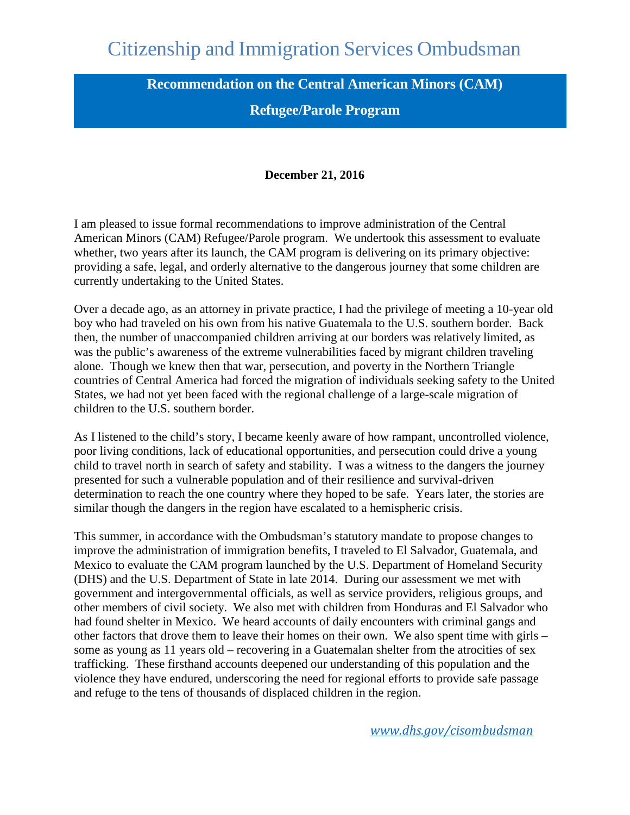# Citizenship and Immigration Services Ombudsman

**Recommendation on the Central American Minors (CAM)** 

### **Refugee/Parole Program**

#### **December 21, 2016**

<span id="page-0-0"></span>whether, two years after its launch, the CAM program is delivering on its primary objective: I am pleased to issue formal recommendations to improve administration of the Central American Minors (CAM) Refugee/Parole program. We undertook this assessment to evaluate providing a safe, legal, and orderly alternative to the dangerous journey that some children are currently undertaking to the United States.

 Over a decade ago, as an attorney in private practice, I had the privilege of meeting a 10-year old boy who had traveled on his own from his native Guatemala to the U.S. southern border. Back then, the number of unaccompanied children arriving at our borders was relatively limited, as was the public's awareness of the extreme vulnerabilities faced by migrant children traveling alone. Though we knew then that war, persecution, and poverty in the Northern Triangle countries of Central America had forced the migration of individuals seeking safety to the United States, we had not yet been faced with the regional challenge of a large-scale migration of children to the U.S. southern border.

 poor living conditions, lack of educational opportunities, and persecution could drive a young child to travel north in search of safety and stability. I was a witness to the dangers the journey As I listened to the child's story, I became keenly aware of how rampant, uncontrolled violence, presented for such a vulnerable population and of their resilience and survival-driven determination to reach the one country where they hoped to be safe. Years later, the stories are similar though the dangers in the region have escalated to a hemispheric crisis.

 had found shelter in Mexico. We heard accounts of daily encounters with criminal gangs and some as young as 11 years old – recovering in a Guatemalan shelter from the atrocities of sex This summer, in accordance with the Ombudsman's statutory mandate to propose changes to improve the administration of immigration benefits, I traveled to El Salvador, Guatemala, and Mexico to evaluate the CAM program launched by the U.S. Department of Homeland Security (DHS) and the U.S. Department of State in late 2014. During our assessment we met with government and intergovernmental officials, as well as service providers, religious groups, and other members of civil society. We also met with children from Honduras and El Salvador who other factors that drove them to leave their homes on their own. We also spent time with girls – trafficking. These firsthand accounts deepened our understanding of this population and the violence they have endured, underscoring the need for regional efforts to provide safe passage and refuge to the tens of thousands of displaced children in the region.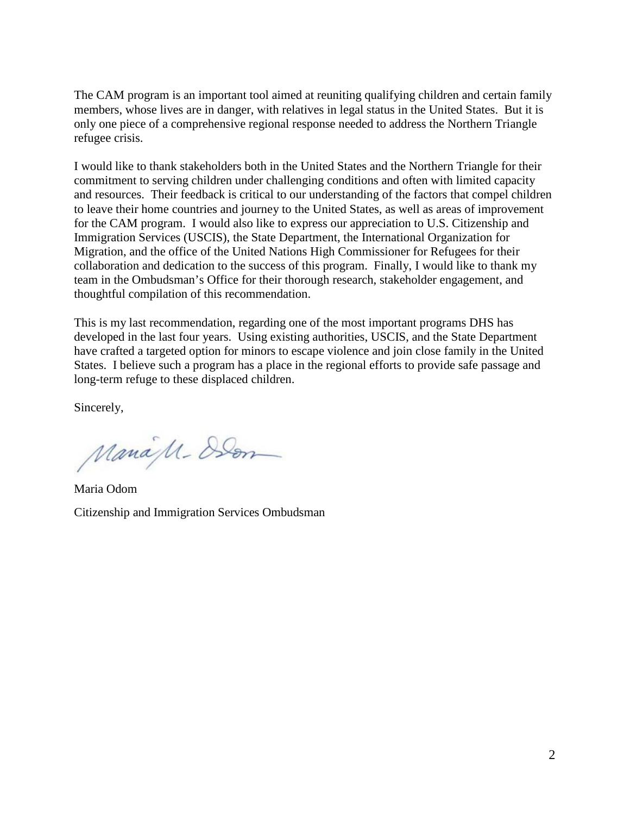refugee crisis. The CAM program is an important tool aimed at reuniting qualifying children and certain family members, whose lives are in danger, with relatives in legal status in the United States. But it is only one piece of a comprehensive regional response needed to address the Northern Triangle

I would like to thank stakeholders both in the United States and the Northern Triangle for their commitment to serving children under challenging conditions and often with limited capacity and resources. Their feedback is critical to our understanding of the factors that compel children to leave their home countries and journey to the United States, as well as areas of improvement for the CAM program. I would also like to express our appreciation to U.S. Citizenship and Immigration Services (USCIS), the State Department, the International Organization for Migration, and the office of the United Nations High Commissioner for Refugees for their collaboration and dedication to the success of this program. Finally, I would like to thank my team in the Ombudsman's Office for their thorough research, stakeholder engagement, and thoughtful compilation of this recommendation.

 States. I believe such a program has a place in the regional efforts to provide safe passage and This is my last recommendation, regarding one of the most important programs DHS has developed in the last four years. Using existing authorities, USCIS, and the State Department have crafted a targeted option for minors to escape violence and join close family in the United long-term refuge to these displaced children.

Sincerely,

ManaM-Den

Maria Odom Citizenship and Immigration Services Ombudsman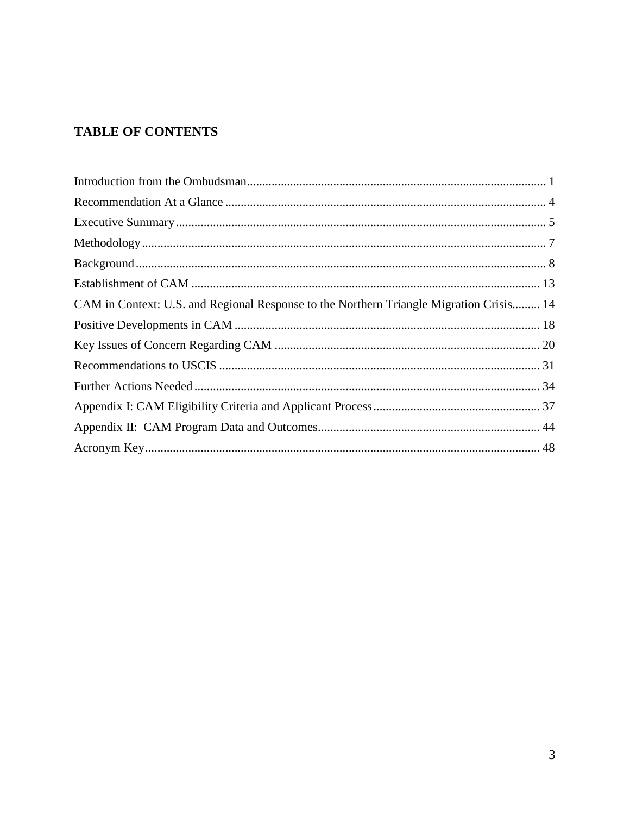## **TABLE OF CONTENTS**

| CAM in Context: U.S. and Regional Response to the Northern Triangle Migration Crisis 14 |  |
|-----------------------------------------------------------------------------------------|--|
|                                                                                         |  |
|                                                                                         |  |
|                                                                                         |  |
|                                                                                         |  |
|                                                                                         |  |
|                                                                                         |  |
|                                                                                         |  |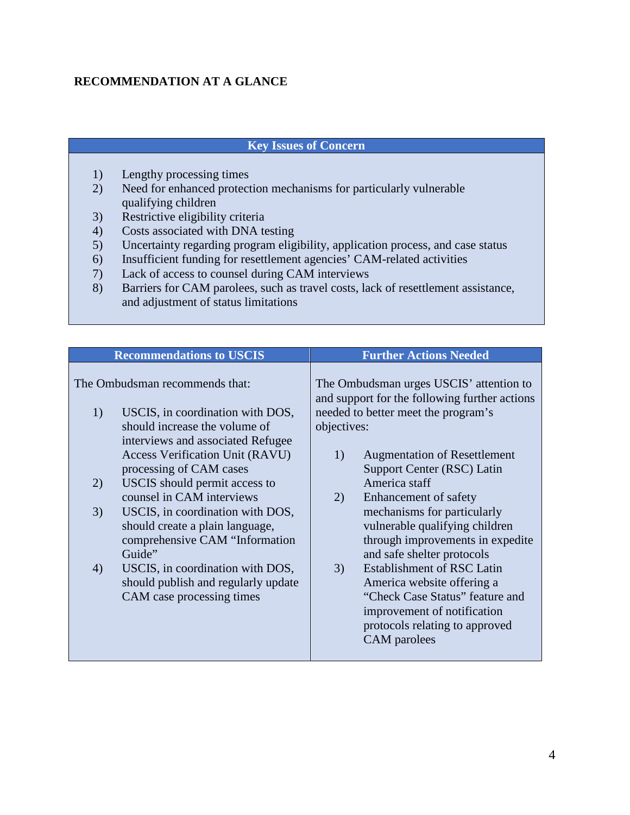### <span id="page-3-0"></span>**RECOMMENDATION AT A GLANCE**

### **Key Issues of Concern**

- 1) Lengthy processing times
- 2) Need for enhanced protection mechanisms for particularly vulnerable qualifying children
- 3) Restrictive eligibility criteria
- 4) Costs associated with DNA testing
- 5) Uncertainty regarding program eligibility, application process, and case status
- 6) Insufficient funding for resettlement agencies' CAM-related activities
- 7) Lack of access to counsel during CAM interviews
- 8) Barriers for CAM parolees, such as travel costs, lack of resettlement assistance, and adjustment of status limitations

|                                | <b>Recommendations to USCIS</b>                                                                                                              |                                                                                          | <b>Further Actions Needed</b>                                                                                                                                                       |
|--------------------------------|----------------------------------------------------------------------------------------------------------------------------------------------|------------------------------------------------------------------------------------------|-------------------------------------------------------------------------------------------------------------------------------------------------------------------------------------|
| The Ombudsman recommends that: |                                                                                                                                              | The Ombudsman urges USCIS' attention to<br>and support for the following further actions |                                                                                                                                                                                     |
| 1)                             | USCIS, in coordination with DOS,<br>should increase the volume of<br>interviews and associated Refugee                                       | objectives:                                                                              | needed to better meet the program's                                                                                                                                                 |
|                                | <b>Access Verification Unit (RAVU)</b><br>processing of CAM cases                                                                            | 1)                                                                                       | <b>Augmentation of Resettlement</b><br>Support Center (RSC) Latin                                                                                                                   |
| 2)                             | USCIS should permit access to                                                                                                                |                                                                                          | America staff                                                                                                                                                                       |
| 3)                             | counsel in CAM interviews<br>USCIS, in coordination with DOS,<br>should create a plain language,<br>comprehensive CAM "Information<br>Guide" | 2)                                                                                       | Enhancement of safety<br>mechanisms for particularly<br>vulnerable qualifying children<br>through improvements in expedite<br>and safe shelter protocols                            |
| 4)                             | USCIS, in coordination with DOS,<br>should publish and regularly update<br>CAM case processing times                                         | 3)                                                                                       | <b>Establishment of RSC Latin</b><br>America website offering a<br>"Check Case Status" feature and<br>improvement of notification<br>protocols relating to approved<br>CAM parolees |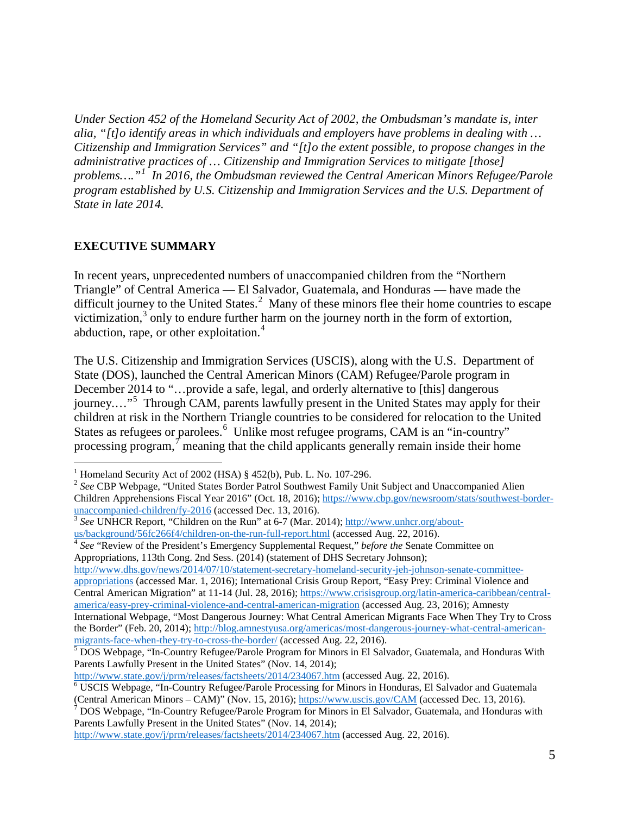*Under Section 452 of the Homeland Security Act of 2002, the Ombudsman's mandate is, inter alia, "[t]o identify areas in which individuals and employers have problems in dealing with … Citizenship and Immigration Services" and "[t]o the extent possible, to propose changes in the administrative practices of … Citizenship and Immigration Services to mitigate [those] problems…."[1](#page-4-1) In 2016, the Ombudsman reviewed the Central American Minors Refugee/Parole program established by U.S. Citizenship and Immigration Services and the U.S. Department of State in late 2014.* 

#### <span id="page-4-0"></span>**EXECUTIVE SUMMARY**

difficult journey to the United States.<sup>[2](#page-4-2)</sup> Many of these minors flee their home countries to escape abduction, rape, or other exploitation.<sup>[4](#page-4-4)</sup> In recent years, unprecedented numbers of unaccompanied children from the "Northern Triangle" of Central America — El Salvador, Guatemala, and Honduras — have made the victimization, $3$  only to endure further harm on the journey north in the form of extortion,

journey...."<sup>[5](#page-4-5)</sup> Through CAM, parents lawfully present in the United States may apply for their The U.S. Citizenship and Immigration Services (USCIS), along with the U.S. Department of State (DOS), launched the Central American Minors (CAM) Refugee/Parole program in December 2014 to "…provide a safe, legal, and orderly alternative to [this] dangerous children at risk in the Northern Triangle countries to be considered for relocation to the United States as refugees or parolees.<sup>[6](#page-4-6)</sup> Unlike most refugee programs, CAM is an "in-country" processing program, $\tau$  meaning that the child applicants generally remain inside their home

<span id="page-4-4"></span><sup>4</sup> See "Review of the President's Emergency Supplemental Request," *before the* Senate Committee on Appropriations, 113th Cong. 2nd Sess. (2014) (statement of DHS Secretary Johnson);

[http://www.dhs.gov/news/2014/07/10/statement-secretary-homeland-security-jeh-johnson-senate-committee](http://www.dhs.gov/news/2014/07/10/statement-secretary-homeland-security-jeh-johnson-senate-committee-appropriations)[appropriations](http://www.dhs.gov/news/2014/07/10/statement-secretary-homeland-security-jeh-johnson-senate-committee-appropriations) (accessed Mar. 1, 2016); International Crisis Group Report, "Easy Prey: Criminal Violence and Central American Migration" at 11-14 (Jul. 28, 2016); [https://www.crisisgroup.org/latin-america-caribbean/central](https://www.crisisgroup.org/latin-america-caribbean/central-america/easy-prey-criminal-violence-and-central-american-migration)[america/easy-prey-criminal-violence-and-central-american-migration](https://www.crisisgroup.org/latin-america-caribbean/central-america/easy-prey-criminal-violence-and-central-american-migration) (accessed Aug. 23, 2016); Amnesty International Webpage, "Most Dangerous Journey: What Central American Migrants Face When They Try to Cross the Border" (Feb. 20, 2014); http://blog.amnestyusa.org/americas/most-dangerous-journey-what-central-american-<br>migrants-face-when-they-try-to-cross-the-border/ (accessed Aug. 22, 2016).

 $\overline{a}$ <sup>1</sup> Homeland Security Act of 2002 (HSA)  $§$  452(b), Pub. L. No. 107-296.

<span id="page-4-2"></span><span id="page-4-1"></span><sup>&</sup>lt;sup>2</sup> See CBP Webpage, "United States Border Patrol Southwest Family Unit Subject and Unaccompanied Alien Children Apprehensions Fiscal Year 2016" (Oct. 18, 2016); https://www.cbp.gov/newsroom/stats/southwest-border-<br>unaccompanied-children/fy-2016 (accessed Dec. 13, 2016).

<span id="page-4-3"></span> $\frac{3}{3}$  See UNHCR Report, "Children on the Run" at 6-7 (Mar. 2014); [http://www.unhcr.org/about](http://www.unhcr.org/about-us/background/56fc266f4/children-on-the-run-full-report.html)[us/background/56fc266f4/children-on-the-run-full-report.html](http://www.unhcr.org/about-us/background/56fc266f4/children-on-the-run-full-report.html) (accessed Aug. 22, 2016).

<span id="page-4-5"></span> $\frac{5}{2}$ DOS Webpage, "In-Country Refugee/Parole Program for Minors in El Salvador, Guatemala, and Honduras With Parents Lawfully Present in the United States" (Nov. 14, 2014);

<span id="page-4-6"></span>[http://www.state.gov/j/prm/releases/factsheets/2014/234067.htm \(](http://www.state.gov/j/prm/releases/factsheets/2014/234067.htm)accessed Aug. 22, 2016).<br><sup>6</sup> USCIS Webpage, "In-Country Refugee/Parole Processing for Minors in Honduras, El Salvador and Guatemala

<span id="page-4-7"></span><sup>(</sup>Central American Minors – CAM)" (Nov. 15, 2016); <u>https://www.uscis.gov/CAM</u> (accessed Dec. 13, 2016).<br><sup>7</sup> DOS Webpage, "In-Country Refugee/Parole Program for Minors in El Salvador, Guatemala, and Honduras with Parents Lawfully Present in the United States" (Nov. 14, 2014);

[http://www.state.gov/j/prm/releases/factsheets/2014/234067.htm \(](http://www.state.gov/j/prm/releases/factsheets/2014/234067.htm)accessed Aug. 22, 2016).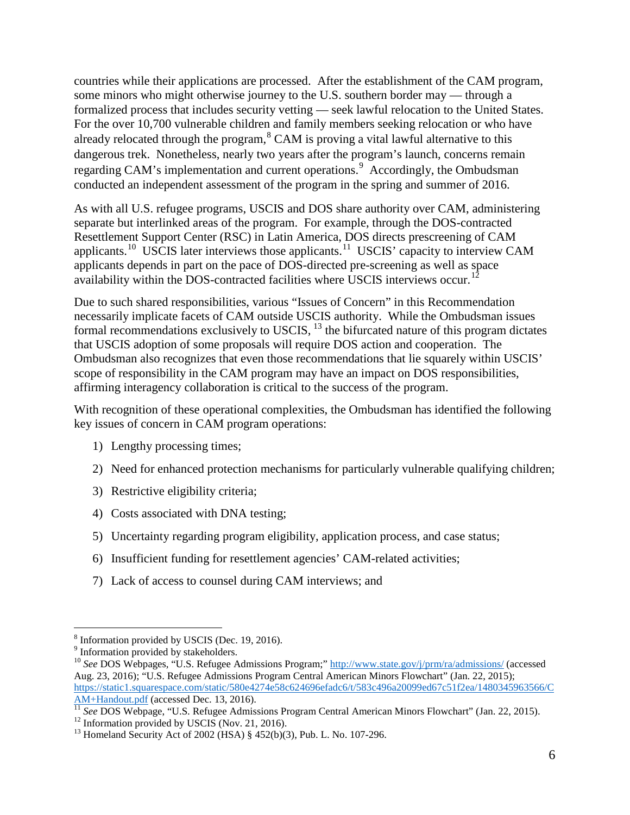formalized process that includes security vetting — seek lawful relocation to the United States. countries while their applications are processed. After the establishment of the CAM program, some minors who might otherwise journey to the U.S. southern border may — through a For the over 10,700 vulnerable children and family members seeking relocation or who have already relocated through the program,  $8$  CAM is proving a vital lawful alternative to this dangerous trek. Nonetheless, nearly two years after the program's launch, concerns remain regarding CAM's implementation and current operations.<sup>[9](#page-5-1)</sup> Accordingly, the Ombudsman conducted an independent assessment of the program in the spring and summer of 2016.

applicants.<sup>[10](#page-5-2)</sup> USCIS later interviews those applicants.<sup>[11](#page-5-3)</sup> USCIS' capacity to interview CAM As with all U.S. refugee programs, USCIS and DOS share authority over CAM, administering separate but interlinked areas of the program. For example, through the DOS-contracted Resettlement Support Center (RSC) in Latin America, DOS directs prescreening of CAM applicants depends in part on the pace of DOS-directed pre-screening as well as space availability within the DOS-contracted facilities where USCIS interviews occur.<sup>1</sup>

 necessarily implicate facets of CAM outside USCIS authority. While the Ombudsman issues affirming interagency collaboration is critical to the success of the program. Due to such shared responsibilities, various "Issues of Concern" in this Recommendation formal recommendations exclusively to USCIS, <sup>13</sup> the bifurcated nature of this program dictates that USCIS adoption of some proposals will require DOS action and cooperation. The Ombudsman also recognizes that even those recommendations that lie squarely within USCIS' scope of responsibility in the CAM program may have an impact on DOS responsibilities,

key issues of concern in CAM program operations:<br>1) Lengthy processing times; With recognition of these operational complexities, the Ombudsman has identified the following

- 1) Lengthy processing times;
- 2) Need for enhanced protection mechanisms for particularly vulnerable qualifying children;<br>3) Restrictive eligibility criteria;
- 3) Restrictive eligibility criteria;
- 4) Costs associated with DNA testing;
- 5) Uncertainty regarding program eligibility, application process, and case status;
- 6) Insufficient funding for resettlement agencies' CAM-related activities;
- 7) Lack of access to counsel during CAM interviews; and

 $\overline{a}$ 

<span id="page-5-0"></span> $8$  Information provided by USCIS (Dec. 19, 2016).

<span id="page-5-1"></span><sup>&</sup>lt;sup>9</sup> Information provided by stakeholders.

<span id="page-5-2"></span><sup>&</sup>lt;sup>10</sup> See DOS Webpages, "U.S. Refugee Admissions Program;"<http://www.state.gov/j/prm/ra/admissions/>(accessed Aug. 23, 2016); "U.S. Refugee Admissions Program Central American Minors Flowchart" (Jan. 22, 2015); [https://static1.squarespace.com/static/580e4274e58c624696efadc6/t/583c496a20099ed67c51f2ea/1480345963566/C](https://static1.squarespace.com/static/580e4274e58c624696efadc6/t/583c496a20099ed67c51f2ea/1480345963566/CAM+Handout.pdf)<br>AM+Handout.pdf (accessed Dec. 13, 2016).

<span id="page-5-3"></span> AM+Handout.pdf (accessed Dec. 13, 2016). [11](https://static1.squarespace.com/static/580e4274e58c624696efadc6/t/583c496a20099ed67c51f2ea/1480345963566/CAM+Handout.pdf) *See* DOS Webpage, "U.S. Refugee Admissions Program Central American Minors Flowchart" (Jan. 22, 2015). <sup>11</sup> See DOS Webpage, "U.S. Refugee Admissions Program Central American Minors Flowchart" (Jan. 22, 2015).<br><sup>12</sup> Information provided by USCIS (Nov. 21, 2016).

<span id="page-5-5"></span><span id="page-5-4"></span><sup>&</sup>lt;sup>12</sup> Information provided by USCIS (Nov. 21, 2016).<br><sup>13</sup> Homeland Security Act of 2002 (HSA) § 452(b)(3), Pub. L. No. 107-296.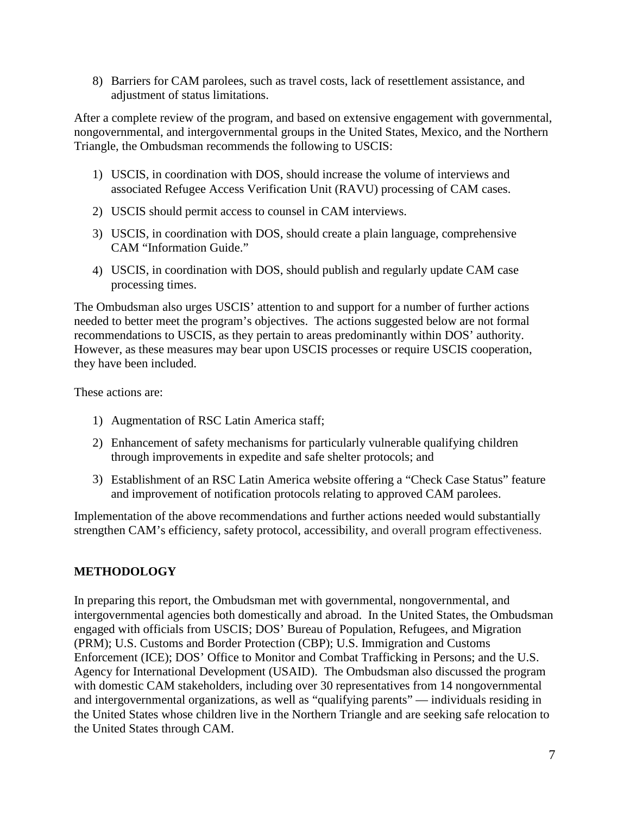8) Barriers for CAM parolees, such as travel costs, lack of resettlement assistance, and adjustment of status limitations.

After a complete review of the program, and based on extensive engagement with governmental, nongovernmental, and intergovernmental groups in the United States, Mexico, and the Northern Triangle, the Ombudsman recommends the following to USCIS:

- 1) USCIS, in coordination with DOS, should increase the volume of interviews and associated Refugee Access Verification Unit (RAVU) processing of CAM cases.
- 2) USCIS should permit access to counsel in CAM interviews.
- 3) USCIS, in coordination with DOS, should create a plain language, comprehensive CAM "Information Guide."
- 4) USCIS, in coordination with DOS, should publish and regularly update CAM case processing times.

 The Ombudsman also urges USCIS' attention to and support for a number of further actions recommendations to USCIS, as they pertain to areas predominantly within DOS' authority. needed to better meet the program's objectives. The actions suggested below are not formal However, as these measures may bear upon USCIS processes or require USCIS cooperation, they have been included.

These actions are:

- 1) Augmentation of RSC Latin America staff;
- 2) Enhancement of safety mechanisms for particularly vulnerable qualifying children through improvements in expedite and safe shelter protocols; and
- 3) Establishment of an RSC Latin America website offering a "Check Case Status" feature and improvement of notification protocols relating to approved CAM parolees.

 strengthen CAM's efficiency, safety protocol, accessibility, and overall program effectiveness. Implementation of the above recommendations and further actions needed would substantially

#### <span id="page-6-0"></span>**METHODOLOGY**

In preparing this report, the Ombudsman met with governmental, nongovernmental, and intergovernmental agencies both domestically and abroad. In the United States, the Ombudsman engaged with officials from USCIS; DOS' Bureau of Population, Refugees, and Migration (PRM); U.S. Customs and Border Protection (CBP); U.S. Immigration and Customs Enforcement (ICE); DOS' Office to Monitor and Combat Trafficking in Persons; and the U.S. Agency for International Development (USAID). The Ombudsman also discussed the program with domestic CAM stakeholders, including over 30 representatives from 14 nongovernmental and intergovernmental organizations, as well as "qualifying parents" — individuals residing in the United States whose children live in the Northern Triangle and are seeking safe relocation to the United States through CAM.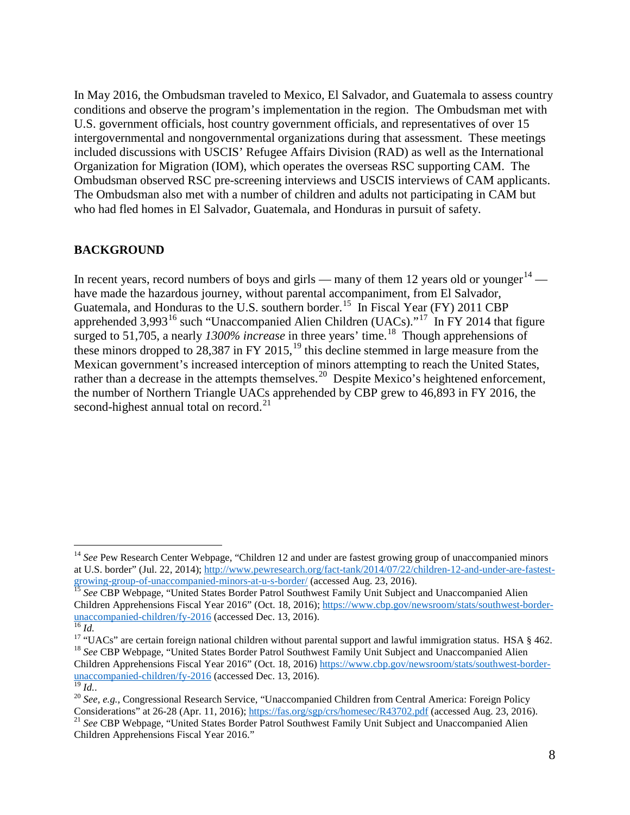In May 2016, the Ombudsman traveled to Mexico, El Salvador, and Guatemala to assess country conditions and observe the program's implementation in the region. The Ombudsman met with U.S. government officials, host country government officials, and representatives of over 15 intergovernmental and nongovernmental organizations during that assessment. These meetings included discussions with USCIS' Refugee Affairs Division (RAD) as well as the International Organization for Migration (IOM), which operates the overseas RSC supporting CAM. The Ombudsman observed RSC pre-screening interviews and USCIS interviews of CAM applicants. The Ombudsman also met with a number of children and adults not participating in CAM but who had fled homes in El Salvador, Guatemala, and Honduras in pursuit of safety.

#### <span id="page-7-0"></span>**BACKGROUND**

Guatemala, and Honduras to the U.S. southern border.<sup>15</sup> In Fiscal Year (FY) 2011 CBP apprehended 3,993<sup>16</sup> such "Unaccompanied Alien Children (UACs)."<sup>17</sup> In FY 2014 that figure rather than a decrease in the attempts themselves.<sup>[20](#page-7-7)</sup> Despite Mexico's heightened enforcement, second-highest annual total on record.<sup>21</sup> In recent years, record numbers of boys and girls — many of them 12 years old or younger<sup>[14](#page-7-1)</sup> have made the hazardous journey, without parental accompaniment, from El Salvador, surged to 51,705, a nearly 1300% increase in three years' time.<sup>18</sup> Though apprehensions of these minors dropped to 28,387 in FY 2015,<sup>[19](#page-7-6)</sup> this decline stemmed in large measure from the Mexican government's increased interception of minors attempting to reach the United States, the number of Northern Triangle UACs apprehended by CBP grew to 46,893 in FY 2016, the

 $\overline{a}$ 

<span id="page-7-1"></span><sup>&</sup>lt;sup>14</sup> See Pew Research Center Webpage, "Children 12 and under are fastest growing group of unaccompanied minors at U.S. border" (Jul. 22, 2014)[; http://www.pewresearch.org/fact-tank/2014/07/22/children-12-and-under-are-fastest](http://www.pewresearch.org/fact-tank/2014/07/22/children-12-and-under-are-fastest-growing-group-of-unaccompanied-minors-at-u-s-border/)[growing-group-of-unaccompanied-minors-at-u-s-border/](http://www.pewresearch.org/fact-tank/2014/07/22/children-12-and-under-are-fastest-growing-group-of-unaccompanied-minors-at-u-s-border/) (accessed Aug. 23, 2016). <sup>15</sup>*See* CBP Webpage, "United States Border Patrol Southwest Family Unit Subject and Unaccompanied Alien

<span id="page-7-2"></span> $\overline{^{16}}$  Id. unaccompanied-children/fy-2016 [\(](https://www.cbp.gov/newsroom/stats/southwest-border-unaccompanied-children/fy-2016)accessed Dec. 13, 2016).<br><sup>16</sup> *Id.*<br><sup>17</sup> "UACs" are certain foreign national children without parental support and lawful immigration status. HSA § 462. Children Apprehensions Fiscal Year 2016" (Oct. 18, 2016); https://www.cbp.gov/newsroom/stats/southwest-border-<br>unaccompanied-children/fy-2016 (accessed Dec. 13, 2016).

<span id="page-7-5"></span><span id="page-7-4"></span><span id="page-7-3"></span><sup>&</sup>lt;sup>17</sup> "UACs" are certain foreign national children without parental support and lawful immigration status. HSA § 462.<br><sup>18</sup> See CBP Webpage, "United States Border Patrol Southwest Family Unit Subject and Unaccompanied Alien Children Apprehensions Fiscal Year 2016" (Oct. 18, 2016) [https://www.cbp.gov/newsroom/stats/southwest-border](https://www.cbp.gov/newsroom/stats/southwest-border-unaccompanied-children/fy-2016)[unaccompanied-children/fy-2016 \(](https://www.cbp.gov/newsroom/stats/southwest-border-unaccompanied-children/fy-2016)accessed Dec. 13, 2016). <sup>19</sup>*Id.*.

<span id="page-7-7"></span><span id="page-7-6"></span> $\overline{^{19}}$ *Id..* 

<sup>&</sup>lt;sup>19</sup> Id..<br><sup>20</sup> See, e.g., Congressional Research Service, "Unaccompanied Children from Central America: Foreign Policy Considerations" at 26-28 (Apr. 11, 2016); [https://fas.org/sgp/crs/homesec/R43702.pdf \(](https://fas.org/sgp/crs/homesec/R43702.pdf)accessed Aug. 23, 2016). <sup>21</sup>*See* CBP Webpage, "United States Border Patrol Southwest Family Unit Subject and Unaccompanied Alien

<span id="page-7-8"></span>Children Apprehensions Fiscal Year 2016."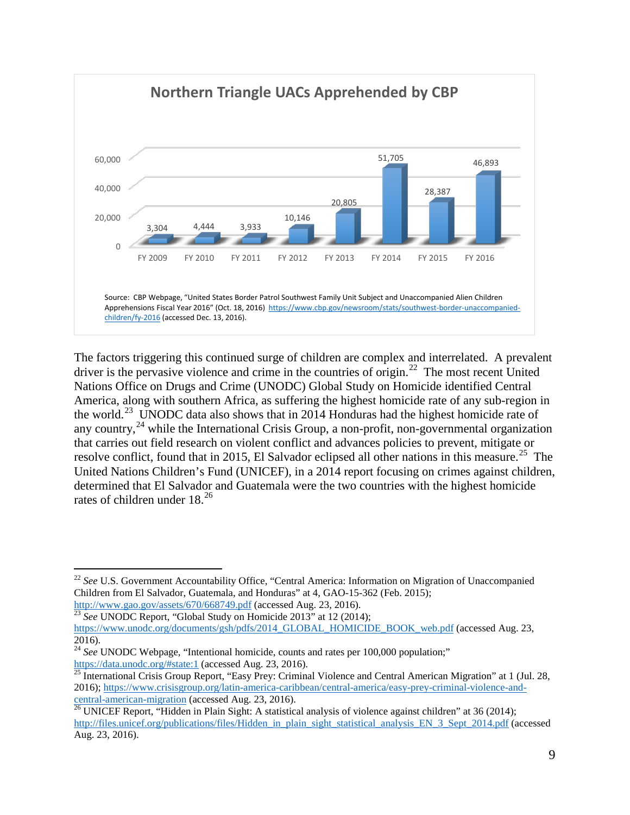

 The factors triggering this continued surge of children are complex and interrelated. A prevalent driver is the pervasive violence and crime in the countries of origin.<sup>22</sup> The most recent United the world.<sup>[23](#page-8-1)</sup> UNODC data also shows that in 2014 Honduras had the highest homicide rate of resolve conflict, found that in 2015, El Salvador eclipsed all other nations in this measure.<sup>25</sup> The rates of children under  $18.^{26}$ Nations Office on Drugs and Crime (UNODC) Global Study on Homicide identified Central America, along with southern Africa, as suffering the highest homicide rate of any sub-region in any country,  $^{24}$  while the International Crisis Group, a non-profit, non-governmental organization that carries out field research on violent conflict and advances policies to prevent, mitigate or United Nations Children's Fund (UNICEF), in a 2014 report focusing on crimes against children, determined that El Salvador and Guatemala were the two countries with the highest homicide

<span id="page-8-0"></span> $\overline{a}$ <sup>22</sup> See U.S. Government Accountability Office, "Central America: Information on Migration of Unaccompanied Children from El Salvador, Guatemala, and Honduras" at 4, GAO-15-362 (Feb. 2015);

http://www.gao.gov/assets/670/668749.pdf (accessed Aug. 23, 2016). <sup>23</sup>*See* UNODC Report, "Global Study on Homicide 2013" at 12 (2014);

<span id="page-8-1"></span>[https://www.unodc.org/documents/gsh/pdfs/2014\\_GLOBAL\\_HOMICIDE\\_BOOK\\_web.pdf](https://www.unodc.org/documents/gsh/pdfs/2014_GLOBAL_HOMICIDE_BOOK_web.pdf) (accessed Aug. 23, 2016).

<span id="page-8-2"></span><sup>&</sup>lt;sup>24</sup> See UNODC Webpage, "Intentional homicide, counts and rates per 100,000 population;" <https://data.unodc.org/#state:1>(accessed Aug. 23, 2016).<br> $\frac{\text{https://data.unode.org/#state:1}}{25 \text{ International Oil}}$  (accessed Aug. 23, 2016).

<span id="page-8-3"></span>25 International Crisis Group Report, "Easy Prey: Criminal Violence and Central American Migration" at 1 (Jul. 28, 2016)[; https://www.crisisgroup.org/latin-america-caribbean/central-america/easy-prey-criminal-violence-and-](https://www.crisisgroup.org/latin-america-caribbean/central-america/easy-prey-criminal-violence-and-central-american-migration)

<span id="page-8-4"></span>[central-american-migration](https://www.crisisgroup.org/latin-america-caribbean/central-america/easy-prey-criminal-violence-and-central-american-migration) (accessed Aug. 23, 2016). 26 UNICEF Report, "Hidden in Plain Sight: A statistical analysis of violence against children" at 36 (2014); [http://files.unicef.org/publications/files/Hidden\\_in\\_plain\\_sight\\_statistical\\_analysis\\_EN\\_3\\_Sept\\_2014.pdf](http://files.unicef.org/publications/files/Hidden_in_plain_sight_statistical_analysis_EN_3_Sept_2014.pdf) (accessed Aug. 23, 2016).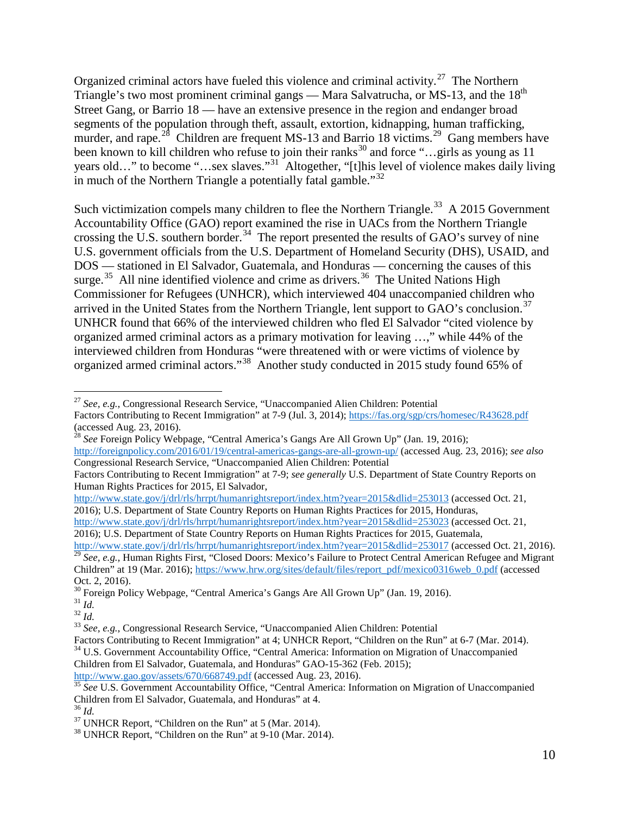murder, and rape.<sup>[28](#page-9-1)</sup> Children are frequent MS-13 and Barrio 18 victims.<sup>[29](#page-9-2)</sup> Gang members have been known to kill children who refuse to join their ranks<sup>30</sup> and force "...girls as young as 11 Organized criminal actors have fueled this violence and criminal activity.<sup>[27](#page-9-0)</sup> The Northern Triangle's two most prominent criminal gangs — Mara Salvatrucha, or MS-13, and the  $18<sup>th</sup>$ Street Gang, or Barrio 18 — have an extensive presence in the region and endanger broad segments of the population through theft, assault, extortion, kidnapping, human trafficking, years old…" to become "…sex slaves."<sup>[31](#page-9-4)</sup> Altogether, "[t]his level of violence makes daily living in much of the Northern Triangle a potentially fatal gamble." $32$ 

arrived in the United States from the Northern Triangle, lent support to  $\tilde{G}AO$ 's conclusion.<sup>37</sup> Such victimization compels many children to flee the Northern Triangle.<sup>33</sup> A 2015 Government Accountability Office (GAO) report examined the rise in UACs from the Northern Triangle crossing the U.S. southern border.<sup>[34](#page-9-7)</sup> The report presented the results of GAO's survey of nine U.S. government officials from the U.S. Department of Homeland Security (DHS), USAID, and DOS — stationed in El Salvador, Guatemala, and Honduras — concerning the causes of this surge.<sup>35</sup> All nine identified violence and crime as drivers.<sup>36</sup> The United Nations High Commissioner for Refugees (UNHCR), which interviewed 404 unaccompanied children who UNHCR found that 66% of the interviewed children who fled El Salvador "cited violence by organized armed criminal actors as a primary motivation for leaving …," while 44% of the interviewed children from Honduras "were threatened with or were victims of violence by organized armed criminal actors."[38](#page-9-11) Another study conducted in 2015 study found 65% of

[http://www.state.gov/j/drl/rls/hrrpt/humanrightsreport/index.htm?year=2015&dlid=253013 \(](http://www.state.gov/j/drl/rls/hrrpt/humanrightsreport/index.htm?year=2015&dlid=253013)accessed Oct. 21, 2016); U.S. Department of State Country Reports on Human Rights Practices for 2015, Honduras,

 $\overline{a}$ 

<span id="page-9-0"></span>Factors Contributing to Recent Immigration" at 7-9 (Jul. 3, 2014);<https://fas.org/sgp/crs/homesec/R43628.pdf> (accessed Aug. 23, 2016).<br><sup>28</sup> *See* Foreign Policy Webpage, "Central America's Gangs Are All Grown Up" (Jan. 19, 2016); <sup>27</sup>*See, e.g.*, Congressional Research Service, "Unaccompanied Alien Children: Potential

<span id="page-9-1"></span> <http://foreignpolicy.com/2016/01/19/central-americas-gangs-are-all-grown-up/>(accessed Aug. 23, 2016); *see also* Congressional Research Service, "Unaccompanied Alien Children: Potential

 Factors Contributing to Recent Immigration" at 7-9; *see generally* U.S. Department of State Country Reports on Human Rights Practices for 2015, El Salvador,

[http://www.state.gov/j/drl/rls/hrrpt/humanrightsreport/index.htm?year=2015&dlid=253023 \(](http://www.state.gov/j/drl/rls/hrrpt/humanrightsreport/index.htm?year=2015&dlid=253023)accessed Oct. 21, 2016); U.S. Department of State Country Reports on Human Rights Practices for 2015, Guatemala,

<span id="page-9-2"></span>[http://www.state.gov/j/drl/rls/hrrpt/humanrightsreport/index.htm?year=2015&dlid=253017 \(](http://www.state.gov/j/drl/rls/hrrpt/humanrightsreport/index.htm?year=2015&dlid=253017)accessed Oct. 21, 2016). http://www.state.gov/j/drl/rls/hrrpt/humanrightsreport/index.htm?year=2015&dlid=253017 (accessed Oct. 21, 2016).<br><sup>29</sup> See, e.g., Human Rights First, "Closed Doors: Mexico's Failure to Protect Central American Refugee and M Children" at 19 (Mar. 2016)[; https://www.hrw.org/sites/default/files/report\\_pdf/mexico0316web\\_0.pdf](https://www.hrw.org/sites/default/files/report_pdf/mexico0316web_0.pdf) (accessed Oct. 2, 2016).

<sup>&</sup>lt;sup>30</sup> Foreign Policy Webpage, ["Central America's Gangs Are All Grown Up"](http://foreignpolicy.com/2016/01/19/central-americas-gangs-are-all-grown-up/) (Jan. 19, 2016).<br><sup>31</sup> Id.

<span id="page-9-5"></span><span id="page-9-4"></span><span id="page-9-3"></span> $\prescript{31}{}{Id.}$ 

<sup>&</sup>lt;sup>31</sup> Id.<br><sup>32</sup> Id.

<span id="page-9-6"></span><sup>33</sup>*See, e.g.*, Congressional Research Service, "Unaccompanied Alien Children: Potential

<span id="page-9-7"></span>Factors Contributing to Recent Immigration" at 4; UNHCR Report, "Children on the Run" at 6-7 (Mar. 2014). <sup>34</sup> U.S. Government Accountability Office, "Central America: Information on Migration of Unaccompanied Children from El Salvador, Guatemala, and Honduras" GAO-15-362 (Feb. 2015);

<http://www.gao.gov/assets/670/668749.pdf>(accessed Aug. 23, 2016).

<span id="page-9-8"></span>http://www.gao.gov/assets/670/668749.pdf (accessed Aug. 23, 2016).<br><sup>35</sup> See U.S. Government Accountability Office, "Central America: Information on Migration of Unaccompanied

<span id="page-9-11"></span><span id="page-9-10"></span>

<span id="page-9-9"></span><sup>&</sup>lt;sup>38</sup> UNHCR Report, "Children on the Run" at 9-10 (Mar. 2014). Children from El Salvador, Guatemala, and Honduras" at 4. <sup>36</sup>*Id.* 37 UNHCR Report, "Children on the Run" at 5 (Mar. 2014). 38 UNHCR Report, "Children on the Run" at 9-10 (Mar. 2014).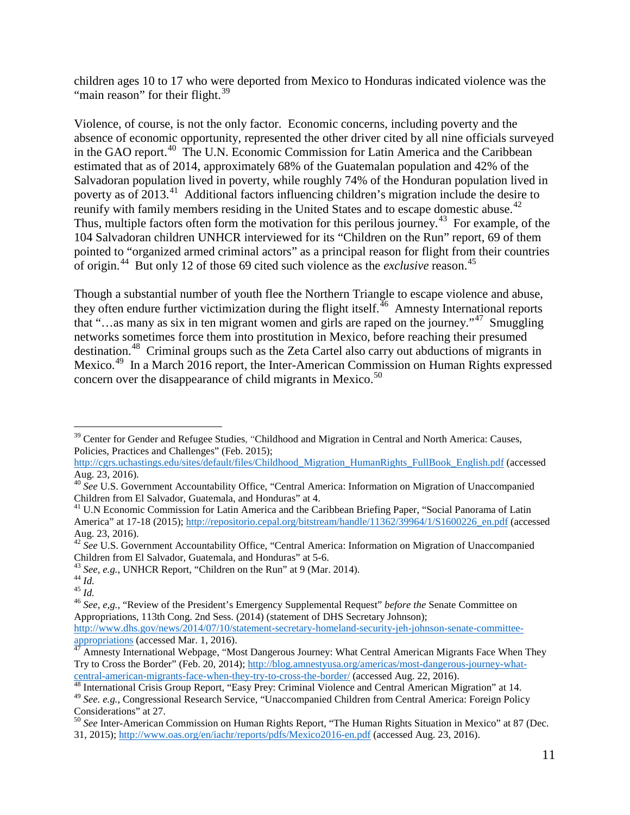"main reason" for their flight.<sup>39</sup> children ages 10 to 17 who were deported from Mexico to Honduras indicated violence was the

 absence of economic opportunity, represented the other driver cited by all nine officials surveyed reunify with family members residing in the United States and to escape domestic abuse.<sup>[42](#page-10-3)</sup> of origin.<sup>[44](#page-10-5)</sup> But only 12 of those 69 cited such violence as the *exclusive* reason.<sup>45</sup> Violence, of course, is not the only factor. Economic concerns, including poverty and the in the GAO report.[40](#page-10-1) The U.N. Economic Commission for Latin America and the Caribbean estimated that as of 2014, approximately 68% of the Guatemalan population and 42% of the Salvadoran population lived in poverty, while roughly 74% of the Honduran population lived in poverty as of 2013.<sup>[41](#page-10-2)</sup> Additional factors influencing children's migration include the desire to Thus, multiple factors often form the motivation for this perilous journey.<sup>43</sup> For example, of the 104 Salvadoran children UNHCR interviewed for its "Children on the Run" report, 69 of them pointed to "organized armed criminal actors" as a principal reason for flight from their countries

Mexico.<sup>[49](#page-10-10)</sup> In a March 2016 report, the Inter-American Commission on Human Rights expressed concern over the disappearance of child migrants in Mexico.<sup>50</sup> Though a substantial number of youth flee the Northern Triangle to escape violence and abuse, they often endure further victimization during the flight itself.<sup>46</sup> Amnesty International reports that "…as many as six in ten migrant women and girls are raped on the journey."[47](#page-10-8) Smuggling networks sometimes force them into prostitution in Mexico, before reaching their presumed destination.<sup>[48](#page-10-9)</sup> Criminal groups such as the Zeta Cartel also carry out abductions of migrants in

<span id="page-10-0"></span> $\overline{a}$ <sup>39</sup> Center for Gender and Refugee Studies, "Childhood and Migration in Central and North America: Causes, Policies, Practices and Challenges" (Feb. 2015);

 Aug. 23, 2016). [http://cgrs.uchastings.edu/sites/default/files/Childhood\\_Migration\\_HumanRights\\_FullBook\\_English.pdf](http://cgrs.uchastings.edu/sites/default/files/Childhood_Migration_HumanRights_FullBook_English.pdf) (accessed

<span id="page-10-1"></span>Children from El Salvador, Guatemala, and Honduras" at 4. <sup>40</sup> See U.S. Government Accountability Office, "Central America: Information on Migration of Unaccompanied

<span id="page-10-2"></span>Children from El Salvador, Guatemala, and Honduras" at 4.<br><sup>41</sup> U.N Economic Commission for Latin America and the Caribbean Briefing Paper, "Social Panorama of Latin America" at 17-18 (2015); [http://repositorio.cepal.org/bitstream/handle/11362/39964/1/S1600226\\_en.pdf](http://repositorio.cepal.org/bitstream/handle/11362/39964/1/S1600226_en.pdf) (accessed Aug. 23, 2016).

<span id="page-10-3"></span><sup>42</sup>*See* U.S. Government Accountability Office, "Central America: Information on Migration of Unaccompanied

<span id="page-10-4"></span>Children from El Salvador, Guatemala, and Honduras" at 5-6.<br><sup>43</sup> *See, e.g.*, UNHCR Report, "Children on the Run" at 9 (Mar. 2014). <sup>43</sup> See, e.g., UNHCR Report, "Children on the Run" at 9 (Mar. 2014).<br><sup>44</sup> Id.

<span id="page-10-5"></span><sup>&</sup>lt;sup>44</sup> Id.<br><sup>45</sup> Id.

<span id="page-10-7"></span><span id="page-10-6"></span><sup>46</sup>*See, e,g.*, "Review of the President's Emergency Supplemental Request" *before the* Senate Committee on Appropriations, 113th Cong. 2nd Sess. (2014) (statement of DHS Secretary Johnson);

[http://www.dhs.gov/news/2014/07/10/statement-secretary-homeland-security-jeh-johnson-senate-committee-](http://www.dhs.gov/news/2014/07/10/statement-secretary-homeland-security-jeh-johnson-senate-committee-appropriations) $\frac{1}{\text{approximation}}$  (accessed Mar. 1, 2016).

<span id="page-10-8"></span>Amnesty International Webpage, "Most Dangerous Journey: What Central American Migrants Face When They Try to Cross the Border" (Feb. 20, 2014); [http://blog.amnestyusa.org/americas/most-dangerous-journey-what-](http://blog.amnestyusa.org/americas/most-dangerous-journey-what-central-american-migrants-face-when-they-try-to-cross-the-border/)

<span id="page-10-9"></span>[central-american-migrants-face-when-they-try-to-cross-the-border/](http://blog.amnestyusa.org/americas/most-dangerous-journey-what-central-american-migrants-face-when-they-try-to-cross-the-border/) (accessed Aug. 22, 2016). 48 International Crisis Group Report, "Easy Prey: Criminal Violence and Central American Migration" at 14. <sup>49</sup>*See. e.g.*, Congressional Research Service, "Unaccompanied Children from Central America: Foreign Policy

<span id="page-10-11"></span><span id="page-10-10"></span>Considerations" at 27. <sup>50</sup>*See* Inter-American Commission on Human Rights Report, "The Human Rights Situation in Mexico" at 87 (Dec. 31, 2015)[; http://www.oas.org/en/iachr/reports/pdfs/Mexico2016-en.pdf \(](http://www.oas.org/en/iachr/reports/pdfs/Mexico2016-en.pdf)accessed Aug. 23, 2016).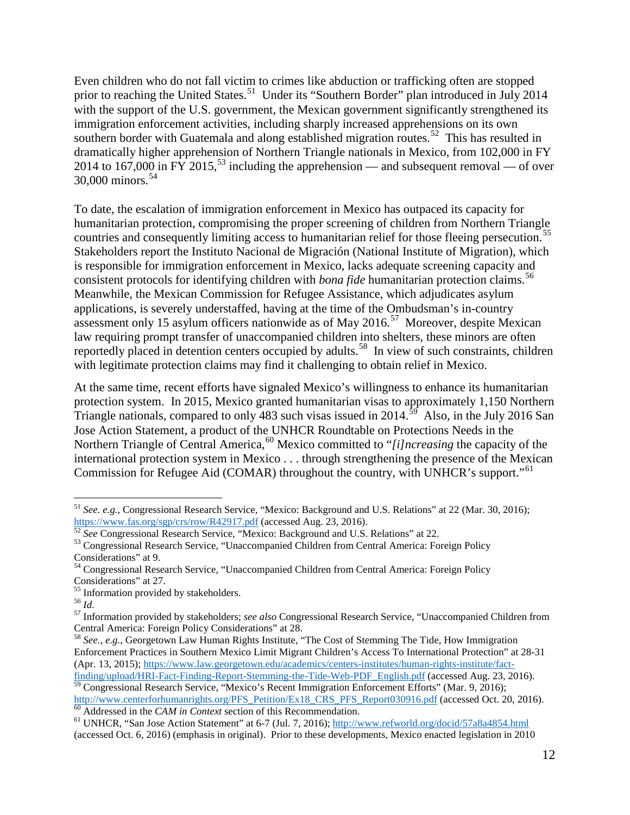Even children who do not fall victim to crimes like abduction or trafficking often are stopped prior to reaching the United States.<sup>51</sup> Under its "Southern Border" plan introduced in July 2014 with the support of the U.S. government, the Mexican government significantly strengthened its immigration enforcement activities, including sharply increased apprehensions on its own southern border with Guatemala and along established migration routes.<sup>52</sup> This has resulted in dramatically higher apprehension of Northern Triangle nationals in Mexico, from 102,000 in FY 2014 to 167,000 in FY 2015,<sup>53</sup> including the apprehension — and subsequent removal — of over  $30,000$  minors.<sup>[54](#page-11-3)</sup>

consistent protocols for identifying children with *bona fide* humanitarian protection claims.<sup>[56](#page-11-5)</sup> assessment only 15 asylum officers nationwide as of May 2016.<sup>57</sup> Moreover, despite Mexican reportedly placed in detention centers occupied by adults.<sup>[58](#page-11-7)</sup> In view of such constraints, children To date, the escalation of immigration enforcement in Mexico has outpaced its capacity for humanitarian protection, compromising the proper screening of children from Northern Triangle countries and consequently limiting access to humanitarian relief for those fleeing persecution.<sup>5</sup> Stakeholders report the Instituto Nacional de Migración (National Institute of Migration), which is responsible for immigration enforcement in Mexico, lacks adequate screening capacity and Meanwhile, the Mexican Commission for Refugee Assistance, which adjudicates asylum applications, is severely understaffed, having at the time of the Ombudsman's in-country law requiring prompt transfer of unaccompanied children into shelters, these minors are often with legitimate protection claims may find it challenging to obtain relief in Mexico.

 Commission for Refugee Aid (COMAR) throughout the country, with UNHCR's support."[61](#page-11-10)  At the same time, recent efforts have signaled Mexico's willingness to enhance its humanitarian protection system. In 2015, Mexico granted humanitarian visas to approximately 1,150 Northern Triangle nationals, compared to only 483 such visas issued in 2014.<sup>59</sup> Also, in the July 2016 San Jose Action Statement, a product of the UNHCR Roundtable on Protections Needs in the Northern Triangle of Central America,<sup>[60](#page-11-9)</sup> Mexico committed to "*[i]ncreasing* the capacity of the international protection system in Mexico . . . through strengthening the presence of the Mexican

<span id="page-11-0"></span> $\overline{a}$ <sup>51</sup>*See. e.g.*, Congressional Research Service, "Mexico: Background and U.S. Relations" at 22 (Mar. 30, 2016);

<span id="page-11-1"></span>See Congressional Research Service, "Mexico: Background and U.S. Relations" at 22. <https://www.fas.org/sgp/crs/row/R42917.pdf>(accessed Aug. 23, 2016). <sup>52</sup>*See* Congressional Research Service, "Mexico: Background and U.S. Relations" at 22.

<span id="page-11-2"></span><sup>53</sup> Congressional Research Service, "Unaccompanied Children from Central America: Foreign Policy

Considerations" at 9. 54 Congressional Research Service, "Unaccompanied Children from Central America: Foreign Policy

<span id="page-11-3"></span>Considerations" at 27.<br><sup>55</sup> Information provided by stakeholders. <sup>55</sup> Information provided by stakeholders.<br><sup>56</sup> Id.

<span id="page-11-5"></span><span id="page-11-4"></span> $56$  Id.

<span id="page-11-6"></span> 57 Information provided by stakeholders; *see also* Congressional Research Service, "Unaccompanied Children from Central America: Foreign Policy Considerations" at 28.

<span id="page-11-7"></span><sup>&</sup>lt;sup>58</sup> See., e.g., Georgetown Law Human Rights Institute, "The Cost of Stemming The Tide, How Immigration Enforcement Practices in Southern Mexico Limit Migrant Children's Access To International Protection" at 28-31 (Apr. 13, 2015); [https://www.law.georgetown.edu/academics/centers-institutes/human-rights-institute/fact](https://www.law.georgetown.edu/academics/centers-institutes/human-rights-institute/fact-finding/upload/HRI-Fact-Finding-Report-Stemming-the-Tide-Web-PDF_English.pdf)[finding/upload/HRI-Fact-Finding-Report-Stemming-the-Tide-Web-PDF\\_English.pdf \(](https://www.law.georgetown.edu/academics/centers-institutes/human-rights-institute/fact-finding/upload/HRI-Fact-Finding-Report-Stemming-the-Tide-Web-PDF_English.pdf)accessed Aug. 23, 2016).

<span id="page-11-8"></span><sup>&</sup>lt;sup>59</sup> Congressional Research Service, "Mexico's Recent Immigration Enforcement Efforts" (Mar. 9, 2016); [http://www.centerforhumanrights.org/PFS\\_Petition/Ex18\\_CRS\\_PFS\\_Report030916.pdf](http://www.centerforhumanrights.org/PFS_Petition/Ex18_CRS_PFS_Report030916.pdf) (accessed Oct. 20, 2016).<br><sup>60</sup> Addressed in the *CAM in Context* section of this Recommendation.

<span id="page-11-10"></span>

<span id="page-11-9"></span> (accessed Oct. 6, 2016) (emphasis in original). Prior to these developments, Mexico enacted legislation in 2010  $\frac{60}{61}$  Addressed in the *CAM in Context* section of this Recommendation.<br><sup>61</sup> UNHCR, "San Jose Action Statement" at 6-7 (Jul. 7, 2016)[; http://www.refworld.org/docid/57a8a4854.html](http://www.refworld.org/docid/57a8a4854.html)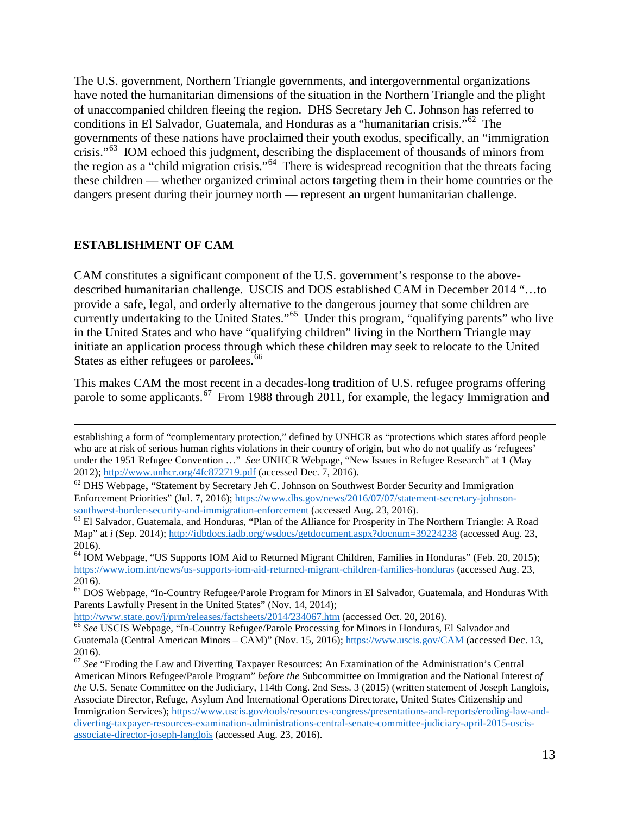conditions in El Salvador, Guatemala, and Honduras as a "humanitarian crisis."<sup>62</sup> The crisis."<sup>[63](#page-12-2)</sup> IOM echoed this judgment, describing the displacement of thousands of minors from the region as a "child migration crisis."<sup>64</sup> There is widespread recognition that the threats facing The U.S. government, Northern Triangle governments, and intergovernmental organizations have noted the humanitarian dimensions of the situation in the Northern Triangle and the plight of unaccompanied children fleeing the region. DHS Secretary Jeh C. Johnson has referred to governments of these nations have proclaimed their youth exodus, specifically, an "immigration these children — whether organized criminal actors targeting them in their home countries or the dangers present during their journey north — represent an urgent humanitarian challenge.

#### <span id="page-12-0"></span>**ESTABLISHMENT OF CAM**

States as either refugees or parolees.<sup>[66](#page-12-5)</sup> CAM constitutes a significant component of the U.S. government's response to the abovedescribed humanitarian challenge. USCIS and DOS established CAM in December 2014 "…to provide a safe, legal, and orderly alternative to the dangerous journey that some children are currently undertaking to the United States."[65](#page-12-4) Under this program, "qualifying parents" who live in the United States and who have "qualifying children" living in the Northern Triangle may initiate an application process through which these children may seek to relocate to the United

This makes CAM the most recent in a decades-long tradition of U.S. refugee programs offering parole to some applicants.<sup>67</sup> From 1988 through 2011, for example, the legacy Immigration and

[http://www.state.gov/j/prm/releases/factsheets/2014/234067.htm \(](http://www.state.gov/j/prm/releases/factsheets/2014/234067.htm)accessed Oct. 20, 2016).

 $\overline{a}$  who are at risk of serious human rights violations in their country of origin, but who do not qualify as 'refugees' under the 1951 Refugee Convention …" *See* UNHCR Webpage, "New Issues in Refugee Research" at 1 (May establishing a form of "complementary protection," defined by UNHCR as "protections which states afford people 2012)[; http://www.unhcr.org/4fc872719.pdf](http://www.unhcr.org/4fc872719.pdf) (accessed Dec. 7, 2016).

<span id="page-12-1"></span> $62$  DHS Webpage, "Statement by Secretary Jeh C. Johnson on Southwest Border Security and Immigration Enforcement Priorities" (Jul. 7, 2016); https://www.dhs.gov/news/2016/07/07/statement-secretary-johnson-southwest-border-security-and-immigration-enforcement (accessed Aug. 23, 2016).

<span id="page-12-2"></span> $\overline{63}$  El Salvador, Guatemala, and Honduras, "Plan of the Alliance for Prosperity in The Northern Triangle: A Road Map" at *i* (Sep. 2014);<http://idbdocs.iadb.org/wsdocs/getdocument.aspx?docnum=39224238>(accessed Aug. 23, 2016).

<span id="page-12-3"></span> <https://www.iom.int/news/us-supports-iom-aid-returned-migrant-children-families-honduras>(accessed Aug. 23, <sup>64</sup> IOM Webpage, "US Supports IOM Aid to Returned Migrant Children, Families in Honduras" (Feb. 20, 2015); 2016).

<span id="page-12-4"></span><sup>&</sup>lt;sup>65</sup> DOS Webpage, "In-Country Refugee/Parole Program for Minors in El Salvador, Guatemala, and Honduras With Parents Lawfully Present in the United States" (Nov. 14, 2014);

<span id="page-12-5"></span>http://www.state.gov/j/prm/releases/factsheets/2014/234067.htm (accessed Oct. 20, 2016).<br><sup>66</sup> See USCIS Webpage, "In-Country Refugee/Parole Processing for Minors in Honduras, El Salvador and 2016). Guatemala (Central American Minors – CAM)" (Nov. 15, 2016);<https://www.uscis.gov/CAM>(accessed Dec. 13,

<span id="page-12-6"></span><sup>67</sup>*See* "Eroding the Law and Diverting Taxpayer Resources: An Examination of the Administration's Central American Minors Refugee/Parole Program" *before the* Subcommittee on Immigration and the National Interest *of the* U.S. Senate Committee on the Judiciary, 114th Cong. 2nd Sess. 3 (2015) (written statement of Joseph Langlois, Associate Director, Refuge, Asylum And International Operations Directorate, United States Citizenship and Immigration Services); [https://www.uscis.gov/tools/resources-congress/presentations-and-reports/eroding-law-and](https://www.uscis.gov/tools/resources-congress/presentations-and-reports/eroding-law-and-diverting-taxpayer-resources-examination-administrations-central-senate-committee-judiciary-april-2015-uscis-associate-director-joseph-langlois)[diverting-taxpayer-resources-examination-administrations-central-senate-committee-judiciary-april-2015-uscis](https://www.uscis.gov/tools/resources-congress/presentations-and-reports/eroding-law-and-diverting-taxpayer-resources-examination-administrations-central-senate-committee-judiciary-april-2015-uscis-associate-director-joseph-langlois)[associate-director-joseph-langlois](https://www.uscis.gov/tools/resources-congress/presentations-and-reports/eroding-law-and-diverting-taxpayer-resources-examination-administrations-central-senate-committee-judiciary-april-2015-uscis-associate-director-joseph-langlois) (accessed Aug. 23, 2016).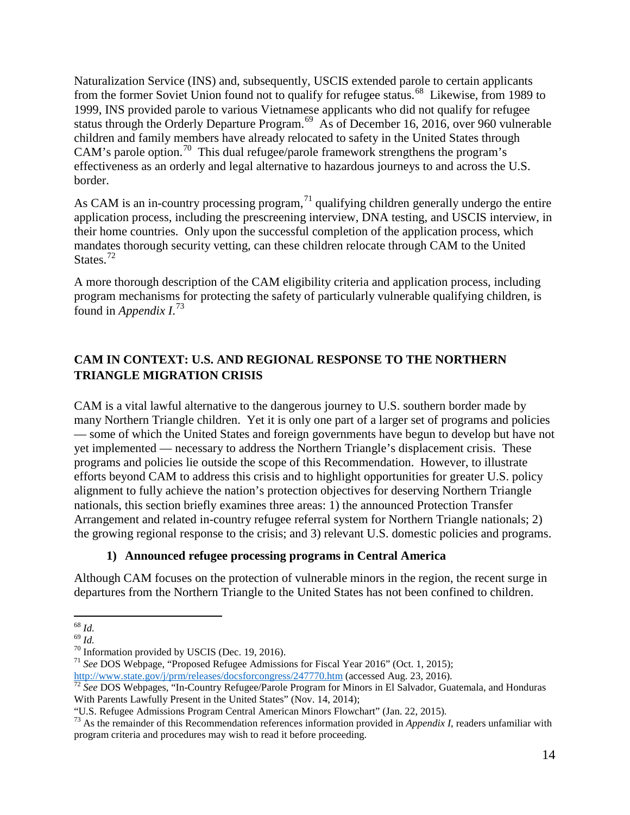from the former Soviet Union found not to qualify for refugee status.<sup>68</sup> Likewise, from 1989 to 1999, INS provided parole to various Vietnamese applicants who did not qualify for refugee effectiveness as an orderly and legal alternative to hazardous journeys to and across the U.S. Naturalization Service (INS) and, subsequently, USCIS extended parole to certain applicants status through the Orderly Departure Program.<sup>69</sup> As of December 16, 2016, over 960 vulnerable children and family members have already relocated to safety in the United States through CAM's parole option.<sup>[70](#page-13-3)</sup> This dual refugee/parole framework strengthens the program's border.

States. $72$ As CAM is an in-country processing program,  $^{71}$  qualifying children generally undergo the entire application process, including the prescreening interview, DNA testing, and USCIS interview, in their home countries. Only upon the successful completion of the application process, which mandates thorough security vetting, can these children relocate through CAM to the United

 found in *Appendix I*. [73](#page-13-6) A more thorough description of the CAM eligibility criteria and application process, including program mechanisms for protecting the safety of particularly vulnerable qualifying children, is

### <span id="page-13-0"></span>**CAM IN CONTEXT: U.S. AND REGIONAL RESPONSE TO THE NORTHERN TRIANGLE MIGRATION CRISIS**

CAM is a vital lawful alternative to the dangerous journey to U.S. southern border made by many Northern Triangle children. Yet it is only one part of a larger set of programs and policies — some of which the United States and foreign governments have begun to develop but have not yet implemented — necessary to address the Northern Triangle's displacement crisis. These programs and policies lie outside the scope of this Recommendation. However, to illustrate efforts beyond CAM to address this crisis and to highlight opportunities for greater U.S. policy alignment to fully achieve the nation's protection objectives for deserving Northern Triangle nationals, this section briefly examines three areas: 1) the announced Protection Transfer Arrangement and related in-country refugee referral system for Northern Triangle nationals; 2) the growing regional response to the crisis; and 3) relevant U.S. domestic policies and programs.

#### **1) Announced refugee processing programs in Central America**

Although CAM focuses on the protection of vulnerable minors in the region, the recent surge in departures from the Northern Triangle to the United States has not been confined to children.

<sup>71</sup> Information provided by USCIS (Dec. 19, 2016).<br><sup>71</sup> See DOS Webpage, "Proposed Refugee Admissions for Fiscal Year 2016" (Oct. 1, 2015);

 $\overline{a}$ 

<span id="page-13-2"></span><span id="page-13-1"></span> $^{69}$   $\overline{l}d.$ 

<span id="page-13-4"></span><span id="page-13-3"></span><sup>&</sup>lt;sup>70</sup> Information provided by USCIS (Dec. 19, 2016).

<span id="page-13-5"></span> With Parents Lawfully Present in the United States" (Nov. 14, 2014); [http://www.state.gov/j/prm/releases/docsforcongress/247770.htm \(](http://www.state.gov/j/prm/releases/docsforcongress/247770.htm)accessed Aug. 23, 2016). <sup>72</sup>*See* DOS Webpages, "In-Country Refugee/Parole Program for Minors in El Salvador, Guatemala, and Honduras

<span id="page-13-6"></span><sup>&</sup>quot;U.S. Refugee Admissions Program Central American Minors Flowchart" (Jan. 22, 2015).

 "U.S. Refugee Admissions Program Central American Minors Flowchart" (Jan. 22, 2015). 73 As the remainder of this Recommendation references information provided in *Appendix I*, readers unfamiliar with program criteria and procedures may wish to read it before proceeding.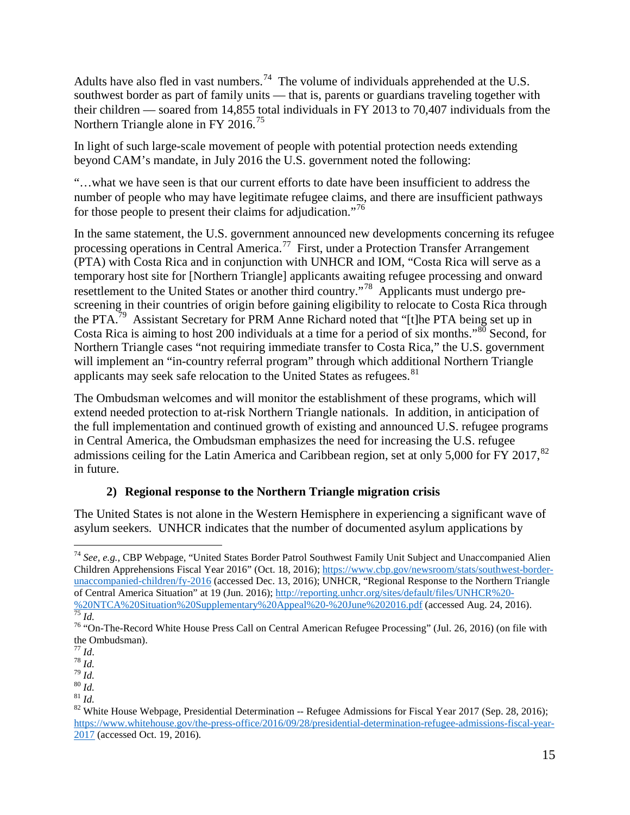Adults have also fled in vast numbers.<sup>[74](#page-14-0)</sup> The volume of individuals apprehended at the U.S. southwest border as part of family units — that is, parents or guardians traveling together with their children — soared from 14,855 total individuals in FY 2013 to 70,407 individuals from the Northern Triangle alone in FY 2016.<sup>[75](#page-14-1)</sup>

In light of such large-scale movement of people with potential protection needs extending beyond CAM's mandate, in July 2016 the U.S. government noted the following:

"…what we have seen is that our current efforts to date have been insufficient to address the number of people who may have legitimate refugee claims, and there are insufficient pathways for those people to present their claims for adjudication."[76](#page-14-2)

In the same statement, the U.S. government announced new developments concerning its refugee processing operations in Central America.[77](#page-14-3) First, under a Protection Transfer Arrangement (PTA) with Costa Rica and in conjunction with UNHCR and IOM, "Costa Rica will serve as a temporary host site for [Northern Triangle] applicants awaiting refugee processing and onward resettlement to the United States or another third country."<sup>[78](#page-14-4)</sup> Applicants must undergo prescreening in their countries of origin before gaining eligibility to relocate to Costa Rica through the PTA.<sup>[79](#page-14-5)</sup> Assistant Secretary for PRM Anne Richard noted that "[t]he PTA being set up in Costa Rica is aiming to host 200 individuals at a time for a period of six months."[80](#page-14-6) Second, for Northern Triangle cases "not requiring immediate transfer to Costa Rica," the U.S. government will implement an "in-country referral program" through which additional Northern Triangle applicants may seek safe relocation to the United States as refugees.<sup>[81](#page-14-7)</sup>

The Ombudsman welcomes and will monitor the establishment of these programs, which will extend needed protection to at-risk Northern Triangle nationals. In addition, in anticipation of the full implementation and continued growth of existing and announced U.S. refugee programs in Central America, the Ombudsman emphasizes the need for increasing the U.S. refugee admissions ceiling for the Latin America and Caribbean region, set at only 5,000 for FY 2017.<sup>[82](#page-14-8)</sup> in future.

### **2) Regional response to the Northern Triangle migration crisis**

The United States is not alone in the Western Hemisphere in experiencing a significant wave of asylum seekers*.* UNHCR indicates that the number of documented asylum applications by

<span id="page-14-0"></span> $\overline{a}$ <sup>74</sup>*See, e.g.,* CBP Webpage, "United States Border Patrol Southwest Family Unit Subject and Unaccompanied Alien Children Apprehensions Fiscal Year 2016" (Oct. 18, 2016)[; https://www.cbp.gov/newsroom/stats/southwest-border](https://www.cbp.gov/newsroom/stats/southwest-border-unaccompanied-children/fy-2016)[unaccompanied-children/fy-2016](https://www.cbp.gov/newsroom/stats/southwest-border-unaccompanied-children/fy-2016) (accessed Dec. 13, 2016); UNHCR, "Regional Response to the Northern Triangle of Central America Situation" at 19 (Jun. 2016); http://reporting.unhcr.org/sites/default/files/UNHCR%20of Central America Situation" at 19 (Jun. 2016); [http://reporting.unhcr.org/sites/default/files/UNHCR%20](http://reporting.unhcr.org/sites/default/files/UNHCR%20-%20NTCA%20Situation%20Supplementary%20Appeal%20-%20June%202016.pdf)-%20NTCA%20Situation%20Supplementary%20Appeal%20-%20June%202016.pdf (accessed Aug. 24, 2016). [75](http://reporting.unhcr.org/sites/default/files/UNHCR%20-%20NTCA%20Situation%20Supplementary%20Appeal%20-%20June%202016.pdf) *Id.* 76 "On-The-Record White House Press Call on Central American Refugee Processing" (Jul. 26, 2016) (on file with

<span id="page-14-2"></span><span id="page-14-1"></span>the Ombudsman).<br> $^{77}$  *Id*.

<span id="page-14-6"></span>

<span id="page-14-8"></span><span id="page-14-7"></span>

<span id="page-14-5"></span><span id="page-14-4"></span><span id="page-14-3"></span><sup>&</sup>lt;sup>78</sup>*Id.*<br><sup>79</sup>*Id.* <sup>82</sup><br><sup>81</sup>*Id.* <sup>82</sup> White House Webpage, Presidential Determination -- Refugee Admissions for Fiscal Year 2017 (Sep. 28, 2016); [https://www.whitehouse.gov/the-press-office/2016/09/28/presidential-determination-refugee-admissions-fiscal-year-](https://www.whitehouse.gov/the-press-office/2016/09/28/presidential-determination-refugee-admissions-fiscal-year-2017)[2017](https://www.whitehouse.gov/the-press-office/2016/09/28/presidential-determination-refugee-admissions-fiscal-year-2017) (accessed Oct. 19, 2016).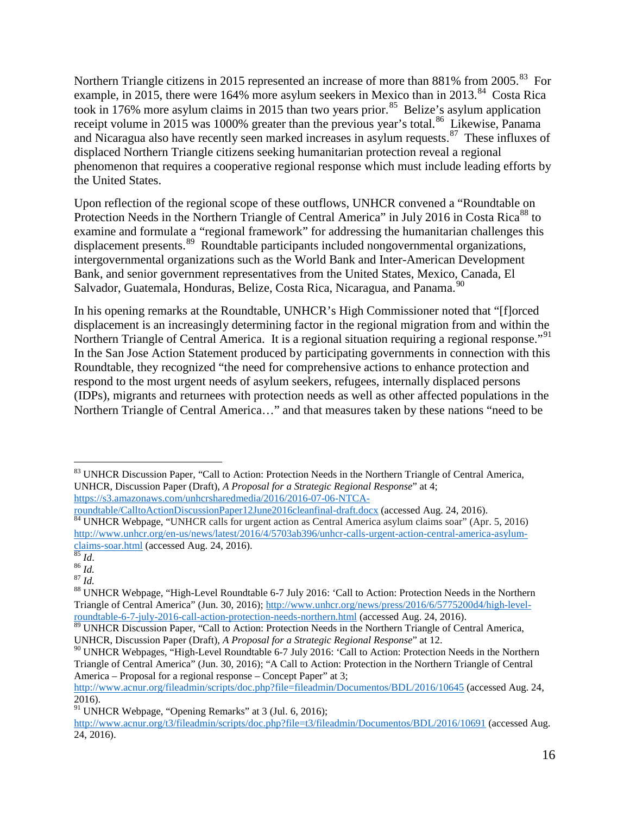Northern Triangle citizens in 2015 represented an increase of more than 881% from 2005.<sup>[83](#page-15-0)</sup> For example, in 2015, there were 164% more asylum seekers in Mexico than in 2013.<sup>84</sup> Costa Rica took in 176% more asylum claims in 2015 than two years prior.<sup>85</sup> Belize's asylum application receipt volume in 2015 was 1000% greater than the previous year's total.<sup>86</sup> Likewise, Panama the United States. and Nicaragua also have recently seen marked increases in asylum requests.<sup>87</sup> These influxes of displaced Northern Triangle citizens seeking humanitarian protection reveal a regional phenomenon that requires a cooperative regional response which must include leading efforts by

Salvador, Guatemala, Honduras, Belize, Costa Rica, Nicaragua, and Panama.<sup>90</sup> Upon reflection of the regional scope of these outflows, UNHCR convened a "Roundtable on Protection Needs in the Northern Triangle of Central America" in July 2016 in Costa Rica<sup>88</sup> to examine and formulate a "regional framework" for addressing the humanitarian challenges this displacement presents.<sup>[89](#page-15-6)</sup> Roundtable participants included nongovernmental organizations, intergovernmental organizations such as the World Bank and Inter-American Development Bank, and senior government representatives from the United States, Mexico, Canada, El

 In his opening remarks at the Roundtable, UNHCR's High Commissioner noted that "[f]orced Northern Triangle of Central America. It is a regional situation requiring a regional response."<sup>91</sup> displacement is an increasingly determining factor in the regional migration from and within the In the San Jose Action Statement produced by participating governments in connection with this Roundtable, they recognized "the need for comprehensive actions to enhance protection and respond to the most urgent needs of asylum seekers, refugees, internally displaced persons (IDPs), migrants and returnees with protection needs as well as other affected populations in the Northern Triangle of Central America…" and that measures taken by these nations "need to be

<span id="page-15-0"></span> $\overline{a}$ <sup>83</sup> UNHCR Discussion Paper, "Call to Action: Protection Needs in the Northern Triangle of Central America, UNHCR, Discussion Paper (Draft), *A Proposal for a Strategic Regional Response*" at 4;

<span id="page-15-1"></span>https://s3.amazonaws.com/unhcrsharedmedia/2016/2016-07-06-NTCA-<br>roundtable/CalltoActionDiscussionPaper12June2016cleanfinal-draft.docx (accessed Aug. 24, 2016).  $\overline{84}$  UNHCR Webpage, "UNHCR calls for urgent action as Central America asylum claims soar" (Apr. 5, 2016). http://www.unhcr.org/en-us/news/latest/2016/4/5703ab396/unhcr-calls-urgent-action-central-america-asylum-<br>claims-soar.html (accessed Aug. 24, 2016).

<span id="page-15-5"></span><span id="page-15-4"></span><span id="page-15-3"></span> $rac{86}{87}$  *Id.*<br> $rac{87}{1}$  *Id.* 

<span id="page-15-2"></span><sup>&</sup>lt;sup>85</sup>Id. <sup>86</sup>Id. <sup>86</sup><br><sup>86</sup>Id. <sup>87</sup><br><sup>88</sup> UNHCR Webpage, "High-Level Roundtable 6-7 July 2016: 'Call to Action: Protection Needs in the Northern Triangle of Central America" (Jun. 30, 2016); http://www.unhcr.org/news/press/2016/6/5775200d4/high-level-<br>roundtable-6-7-july-2016-call-action-protection-needs-northern.html (accessed Aug. 24, 2016).

<span id="page-15-6"></span> UNHCR, Discussion Paper (Draft), *A Proposal for a Strategic Regional Response*" at 12. <sup>89</sup> UNHCR Discussion Paper, "Call to Action: Protection Needs in the Northern Triangle of Central America,

<span id="page-15-7"></span><sup>&</sup>lt;sup>90</sup> UNHCR Webpages, "High-Level Roundtable 6-7 July 2016: 'Call to Action: Protection Needs in the Northern Triangle of Central America" (Jun. 30, 2016); "A Call to Action: Protection in the Northern Triangle of Central America – Proposal for a regional response – Concept Paper" at 3;

<http://www.acnur.org/fileadmin/scripts/doc.php?file=fileadmin/Documentos/BDL/2016/10645>(accessed Aug. 24, 2016).

<span id="page-15-8"></span><sup>&</sup>lt;sup>91</sup> UNHCR Webpage, "Opening Remarks" at 3 (Jul. 6, 2016);

[http://www.acnur.org/t3/fileadmin/scripts/doc.php?file=t3/fileadmin/Documentos/BDL/2016/10691 \(](http://www.acnur.org/t3/fileadmin/scripts/doc.php?file=t3/fileadmin/Documentos/BDL/2016/10691)accessed Aug. 24, 2016).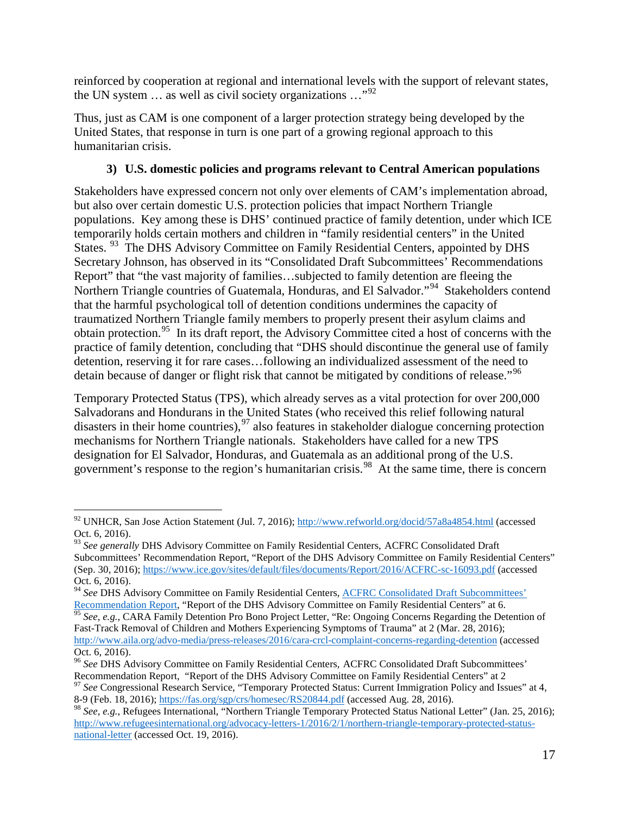reinforced by cooperation at regional and international levels with the support of relevant states, the UN system  $\ldots$  as well as civil society organizations  $\ldots$ <sup>92</sup>

 humanitarian crisis. Thus, just as CAM is one component of a larger protection strategy being developed by the United States, that response in turn is one part of a growing regional approach to this

### **3) U.S. domestic policies and programs relevant to Central American populations**

States. <sup>[93](#page-16-1)</sup> The DHS Advisory Committee on Family Residential Centers, appointed by DHS Northern Triangle countries of Guatemala, Honduras, and El Salvador."<sup>[94](#page-16-2)</sup> Stakeholders contend obtain protection.<sup>[95](#page-16-3)</sup> In its draft report, the Advisory Committee cited a host of concerns with the Stakeholders have expressed concern not only over elements of CAM's implementation abroad, but also over certain domestic U.S. protection policies that impact Northern Triangle populations. Key among these is DHS' continued practice of family detention, under which ICE temporarily holds certain mothers and children in "family residential centers" in the United Secretary Johnson, has observed in its "Consolidated Draft Subcommittees' Recommendations Report" that "the vast majority of families…subjected to family detention are fleeing the that the harmful psychological toll of detention conditions undermines the capacity of traumatized Northern Triangle family members to properly present their asylum claims and practice of family detention, concluding that "DHS should discontinue the general use of family detention, reserving it for rare cases…following an individualized assessment of the need to detain because of danger or flight risk that cannot be mitigated by conditions of release."<sup>96</sup>

 Temporary Protected Status (TPS), which already serves as a vital protection for over 200,000 mechanisms for Northern Triangle nationals. Stakeholders have called for a new TPS government's response to the region's humanitarian crisis.<sup>98</sup> At the same time, there is concern Salvadorans and Hondurans in the United States (who received this relief following natural disasters in their home countries),  $97$  also features in stakeholder dialogue concerning protection designation for El Salvador, Honduras, and Guatemala as an additional prong of the U.S.

<span id="page-16-0"></span> $\overline{a}$ <sup>92</sup> UNHCR, San Jose Action Statement (Jul. 7, 2016);<http://www.refworld.org/docid/57a8a4854.html>(accessed Oct. 6, 2016).

<span id="page-16-1"></span> Subcommittees' Recommendation Report, "Report of the DHS Advisory Committee on Family Residential Centers" <sup>93</sup>*See generally* DHS Advisory Committee on Family Residential Centers, ACFRC Consolidated Draft (Sep. 30, 2016); [https://www.ice.gov/sites/default/files/documents/Report/2016/ACFRC-sc-16093.pdf \(](https://www.ice.gov/sites/default/files/documents/Report/2016/ACFRC-sc-16093.pdf)accessed Oct. 6, 2016).

<span id="page-16-2"></span><sup>&</sup>lt;sup>94</sup> See DHS Advisory Committee on Family Residential Centers, [ACFRC Consolidated Draft Subcommittees'](https://www.ice.gov/sites/default/files/documents/Report/2016/ACFRC-sc-16093.pdf)

<span id="page-16-3"></span> Fast-Track Removal of Children and Mothers Experiencing Symptoms of Trauma" at 2 (Mar. 28, 2016); [Recommendation Report,](https://www.ice.gov/sites/default/files/documents/Report/2016/ACFRC-sc-16093.pdf) "Report of the DHS Advisory Committee on Family Residential Centers" at 6.<br><sup>95</sup> See, e.g., CARA Family Detention Pro Bono Project Letter, "Re: Ongoing Concerns Regarding the Detention of [http://www.aila.org/advo-media/press-releases/2016/cara-crcl-complaint-concerns-regarding-detention \(](http://www.aila.org/advo-media/press-releases/2016/cara-crcl-complaint-concerns-regarding-detention)accessed Oct. 6, 2016).

<span id="page-16-4"></span> <sup>96</sup>*See* DHS Advisory Committee on Family Residential Centers*,* ACFRC Consolidated Draft Subcommittees' Recommendation Report, "Report of the DHS Advisory Committee on Family Residential Centers" at 2 Recommendation Report, "Report of the DHS Advisory Committee on Family Residential Centers" at 2<br><sup>97</sup> See Congressional Research Service, "Temporary Protected Status: Current Immigration Policy and Issues" at 4,

<span id="page-16-5"></span><sup>8-9 (</sup>Feb. 18, 2016);<https://fas.org/sgp/crs/homesec/RS20844.pdf>(accessed Aug. 28, 2016).

<span id="page-16-6"></span><sup>98</sup>*See, e.g.*, Refugees International, "Northern Triangle Temporary Protected Status National Letter" (Jan. 25, 2016); [http://www.refugeesinternational.org/advocacy-letters-1/2016/2/1/northern-triangle-temporary-protected-status](http://www.refugeesinternational.org/advocacy-letters-1/2016/2/1/northern-triangle-temporary-protected-status-national-letter)[national-letter](http://www.refugeesinternational.org/advocacy-letters-1/2016/2/1/northern-triangle-temporary-protected-status-national-letter) (accessed Oct. 19, 2016).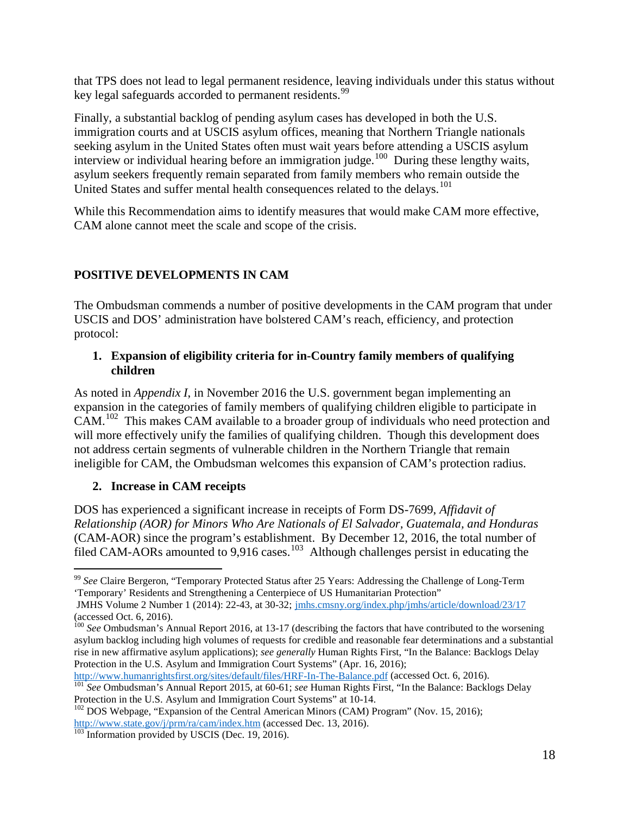key legal safeguards accorded to permanent residents.<sup>99</sup> that TPS does not lead to legal permanent residence, leaving individuals under this status without

 Finally, a substantial backlog of pending asylum cases has developed in both the U.S. interview or individual hearing before an immigration judge.<sup>100</sup> During these lengthy waits, asylum seekers frequently remain separated from family members who remain outside the United States and suffer mental health consequences related to the delays.<sup>101</sup> immigration courts and at USCIS asylum offices, meaning that Northern Triangle nationals seeking asylum in the United States often must wait years before attending a USCIS asylum

 CAM alone cannot meet the scale and scope of the crisis. While this Recommendation aims to identify measures that would make CAM more effective,

### <span id="page-17-0"></span>**POSITIVE DEVELOPMENTS IN CAM**

The Ombudsman commends a number of positive developments in the CAM program that under USCIS and DOS' administration have bolstered CAM's reach, efficiency, and protection protocol:

#### **1. Expansion of eligibility criteria for in-Country family members of qualifying children**

As noted in *Appendix I*, in November 2016 the U.S. government began implementing an expansion in the categories of family members of qualifying children eligible to participate in CAM.[102](#page-17-4) This makes CAM available to a broader group of individuals who need protection and will more effectively unify the families of qualifying children. Though this development does not address certain segments of vulnerable children in the Northern Triangle that remain ineligible for CAM, the Ombudsman welcomes this expansion of CAM's protection radius.

#### **2. Increase in CAM receipts**

DOS has experienced a significant increase in receipts of Form DS-7699, *Affidavit of Relationship (AOR) for Minors Who Are Nationals of El Salvador, Guatemala, and Honduras*  (CAM-AOR) since the program's establishment. By December 12, 2016, the total number of filed CAM-AORs amounted to 9,916 cases.<sup>[103](#page-17-5)</sup> Although challenges persist in educating the

<span id="page-17-1"></span> $\overline{a}$  <sup>99</sup>*See* Claire Bergeron, "Temporary Protected Status after 25 Years: Addressing the Challenge of Long-Term 'Temporary' Residents and Strengthening a Centerpiece of US Humanitarian Protection"

 (accessed Oct. 6, 2016). JMHS Volume 2 Number 1 (2014): 22-43, at 30-32; jmhs.cmsny.org/index.php/jmhs/article/download/23/17

<span id="page-17-2"></span><sup>&</sup>lt;sup>100</sup> See Ombudsman's Annual Report 2016, at 13-17 (describing the factors that have contributed to the worsening rise in new affirmative asylum applications); *see generally* Human Rights First, "In the Balance: Backlogs Delay asylum backlog including high volumes of requests for credible and reasonable fear determinations and a substantial Protection in the U.S. Asylum and Immigration Court Systems" (Apr. 16, 2016);<br>http://www.humanrightsfirst.org/sites/default/files/HRF-In-The-Balance.pdf (accessed Oct. 6, 2016).

<span id="page-17-3"></span>

 <http://www.humanrightsfirst.org/sites/default/files/HRF-In-The-Balance.pdf>(accessed Oct. 6, 2016). [101](http://www.humanrightsfirst.org/sites/default/files/HRF-In-The-Balance.pdf) *See* Ombudsman's Annual Report 2015, at 60-61; *see* Human Rights First, "In the Balance: Backlogs Delay

<span id="page-17-4"></span>Protection in the U.S. Asylum and Immigration Court Systems" at 10-14.<br><sup>102</sup> DOS Webpage, "Expansion of the Central American Minors (CAM) Program" (Nov. 15, 2016); [http://www.state.gov/j/prm/ra/cam/index.htm \(](http://www.state.gov/j/prm/ra/cam/index.htm)accessed Dec. 13, 2016).<br><sup>103</sup> Information provided by USCIS (Dec. 19, 2016).

<span id="page-17-5"></span>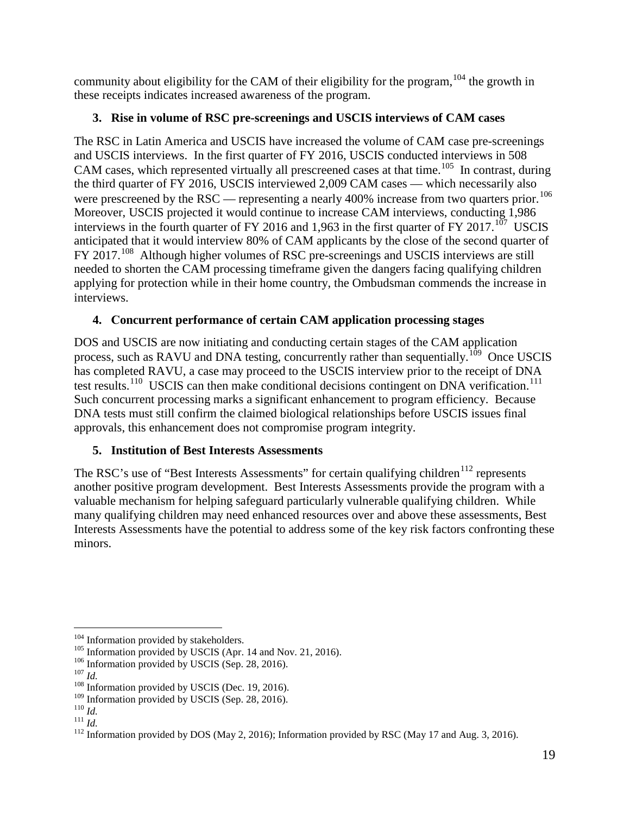community about eligibility for the CAM of their eligibility for the program,  $104$  the growth in these receipts indicates increased awareness of the program.

### **3. Rise in volume of RSC pre-screenings and USCIS interviews of CAM cases**

CAM cases, which represented virtually all prescreened cases at that time.<sup>[105](#page-18-1)</sup> In contrast, during were prescreened by the RSC — representing a nearly 400% increase from two quarters prior.<sup>106</sup> interviews in the fourth quarter of FY 2016 and 1,963 in the first quarter of FY 2017.<sup>[107](#page-18-3)</sup> USCIS anticipated that it would interview 80% of CAM applicants by the close of the second quarter of The RSC in Latin America and USCIS have increased the volume of CAM case pre-screenings and USCIS interviews. In the first quarter of FY 2016, USCIS conducted interviews in 508 the third quarter of FY 2016, USCIS interviewed 2,009 CAM cases — which necessarily also Moreover, USCIS projected it would continue to increase CAM interviews, conducting 1,986 FY 2017.<sup>[108](#page-18-4)</sup> Although higher volumes of RSC pre-screenings and USCIS interviews are still needed to shorten the CAM processing timeframe given the dangers facing qualifying children applying for protection while in their home country, the Ombudsman commends the increase in interviews.

### **4. Concurrent performance of certain CAM application processing stages**

process, such as RAVU and DNA testing, concurrently rather than sequentially.<sup>[109](#page-18-5)</sup> Once USCIS Such concurrent processing marks a significant enhancement to program efficiency. Because DOS and USCIS are now initiating and conducting certain stages of the CAM application has completed RAVU, a case may proceed to the USCIS interview prior to the receipt of DNA test results.<sup>[110](#page-18-6)</sup> USCIS can then make conditional decisions contingent on DNA verification.<sup>[111](#page-18-7)</sup> DNA tests must still confirm the claimed biological relationships before USCIS issues final approvals, this enhancement does not compromise program integrity.

### **5. Institution of Best Interests Assessments**

The RSC's use of "Best Interests Assessments" for certain qualifying children<sup>112</sup> represents another positive program development. Best Interests Assessments provide the program with a valuable mechanism for helping safeguard particularly vulnerable qualifying children. While many qualifying children may need enhanced resources over and above these assessments, Best Interests Assessments have the potential to address some of the key risk factors confronting these minors.

 $\overline{a}$ <sup>104</sup> Information provided by stakeholders.

<span id="page-18-0"></span><sup>&</sup>lt;sup>104</sup> Information provided by stakeholders.<br><sup>105</sup> Information provided by USCIS (Apr. 14 and Nov. 21, 2016).

<span id="page-18-1"></span><sup>&</sup>lt;sup>106</sup> Information provided by USCIS (Sep. 28, 2016).

<span id="page-18-4"></span><span id="page-18-3"></span><span id="page-18-2"></span> $^{107}\,$  Id.

<sup>&</sup>lt;sup>106</sup> Information provided by USCIS (Sep. 28, 2016).<br><sup>107</sup> Id. **108** Information provided by USCIS (Dec. 19, 2016).

<span id="page-18-6"></span><span id="page-18-5"></span> $^{110}\,Id.$ 

<span id="page-18-8"></span><span id="page-18-7"></span> $\overline{\overline{111}}$   $\overline{Id}$ .

<sup>&</sup>lt;sup>109</sup> Information provided by USCIS (Sep. 28, 2016).<br><sup>110</sup> *Id.*<br><sup>111</sup> *Id.* <sup>111</sup> Information provided by DOS (May 2, 2016); Information provided by RSC (May 17 and Aug. 3, 2016).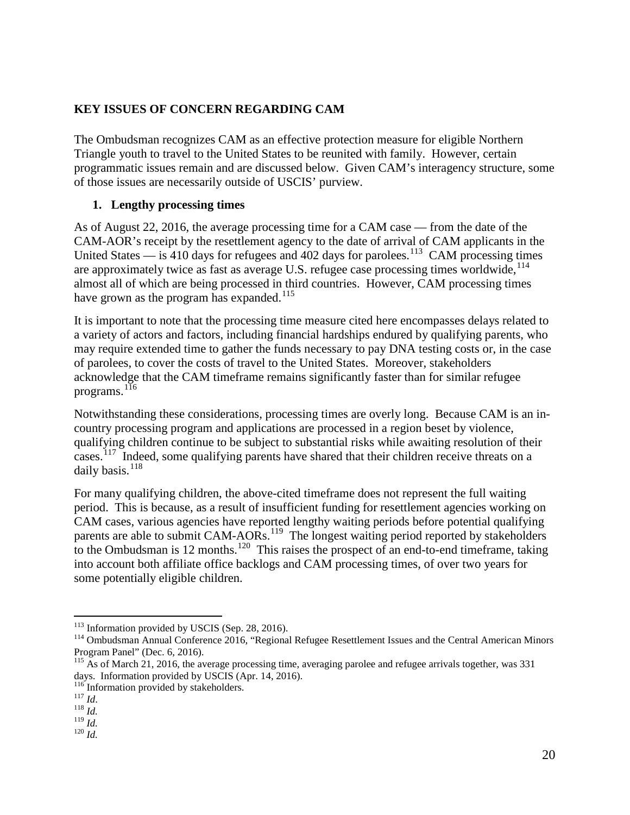#### <span id="page-19-0"></span> **KEY ISSUES OF CONCERN REGARDING CAM**

 Triangle youth to travel to the United States to be reunited with family. However, certain The Ombudsman recognizes CAM as an effective protection measure for eligible Northern programmatic issues remain and are discussed below. Given CAM's interagency structure, some of those issues are necessarily outside of USCIS' purview.

#### **1. Lengthy processing times**

United States  $-$  is 410 days for refugees and 402 days for parolees.<sup>[113](#page-19-1)</sup> CAM processing times have grown as the program has expanded.<sup>[115](#page-19-3)</sup> As of August 22, 2016, the average processing time for a CAM case — from the date of the CAM-AOR's receipt by the resettlement agency to the date of arrival of CAM applicants in the are approximately twice as fast as average U.S. refugee case processing times worldwide, <sup>114</sup> almost all of which are being processed in third countries. However, CAM processing times

 a variety of actors and factors, including financial hardships endured by qualifying parents, who programs.  $^{1\overline{1}6}$ It is important to note that the processing time measure cited here encompasses delays related to may require extended time to gather the funds necessary to pay DNA testing costs or, in the case of parolees, to cover the costs of travel to the United States. Moreover, stakeholders acknowledge that the CAM timeframe remains significantly faster than for similar refugee

cases.<sup>[117](#page-19-5)</sup> Indeed, some qualifying parents have shared that their children receive threats on a daily basis.<sup>118</sup> Notwithstanding these considerations, processing times are overly long. Because CAM is an incountry processing program and applications are processed in a region beset by violence, qualifying children continue to be subject to substantial risks while awaiting resolution of their

to the Ombudsman is 12 months.<sup>[120](#page-19-8)</sup> This raises the prospect of an end-to-end timeframe, taking For many qualifying children, the above-cited timeframe does not represent the full waiting period. This is because, as a result of insufficient funding for resettlement agencies working on CAM cases, various agencies have reported lengthy waiting periods before potential qualifying parents are able to submit CAM-AORs.<sup>[119](#page-19-7)</sup> The longest waiting period reported by stakeholders into account both affiliate office backlogs and CAM processing times, of over two years for some potentially eligible children.

 $\overline{a}$ 

<span id="page-19-1"></span><sup>&</sup>lt;sup>113</sup> Information provided by USCIS (Sep. 28, 2016).

<span id="page-19-2"></span><sup>&</sup>lt;sup>114</sup> Ombudsman Annual Conference 2016, "Regional Refugee Resettlement Issues and the Central American Minors Program Panel" (Dec. 6, 2016).

<span id="page-19-3"></span><sup>&</sup>lt;sup>115</sup> As of March 21, 2016, the average processing time, averaging parolee and refugee arrivals together, was 331 days. Information provided by USCIS (Apr. 14, 2016). days. Information provided by USCIS (Apr. 14, 2016).<br><sup>116</sup> Information provided by stakeholders.

<span id="page-19-4"></span><sup>&</sup>lt;sup>116</sup> Information provided by stakeholders.<br><sup>117</sup> *Id.* <sup>118</sup> *Id.* <sup>118</sup> *Id.* <sup>119</sup> *Id.* <sup>120</sup> *Id.* 

<span id="page-19-5"></span>

<span id="page-19-8"></span><span id="page-19-7"></span><span id="page-19-6"></span> $^{119}\dot{I}d.$  $^{120}\,Id.$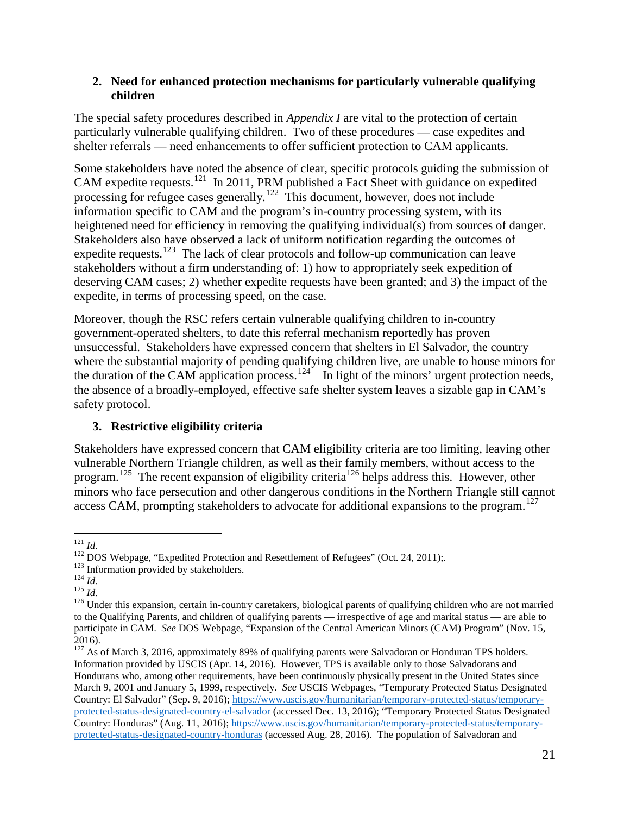#### **2. Need for enhanced protection mechanisms for particularly vulnerable qualifying children**

The special safety procedures described in *Appendix I* are vital to the protection of certain particularly vulnerable qualifying children. Two of these procedures — case expedites and shelter referrals — need enhancements to offer sufficient protection to CAM applicants.

CAM expedite requests.<sup>[121](#page-20-0)</sup> In 2011, PRM published a Fact Sheet with guidance on expedited Some stakeholders have noted the absence of clear, specific protocols guiding the submission of processing for refugee cases generally.<sup>[122](#page-20-1)</sup> This document, however, does not include information specific to CAM and the program's in-country processing system, with its heightened need for efficiency in removing the qualifying individual(s) from sources of danger. Stakeholders also have observed a lack of uniform notification regarding the outcomes of expedite requests.<sup>123</sup> The lack of clear protocols and follow-up communication can leave stakeholders without a firm understanding of: 1) how to appropriately seek expedition of deserving CAM cases; 2) whether expedite requests have been granted; and 3) the impact of the expedite, in terms of processing speed, on the case.

the duration of the CAM application process.<sup>124</sup> In light of the minors' urgent protection needs, Moreover, though the RSC refers certain vulnerable qualifying children to in-country government-operated shelters, to date this referral mechanism reportedly has proven unsuccessful. Stakeholders have expressed concern that shelters in El Salvador, the country where the substantial majority of pending qualifying children live, are unable to house minors for the absence of a broadly-employed, effective safe shelter system leaves a sizable gap in CAM's safety protocol.

#### **3. Restrictive eligibility criteria**

program.<sup>[125](#page-20-4)</sup> The recent expansion of eligibility criteria<sup>[126](#page-20-5)</sup> helps address this. However, other access CAM, prompting stakeholders to advocate for additional expansions to the program.<sup>127</sup> Stakeholders have expressed concern that CAM eligibility criteria are too limiting, leaving other vulnerable Northern Triangle children, as well as their family members, without access to the minors who face persecution and other dangerous conditions in the Northern Triangle still cannot

<span id="page-20-5"></span><span id="page-20-4"></span> $^{125}$   $\hat{Id}$ .

 $\overline{a}$ 

<span id="page-20-3"></span><span id="page-20-2"></span> $124$  *Id.* 

<span id="page-20-1"></span><span id="page-20-0"></span><sup>&</sup>lt;sup>121</sup> *Id.*<br><sup>122</sup> DOS Webpage, "Expedited Protection and Resettlement of Refugees" (Oct. 24, 2011);<br><sup>123</sup> Information provided by stakeholders.<br><sup>124</sup> *Id.*<br><sup>125</sup> *Id.*<br><sup>126</sup> Under this expansion, certain in-country careta to the Qualifying Parents, and children of qualifying parents — irrespective of age and marital status — are able to participate in CAM. *See* DOS Webpage, "Expansion of the Central American Minors (CAM) Program" (Nov. 15, 2016).

<span id="page-20-6"></span> $127$  As of March 3, 2016, approximately 89% of qualifying parents were Salvadoran or Honduran TPS holders. Information provided by USCIS (Apr. 14, 2016). However, TPS is available only to those Salvadorans and Hondurans who, among other requirements, have been continuously physically present in the United States since March 9, 2001 and January 5, 1999, respectively. *See* USCIS Webpages, "Temporary Protected Status Designated Country: El Salvador" (Sep. 9, 2016); [https://www.uscis.gov/humanitarian/temporary-protected-status/temporary](https://www.uscis.gov/humanitarian/temporary-protected-status/temporary-protected-status-designated-country-el-salvador)[protected-status-designated-country-el-salvador](https://www.uscis.gov/humanitarian/temporary-protected-status/temporary-protected-status-designated-country-el-salvador) (accessed Dec. 13, 2016); "Temporary Protected Status Designated Country: Honduras" (Aug. 11, 2016); [https://www.uscis.gov/humanitarian/temporary-protected-status/temporary](https://www.uscis.gov/humanitarian/temporary-protected-status/temporary-protected-status-designated-country-honduras)[protected-status-designated-country-honduras \(](https://www.uscis.gov/humanitarian/temporary-protected-status/temporary-protected-status-designated-country-honduras)accessed Aug. 28, 2016). The population of Salvadoran and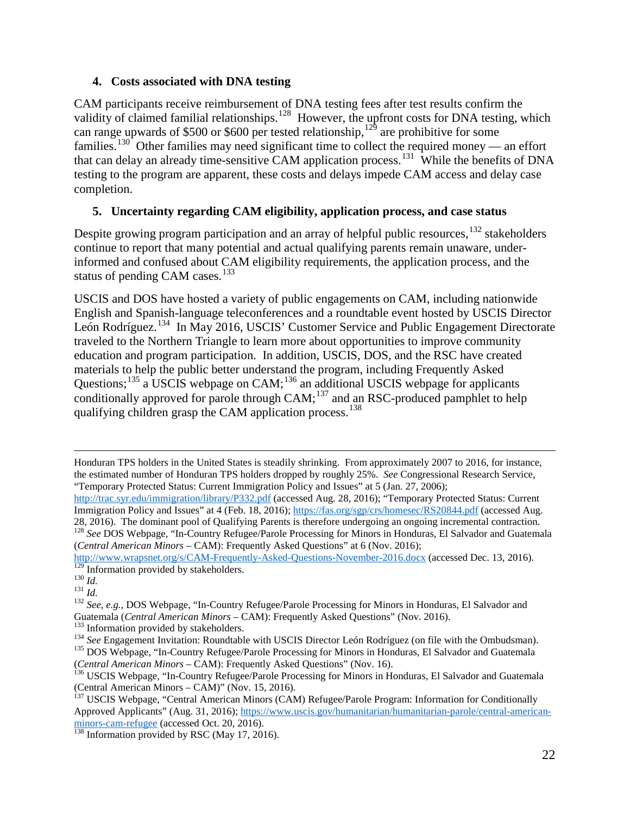#### **4. Costs associated with DNA testing**

families.<sup>[130](#page-21-2)</sup> Other families may need significant time to collect the required money — an effort that can delay an already time-sensitive CAM application process.<sup>131</sup> While the benefits of DNA CAM participants receive reimbursement of DNA testing fees after test results confirm the validity of claimed familial relationships.<sup>[128](#page-21-0)</sup> However, the upfront costs for DNA testing, which can range upwards of \$500 or \$600 per tested relationship,  $12<sup>9</sup>$  are prohibitive for some testing to the program are apparent, these costs and delays impede CAM access and delay case completion.

#### **5. Uncertainty regarding CAM eligibility, application process, and case status**

status of pending CAM cases.<sup>[133](#page-21-5)</sup> Despite growing program participation and an array of helpful public resources,  $^{132}$  $^{132}$  $^{132}$  stakeholders continue to report that many potential and actual qualifying parents remain unaware, underinformed and confused about CAM eligibility requirements, the application process, and the

 English and Spanish-language teleconferences and a roundtable event hosted by USCIS Director León Rodríguez.<sup>[134](#page-21-6)</sup> In May 2016, USCIS' Customer Service and Public Engagement Directorate qualifying children grasp the CAM application process.<sup>138</sup> USCIS and DOS have hosted a variety of public engagements on CAM, including nationwide traveled to the Northern Triangle to learn more about opportunities to improve community education and program participation. In addition, USCIS, DOS, and the RSC have created materials to help the public better understand the program, including Frequently Asked Questions;<sup>[135](#page-21-7)</sup> a USCIS webpage on CAM;<sup>136</sup> an additional USCIS webpage for applicants conditionally approved for parole through  $CAM; <sup>137</sup>$  and an RSC-produced pamphlet to help

 $\overline{a}$  the estimated number of Honduran TPS holders dropped by roughly 25%. *See* Congressional Research Service, "Temporary Protected Status: Current Immigration Policy and Issues" at 5 (Jan. 27, 2006); Honduran TPS holders in the United States is steadily shrinking. From approximately 2007 to 2016, for instance,

[http://trac.syr.edu/immigration/library/P332.pdf \(](http://trac.syr.edu/immigration/library/P332.pdf)accessed Aug. 28, 2016); "Temporary Protected Status: Current Immigration Policy and Issues" at 4 (Feb. 18, 2016);<https://fas.org/sgp/crs/homesec/RS20844.pdf>(accessed Aug. 28, 2016). The dominant pool of Qualifying Parents is therefore undergoing an ongoing incremental contraction.

<span id="page-21-0"></span><sup>28, 2016).</sup> The dominant pool of Qualifying Parents is therefore undergoing an ongoing incremental contraction.<br><sup>128</sup> See DOS Webpage, "In-Country Refugee/Parole Processing for Minors in Honduras, El Salvador and Guatemala (*Central American Minors* – CAM): Frequently Asked Questions" at 6 (Nov. 2016);

<sup>&</sup>lt;sup>129</sup> Information provided by stakeholders.<br><sup>130</sup> *Id.*<br><sup>131</sup> *Id. 23*<sup>1</sup> *Id.* **232** *See, e.g., DOS Webpage, "In-Country Refugee/Parole Processing for Minors in Honduras, El Salvador and* <http://www.wrapsnet.org/s/CAM-Frequently-Asked-Questions-November-2016.docx>(accessed Dec. 13, 2016).<br><sup>129</sup> Information provided by stakeholders.

<span id="page-21-2"></span><span id="page-21-1"></span> $^{130}\,$  Id.

<span id="page-21-3"></span> $^{131}$   $\overline{Id}$ .

<span id="page-21-4"></span>Guatemala (*Central American Minors* – CAM): Frequently Asked Questions" (Nov. 2016).<br><sup>133</sup> Information provided by stakeholders.

<span id="page-21-5"></span>

<sup>&</sup>lt;sup>133</sup> Information provided by stakeholders.<br><sup>134</sup> See Engagement Invitation: Roundtable with USCIS Director León Rodríguez (on file with the Ombudsman).

<span id="page-21-7"></span><span id="page-21-6"></span><sup>&</sup>lt;sup>135</sup> DOS Webpage, "In-Country Refugee/Parole Processing for Minors in Honduras, El Salvador and Guatemala

<span id="page-21-8"></span><sup>(</sup>*Central American Minors* – CAM): Frequently Asked Questions" (Nov. 16). 136 USCIS Webpage, "In-Country Refugee/Parole Processing for Minors in Honduras, El Salvador and Guatemala (Central American Minors – CAM)" (Nov. 15, 2016). 137 USCIS Webpage, "Central American Minors (CAM) Refugee/Parole Program: Information for Conditionally

<span id="page-21-9"></span>Approved Applicants" (Aug. 31, 2016); [https://www.uscis.gov/humanitarian/humanitarian-parole/central-american](https://www.uscis.gov/humanitarian/humanitarian-parole/central-american-minors-cam-refugee)[minors-cam-refugee](https://www.uscis.gov/humanitarian/humanitarian-parole/central-american-minors-cam-refugee) (accessed Oct. 20, 2016).<br><sup>138</sup> Information provided by RSC (May 17, 2016).

<span id="page-21-10"></span>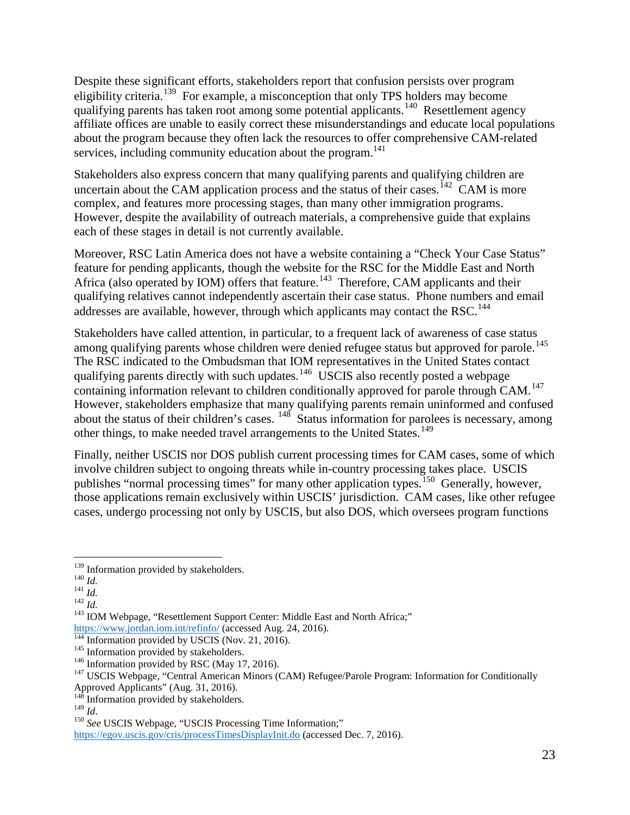eligibility criteria.<sup>[139](#page-22-0)</sup> For example, a misconception that only TPS holders may become qualifying parents has taken root among some potential applicants.<sup>140</sup> Resettlement agency about the program because they often lack the resources to offer comprehensive CAM-related Despite these significant efforts, stakeholders report that confusion persists over program affiliate offices are unable to easily correct these misunderstandings and educate local populations services, including community education about the program.<sup>[141](#page-22-2)</sup>

uncertain about the CAM application process and the status of their cases.<sup>142</sup> CAM is more each of these stages in detail is not currently available. Stakeholders also express concern that many qualifying parents and qualifying children are complex, and features more processing stages, than many other immigration programs. However, despite the availability of outreach materials, a comprehensive guide that explains

Africa (also operated by IOM) offers that feature.<sup>143</sup> Therefore, CAM applicants and their addresses are available, however, through which applicants may contact the RSC.<sup>144</sup> Moreover, RSC Latin America does not have a website containing a "Check Your Case Status" feature for pending applicants, though the website for the RSC for the Middle East and North qualifying relatives cannot independently ascertain their case status. Phone numbers and email

among qualifying parents whose children were denied refugee status but approved for parole.<sup>145</sup> containing information relevant to children conditionally approved for parole through CAM.<sup>[147](#page-22-8)</sup> other things, to make needed travel arrangements to the United States.<sup>[149](#page-22-10)</sup> Stakeholders have called attention, in particular, to a frequent lack of awareness of case status The RSC indicated to the Ombudsman that IOM representatives in the United States contact qualifying parents directly with such updates.<sup>[146](#page-22-7)</sup> USCIS also recently posted a webpage However, stakeholders emphasize that many qualifying parents remain uninformed and confused about the status of their children's cases. <sup>[148](#page-22-9)</sup> Status information for parolees is necessary, among

Finally, neither USCIS nor DOS publish current processing times for CAM cases, some of which involve children subject to ongoing threats while in-country processing takes place. USCIS publishes "normal processing times" for many other application types.<sup>[150](#page-22-11)</sup> Generally, however, those applications remain exclusively within USCIS' jurisdiction. CAM cases, like other refugee cases, undergo processing not only by USCIS, but also DOS, which oversees program functions

<sup>&</sup>lt;sup>139</sup> Information provided by stakeholders.

<span id="page-22-1"></span><span id="page-22-0"></span> $140$  *Id.* 

<span id="page-22-2"></span> $^{141}$  *Id.* 

<span id="page-22-4"></span><span id="page-22-3"></span> $^{142}$  *Id.* 

<sup>&</sup>lt;sup>139</sup> Information provided by stakeholders.<br><sup>140</sup> *Id.*<br><sup>141</sup> *Id.* <sup>142</sup> *Id.* <sup>143</sup> IOM Webpage, "Resettlement Support Center: Middle East and North Africa;"

[https://www.jordan.iom.int/refinfo/ \(](https://www.jordan.iom.int/refinfo/)accessed Aug. 24, 2016).<sup>144</sup> Information provided by USCIS (Nov. 21, 2016).

<span id="page-22-6"></span><span id="page-22-5"></span><sup>&</sup>lt;sup>145</sup> Information provided by stakeholders.<br><sup>146</sup> Information provided by RSC (May 17, 2016).

<span id="page-22-8"></span><span id="page-22-7"></span> Approved Applicants" (Aug. 31, 2016). <sup>146</sup> Information provided by RSC (May 17, 2016).<br><sup>147</sup> USCIS Webpage, "Central American Minors (CAM) Refugee/Parole Program: Information for Conditionally

<span id="page-22-10"></span><span id="page-22-9"></span><sup>&</sup>lt;sup>148</sup> Information provided by stakeholders.<br><sup>149</sup>  $$ 

<span id="page-22-11"></span><sup>&</sup>lt;sup>150</sup> See USCIS Webpage, "USCIS Processing Time Information;"

<https://egov.uscis.gov/cris/processTimesDisplayInit.do>(accessed Dec. 7, 2016).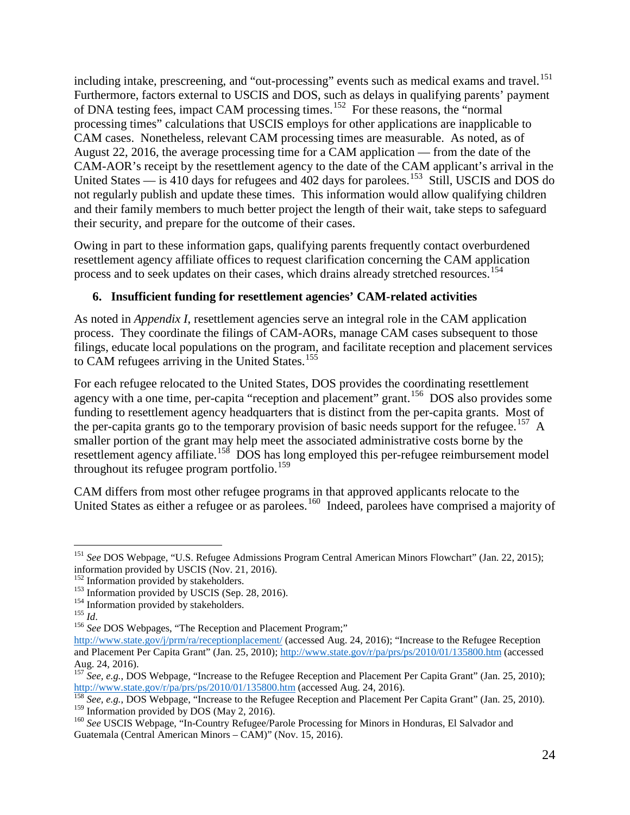including intake, prescreening, and "out-processing" events such as medical exams and travel.<sup>[151](#page-23-0)</sup> of DNA testing fees, impact CAM processing times.<sup>[152](#page-23-1)</sup> For these reasons, the "normal Furthermore, factors external to USCIS and DOS, such as delays in qualifying parents' payment processing times" calculations that USCIS employs for other applications are inapplicable to CAM cases. Nonetheless, relevant CAM processing times are measurable. As noted, as of August 22, 2016, the average processing time for a CAM application — from the date of the CAM-AOR's receipt by the resettlement agency to the date of the CAM applicant's arrival in the United States — is  $410$  days for refugees and  $402$  days for parolees.<sup>[153](#page-23-2)</sup> Still, USCIS and DOS do not regularly publish and update these times. This information would allow qualifying children and their family members to much better project the length of their wait, take steps to safeguard their security, and prepare for the outcome of their cases.

Owing in part to these information gaps, qualifying parents frequently contact overburdened resettlement agency affiliate offices to request clarification concerning the CAM application process and to seek updates on their cases, which drains already stretched resources.<sup>[154](#page-23-3)</sup>

### **6. Insufficient funding for resettlement agencies' CAM-related activities**

to CAM refugees arriving in the United States.<sup>[155](#page-23-4)</sup> As noted in *Appendix I*, resettlement agencies serve an integral role in the CAM application process. They coordinate the filings of CAM-AORs, manage CAM cases subsequent to those filings, educate local populations on the program, and facilitate reception and placement services

the per-capita grants go to the temporary provision of basic needs support for the refugee.<sup>[157](#page-23-6)</sup> A throughout its refugee program portfolio.<sup>[159](#page-23-8)</sup> For each refugee relocated to the United States, DOS provides the coordinating resettlement agency with a one time, per-capita "reception and placement" grant.<sup>156</sup> DOS also provides some funding to resettlement agency headquarters that is distinct from the per-capita grants. Most of smaller portion of the grant may help meet the associated administrative costs borne by the resettlement agency affiliate.<sup>158</sup> DOS has long employed this per-refugee reimbursement model

United States as either a refugee or as parolees.<sup>160</sup> Indeed, parolees have comprised a majority of CAM differs from most other refugee programs in that approved applicants relocate to the

<span id="page-23-0"></span> $\overline{a}$  <sup>151</sup>*See* DOS Webpage, "U.S. Refugee Admissions Program Central American Minors Flowchart" (Jan. 22, 2015); information provided by USCIS (Nov. 21, 2016).

<span id="page-23-2"></span><span id="page-23-1"></span><sup>&</sup>lt;sup>152</sup> Information provided by stakeholders.

<sup>&</sup>lt;sup>152</sup> Information provided by stakeholders.<br><sup>153</sup> Information provided by USCIS (Sep. 28, 2016). <sup>153</sup> Information provided by USCIS (Sep. 28, 2016).<br><sup>154</sup> Information provided by stakeholders.

<span id="page-23-4"></span><span id="page-23-3"></span> $155$  *Id.* 

<sup>&</sup>lt;sup>154</sup> Information provided by stakeholders.<br><sup>155</sup> *Id*.<br><sup>156</sup> *See* DOS Webpages, "The Reception and Placement Program;"

<span id="page-23-5"></span><http://www.state.gov/j/prm/ra/receptionplacement/>(accessed Aug. 24, 2016); "Increase to the Refugee Reception and Placement Per Capita Grant" (Jan. 25, 2010)[; http://www.state.gov/r/pa/prs/ps/2010/01/135800.htm](http://www.state.gov/r/pa/prs/ps/2010/01/135800.htm) (accessed Aug. 24, 2016).

<span id="page-23-6"></span>[http://www.state.gov/r/pa/prs/ps/2010/01/135800.htm \(](http://www.state.gov/r/pa/prs/ps/2010/01/135800.htm)accessed Aug. 24, 2016). <sup>157</sup> See, e.g., DOS Webpage, "Increase to the Refugee Reception and Placement Per Capita Grant" (Jan. 25, 2010);

http://www.state.gov/r/pa/prs/ps/2010/01/135800.htm (accessed Aug. 24, 2016).<br><sup>158</sup> See, e.g., DOS Webpage, "Increase to the Refugee Reception and Placement Per Capita Grant" (Jan. 25, 2010). <sup>158</sup> See, e.g., DOS Webpage, "Increase to the Refugee Reception and Placement Per Capita Grant" (Jan. 25, 2010).<br><sup>159</sup> Information provided by DOS (May 2, 2016).

<span id="page-23-9"></span><span id="page-23-8"></span><span id="page-23-7"></span><sup>&</sup>lt;sup>159</sup> Information provided by DOS (May 2, 2016).<br><sup>160</sup> See USCIS Webpage, "In-Country Refugee/Parole Processing for Minors in Honduras, El Salvador and Guatemala (Central American Minors – CAM)" (Nov. 15, 2016).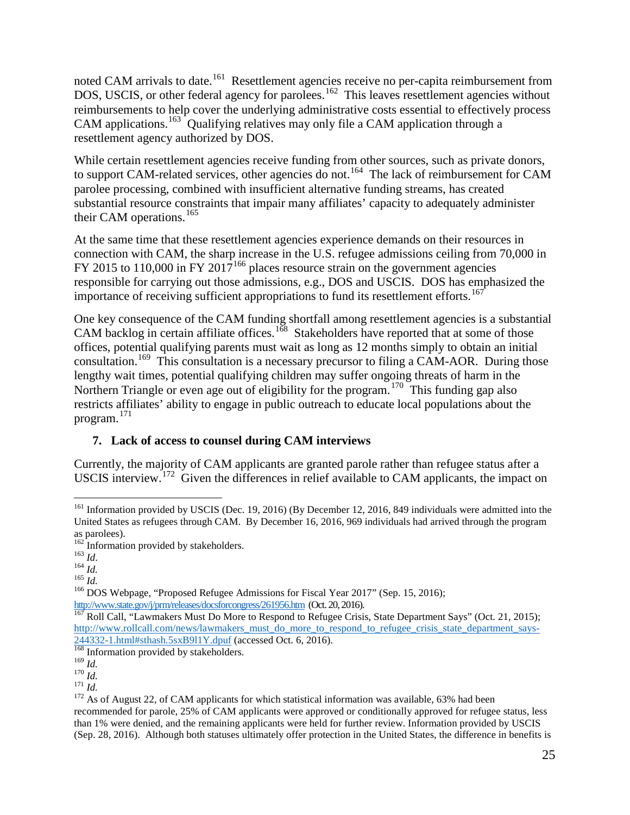noted CAM arrivals to date.<sup>[161](#page-24-0)</sup> Resettlement agencies receive no per-capita reimbursement from DOS, USCIS, or other federal agency for parolees.<sup>162</sup> This leaves resettlement agencies without CAM applications.<sup>[163](#page-24-2)</sup> Qualifying relatives may only file a CAM application through a reimbursements to help cover the underlying administrative costs essential to effectively process resettlement agency authorized by DOS.

to support CAM-related services, other agencies do not.<sup>[164](#page-24-3)</sup> The lack of reimbursement for CAM substantial resource constraints that impair many affiliates' capacity to adequately administer their CAM operations.<sup>[165](#page-24-4)</sup> While certain resettlement agencies receive funding from other sources, such as private donors, parolee processing, combined with insufficient alternative funding streams, has created

FY 2015 to 110,000 in FY 2017<sup>[166](#page-24-5)</sup> places resource strain on the government agencies responsible for carrying out those admissions, e.g., DOS and USCIS. DOS has emphasized the importance of receiving sufficient appropriations to fund its resettlement efforts.<sup>167</sup> At the same time that these resettlement agencies experience demands on their resources in connection with CAM, the sharp increase in the U.S. refugee admissions ceiling from 70,000 in

CAM backlog in certain affiliate offices.<sup>168</sup> Stakeholders have reported that at some of those consultation.<sup>[169](#page-24-8)</sup> This consultation is a necessary precursor to filing a CAM-AOR. During those Northern Triangle or even age out of eligibility for the program.<sup>[170](#page-24-9)</sup> This funding gap also program.<sup>[171](#page-24-10)</sup> One key consequence of the CAM funding shortfall among resettlement agencies is a substantial offices, potential qualifying parents must wait as long as 12 months simply to obtain an initial lengthy wait times, potential qualifying children may suffer ongoing threats of harm in the restricts affiliates' ability to engage in public outreach to educate local populations about the

#### **7. Lack of access to counsel during CAM interviews**

USCIS interview.<sup>[172](#page-24-11)</sup> Given the differences in relief available to CAM applicants, the impact on Currently, the majority of CAM applicants are granted parole rather than refugee status after a

<span id="page-24-0"></span> $\overline{a}$  as parolees). <sup>161</sup> Information provided by USCIS (Dec. 19, 2016) (By December 12, 2016, 849 individuals were admitted into the United States as refugees through CAM. By December 16, 2016, 969 individuals had arrived through the program

<span id="page-24-1"></span> $^{162}_{163}$  Information provided by stakeholders.

<span id="page-24-2"></span> $^{164}\,\overline{Id.}$ 

<span id="page-24-4"></span><span id="page-24-3"></span> $^{165}$   $^{100}$ 

<sup>&</sup>lt;sup>162</sup> Information provided by stakeholders.<br><sup>163</sup> *Id.*<br><sup>164</sup> *Id.* <sup>165</sup> DOS Webpage, "Proposed Refugee Admissions for Fiscal Year 2017" (Sep. 15, 2016);

<span id="page-24-6"></span><span id="page-24-5"></span>[http://www.rollcall.com/news/lawmakers\\_must\\_do\\_more\\_to\\_respond\\_to\\_refugee\\_crisis\\_state\\_department\\_says-](http://www.rollcall.com/news/lawmakers_must_do_more_to_respond_to_refugee_crisis_state_department_says-244332-1.html#sthash.5sxB9l1Y.dpuf)[244332-1.html#sthash.5sxB9l1Y.dpuf](http://www.rollcall.com/news/lawmakers_must_do_more_to_respond_to_refugee_crisis_state_department_says-244332-1.html#sthash.5sxB9l1Y.dpuf) (accessed Oct. 6, 2016). <http://www.state.gov/j/prm/releases/docsforcongress/261956.htm>(Oct. 20, 2016).<br><sup>167</sup> Roll Call, "Lawmakers Must Do More to Respond to Refugee Crisis, State Department Says" (Oct. 21, 2015);

<sup>&</sup>lt;sup>168</sup> Information provided by stakeholders.

<span id="page-24-8"></span> $^{169}$   $\mathit{Id}.$ 

<span id="page-24-9"></span> $170$   $\overline{Id}$ .

<span id="page-24-11"></span><span id="page-24-10"></span> $171$   $Id.$ 

<span id="page-24-7"></span><sup>&</sup>lt;sup>168</sup> Information provided by stakeholders.<br><sup>169</sup>*Id.*<br><sup>170</sup>*Id.* <sup>171</sup> *Id.* <sup>171</sup> *Id.* <sup>172</sup> As of August 22, of CAM applicants for which statistical information was available, 63% had been recommended for parole, 25% of CAM applicants were approved or conditionally approved for refugee status, less (Sep. 28, 2016). Although both statuses ultimately offer protection in the United States, the difference in benefits is than 1% were denied, and the remaining applicants were held for further review. Information provided by USCIS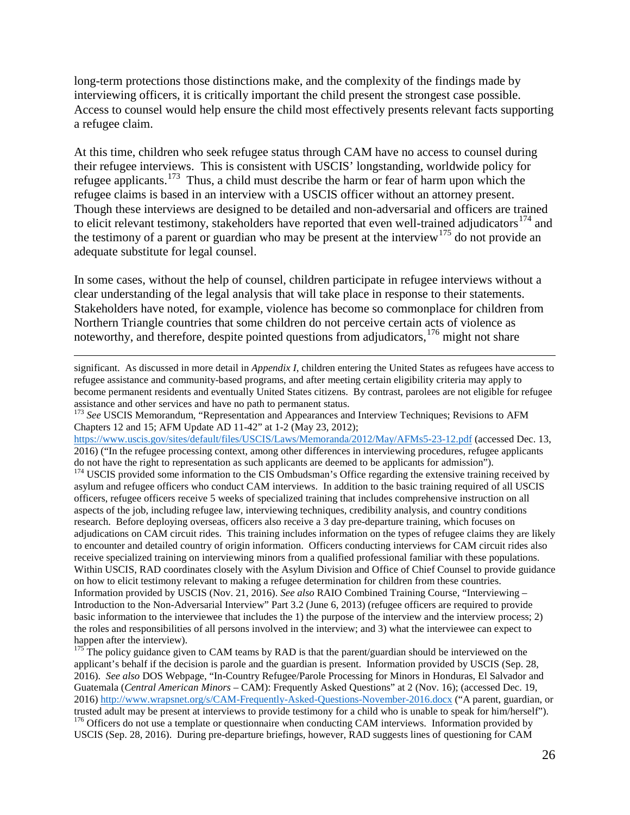interviewing officers, it is critically important the child present the strongest case possible. a refugee claim. long-term protections those distinctions make, and the complexity of the findings made by Access to counsel would help ensure the child most effectively presents relevant facts supporting

 their refugee interviews. This is consistent with USCIS' longstanding, worldwide policy for Though these interviews are designed to be detailed and non-adversarial and officers are trained adequate substitute for legal counsel. At this time, children who seek refugee status through CAM have no access to counsel during refugee applicants.<sup>[173](#page-25-0)</sup> Thus, a child must describe the harm or fear of harm upon which the refugee claims is based in an interview with a USCIS officer without an attorney present. to elicit relevant testimony, stakeholders have reported that even well-trained adjudicators<sup>174</sup> and the testimony of a parent or guardian who may be present at the interview<sup>175</sup> do not provide an

clear understanding of the legal analysis that will take place in response to their statements. In some cases, without the help of counsel, children participate in refugee interviews without a Stakeholders have noted, for example, violence has become so commonplace for children from Northern Triangle countries that some children do not perceive certain acts of violence as noteworthy, and therefore, despite pointed questions from adjudicators, <sup>[176](#page-25-3)</sup> might not share

 become permanent residents and eventually United States citizens. By contrast, parolees are not eligible for refugee assistance and other services and have no path to permanent status. significant. As discussed in more detail in *Appendix I*, children entering the United States as refugees have access to refugee assistance and community-based programs, and after meeting certain eligibility criteria may apply to

<span id="page-25-0"></span> assistance and other services and have no path to permanent status. <sup>173</sup>*See* USCIS Memorandum, "Representation and Appearances and Interview Techniques; Revisions to AFM Chapters 12 and 15; AFM Update AD 11-42" at 1-2 (May 23, 2012);

 $\overline{a}$ 

<https://www.uscis.gov/sites/default/files/USCIS/Laws/Memoranda/2012/May/AFMs5-23-12.pdf>(accessed Dec. 13, 2016) ("In the refugee processing context, among other differences in interviewing procedures, refugee applicants

<span id="page-25-1"></span> adjudications on CAM circuit rides. This training includes information on the types of refugee claims they are likely receive specialized training on interviewing minors from a qualified professional familiar with these populations. receive specialized training on interviewing minors from a qualified professional familiar with these populations.<br>Within USCIS, RAD coordinates closely with the Asylum Division and Office of Chief Counsel to provide guida on how to elicit testimony relevant to making a refugee determination for children from these countries. Information provided by USCIS (Nov. 21, 2016). *See also* RAIO Combined Training Course, "Interviewing – do not have the right to representation as such applicants are deemed to be applicants for admission"). 174 USCIS provided some information to the CIS Ombudsman's Office regarding the extensive training received by asylum and refugee officers who conduct CAM interviews. In addition to the basic training required of all USCIS officers, refugee officers receive 5 weeks of specialized training that includes comprehensive instruction on all aspects of the job, including refugee law, interviewing techniques, credibility analysis, and country conditions research. Before deploying overseas, officers also receive a 3 day pre-departure training, which focuses on to encounter and detailed country of origin information. Officers conducting interviews for CAM circuit rides also Introduction to the Non-Adversarial Interview" Part 3.2 (June 6, 2013) (refugee officers are required to provide basic information to the interviewee that includes the 1) the purpose of the interview and the interview process; 2) the roles and responsibilities of all persons involved in the interview; and 3) what the interviewee can expect to happen after the interview).

<span id="page-25-2"></span> applicant's behalf if the decision is parole and the guardian is present. Information provided by USCIS (Sep. 28, Guatemala (*Central American Minors* – CAM): Frequently Asked Questions" at 2 (Nov. 16); (accessed Dec. 19, 2016)<http://www.wrapsnet.org/s/CAM-Frequently-Asked-Questions-November-2016.docx>("A parent, guardian, or trusted adult may be present at interviews to provide testimony for a child who is unable to speak for him/herself").  $176$  Officers do not use a template or questionnaire when conducting CAM interviews. Information provided by <sup>175</sup> The policy guidance given to CAM teams by RAD is that the parent/guardian should be interviewed on the 2016). *See also* DOS Webpage, "In-Country Refugee/Parole Processing for Minors in Honduras, El Salvador and

<span id="page-25-3"></span>USCIS (Sep. 28, 2016). During pre-departure briefings, however, RAD suggests lines of questioning for CAM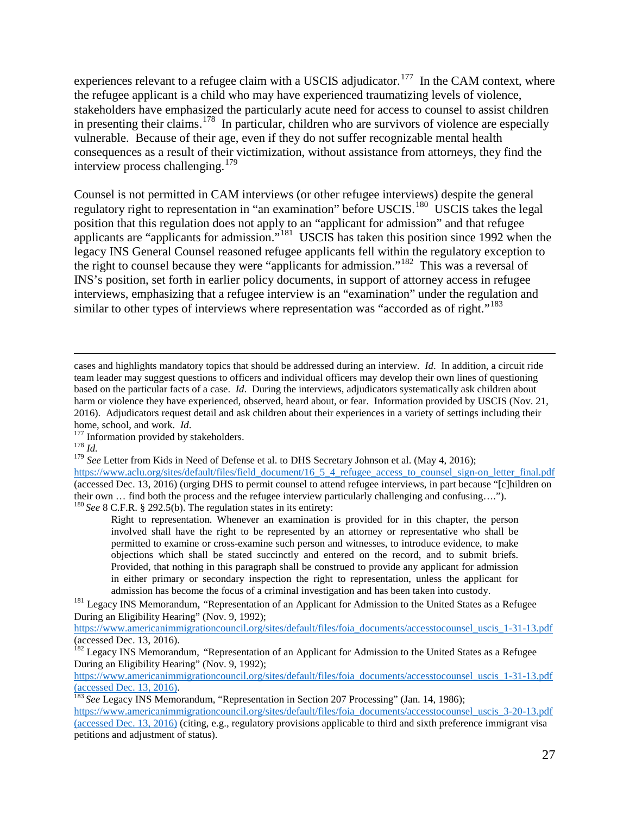experiences relevant to a refugee claim with a USCIS adjudicator.<sup>[177](#page-26-0)</sup> In the CAM context, where in presenting their claims.<sup>[178](#page-26-1)</sup> In particular, children who are survivors of violence are especially interview process challenging.<sup>[179](#page-26-2)</sup> the refugee applicant is a child who may have experienced traumatizing levels of violence, stakeholders have emphasized the particularly acute need for access to counsel to assist children vulnerable. Because of their age, even if they do not suffer recognizable mental health consequences as a result of their victimization, without assistance from attorneys, they find the

regulatory right to representation in "an examination" before USCIS.<sup>[180](#page-26-3)</sup> USCIS takes the legal legacy INS General Counsel reasoned refugee applicants fell within the regulatory exception to the right to counsel because they were "applicants for admission."<sup>[182](#page-26-5)</sup> This was a reversal of similar to other types of interviews where representation was "accorded as of right."<sup>[183](#page-26-6)</sup> Counsel is not permitted in CAM interviews (or other refugee interviews) despite the general position that this regulation does not apply to an "applicant for admission" and that refugee applicants are "applicants for admission."<sup>[181](#page-26-4)</sup> USCIS has taken this position since 1992 when the INS's position, set forth in earlier policy documents, in support of attorney access in refugee interviews, emphasizing that a refugee interview is an "examination" under the regulation and

 $\overline{a}$ 

 team leader may suggest questions to officers and individual officers may develop their own lines of questioning based on the particular facts of a case. *Id*. During the interviews, adjudicators systematically ask children about cases and highlights mandatory topics that should be addressed during an interview. *Id*. In addition, a circuit ride harm or violence they have experienced, observed, heard about, or fear. Information provided by USCIS (Nov. 21, 2016). Adjudicators request detail and ask children about their experiences in a variety of settings including their

home, school, and work. *Id*.<br><sup>177</sup> Information provided by stakeholders.

<span id="page-26-1"></span><span id="page-26-0"></span> $178$  *Id.* 

home, school, and work. *Id.*<br><sup>177</sup> Information provided by stakeholders.<br><sup>178</sup> *Id.* 2016); <sup>179</sup> *See* Letter from Kids in Need of Defense et al. to DHS Secretary Johnson et al. (May 4, 2016);

<span id="page-26-3"></span><span id="page-26-2"></span>https://www.aclu.org/sites/default/files/field\_document/16\_5\_4\_refugee\_access\_to\_counsel\_sign-on\_letter\_final.pdf (accessed Dec. 13, 2016) (urging DHS to permit counsel to attend refugee interviews, in part because "[c]hildren on their own … find both the process and the refugee interview particularly challenging and confusing…."). <sup>180</sup>*See* 8 C.F.R. § 292.5(b). The regulation states in its entirety:

 involved shall have the right to be represented by an attorney or representative who shall be Provided, that nothing in this paragraph shall be construed to provide any applicant for admission Right to representation. Whenever an examination is provided for in this chapter, the person permitted to examine or cross-examine such person and witnesses, to introduce evidence, to make objections which shall be stated succinctly and entered on the record, and to submit briefs. in either primary or secondary inspection the right to representation, unless the applicant for

<span id="page-26-4"></span>admission has become the focus of a criminal investigation and has been taken into custody.<br><sup>181</sup> Legacy INS Memorandum, "Representation of an Applicant for Admission to the United States as a Refugee During an Eligibility Hearing" (Nov. 9, 1992);

[https://www.americanimmigrationcouncil.org/sites/default/files/foia\\_documents/accesstocounsel\\_uscis\\_1-31-13.pdf](https://www.americanimmigrationcouncil.org/sites/default/files/foia_documents/accesstocounsel_uscis_1-31-13.pdf) (accessed Dec. 13, 2016).

<span id="page-26-5"></span><sup>&</sup>lt;sup>182</sup> Legacy INS Memorandum, "Representation of an Applicant for Admission to the United States as a Refugee During an Eligibility Hearing" (Nov. 9, 1992);

[https://www.americanimmigrationcouncil.org/sites/default/files/foia\\_documents/accesstocounsel\\_uscis\\_1-31-13.pdf](https://www.americanimmigrationcouncil.org/sites/default/files/foia_documents/accesstocounsel_uscis_1-31-13.pdf) (accessed Dec. 13, 2016).

<span id="page-26-6"></span><sup>183</sup>*See* Legacy INS Memorandum, "Representation in Section 207 Processing" (Jan. 14, 1986);

https://www.americanimmigrationcouncil.org/sites/default/files/foia\_documents/accesstocounsel\_uscis\_3-20-13.pdf (accessed Dec. 13, 2016) (citing, e.g., regulatory provisions applicable to third and sixth preference immigrant visa petitions and adjustment of status).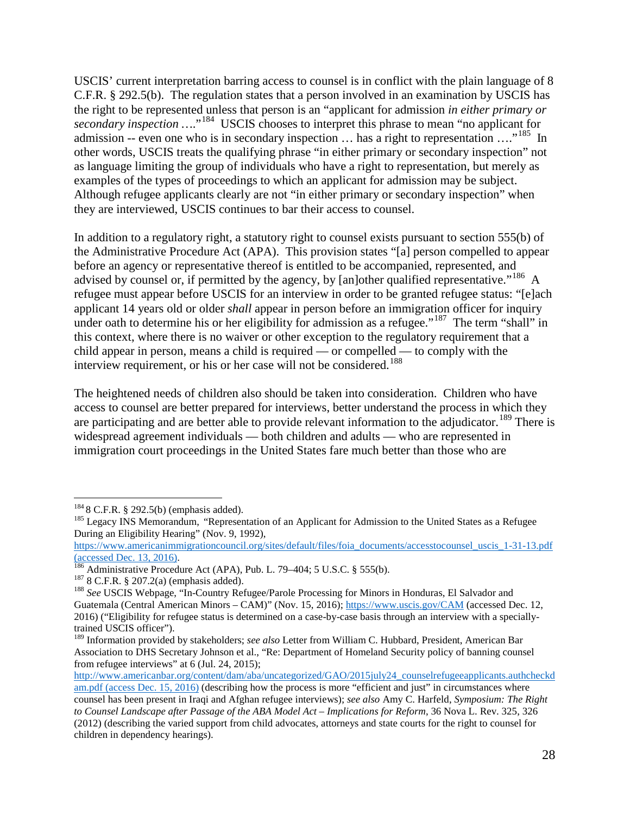admission -- even one who is in secondary inspection  $\ldots$  has a right to representation  $\ldots$ ."<sup>[185](#page-27-1)</sup> In as language limiting the group of individuals who have a right to representation, but merely as USCIS' current interpretation barring access to counsel is in conflict with the plain language of 8 C.F.R. § 292.5(b). The regulation states that a person involved in an examination by USCIS has the right to be represented unless that person is an "applicant for admission *in either primary or secondary inspection* ....<sup>"[184](#page-27-0)</sup> USCIS chooses to interpret this phrase to mean "no applicant for other words, USCIS treats the qualifying phrase "in either primary or secondary inspection" not examples of the types of proceedings to which an applicant for admission may be subject. Although refugee applicants clearly are not "in either primary or secondary inspection" when they are interviewed, USCIS continues to bar their access to counsel.

advised by counsel or, if permitted by the agency, by [an]other qualified representative."<sup>[186](#page-27-2)</sup> A applicant 14 years old or older *shall* appear in person before an immigration officer for inquiry under oath to determine his or her eligibility for admission as a refugee."<sup>[187](#page-27-3)</sup> The term "shall" in interview requirement, or his or her case will not be considered.<sup>[188](#page-27-4)</sup> In addition to a regulatory right, a statutory right to counsel exists pursuant to section 555(b) of the Administrative Procedure Act (APA). This provision states "[a] person compelled to appear before an agency or representative thereof is entitled to be accompanied, represented, and refugee must appear before USCIS for an interview in order to be granted refugee status: "[e]ach this context, where there is no waiver or other exception to the regulatory requirement that a child appear in person, means a child is required — or compelled — to comply with the

are participating and are better able to provide relevant information to the adjudicator.<sup>189</sup> There is The heightened needs of children also should be taken into consideration. Children who have access to counsel are better prepared for interviews, better understand the process in which they widespread agreement individuals — both children and adults — who are represented in immigration court proceedings in the United States fare much better than those who are

<span id="page-27-0"></span> $1848$  C.F.R. § 292.5(b) (emphasis added).

<span id="page-27-1"></span><sup>&</sup>lt;sup>185</sup> Legacy INS Memorandum, "Representation of an Applicant for Admission to the United States as a Refugee During an Eligibility Hearing" (Nov. 9, 1992),

[https://www.americanimmigrationcouncil.org/sites/default/files/foia\\_documents/accesstocounsel\\_uscis\\_1-31-13.pdf](https://www.americanimmigrationcouncil.org/sites/default/files/foia_documents/accesstocounsel_uscis_1-31-13.pdf) (accessed Dec. 13, 2016).<br><sup>186</sup> Administrative Procedure Act (APA), Pub. L. 79–404; 5 U.S.C. § 555(b).

<span id="page-27-4"></span><span id="page-27-3"></span><span id="page-27-2"></span><sup>&</sup>lt;sup>187</sup> 8 C.F.R. § 207.2(a) (emphasis added).<br><sup>188</sup> See USCIS Webpage, "In-Country Refugee/Parole Processing for Minors in Honduras, El Salvador and Guatemala (Central American Minors – CAM)" (Nov. 15, 2016); <https://www.uscis.gov/CAM>(accessed Dec. 12, 2016) ("Eligibility for refugee status is determined on a case-by-case basis through an interview with a specially-

<span id="page-27-5"></span><sup>&</sup>lt;sup>189</sup> Information provided by stakeholders; *see also* Letter from William C. Hubbard, President, American Bar Association to DHS Secretary Johnson et al., "Re: Department of Homeland Security policy of banning counsel from refugee interviews" at 6 (Jul. 24, 2015);

[http://www.americanbar.org/content/dam/aba/uncategorized/GAO/2015july24\\_counselrefugeeapplicants.authcheckd](http://www.americanbar.org/content/dam/aba/uncategorized/GAO/2015july24_counselrefugeeapplicants.authcheckdam.pdf)  [am.pdf](http://www.americanbar.org/content/dam/aba/uncategorized/GAO/2015july24_counselrefugeeapplicants.authcheckdam.pdf) (access Dec. 15, 2016) (describing how the process is more "efficient and just" in circumstances where counsel has been present in Iraqi and Afghan refugee interviews); *see also* Amy C. Harfeld, *Symposium: The Right to Counsel Landscape after Passage of the ABA Model Act – Implications for Reform*, 36 Nova L. Rev. 325, 326 (2012) (describing the varied support from child advocates, attorneys and state courts for the right to counsel for children in dependency hearings).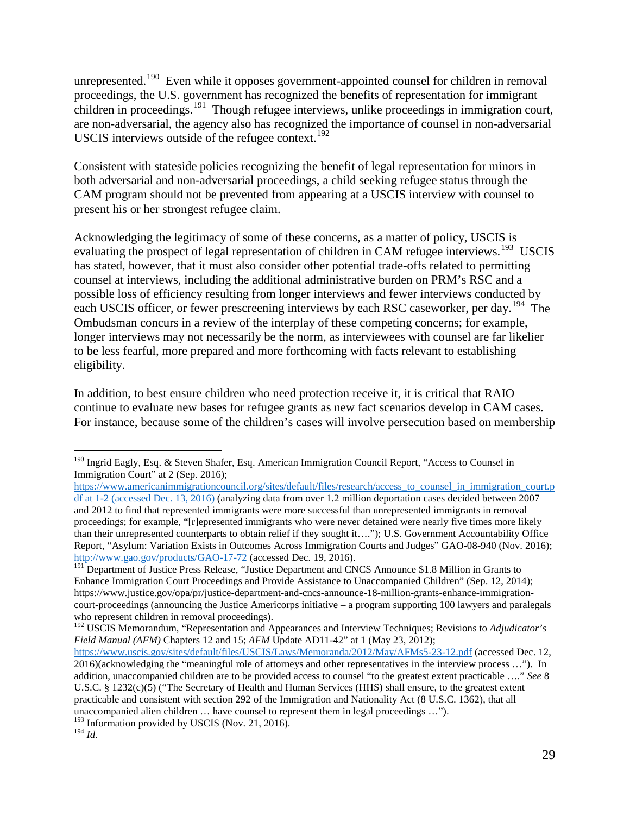unrepresented.<sup>[190](#page-28-0)</sup> Even while it opposes government-appointed counsel for children in removal proceedings, the U.S. government has recognized the benefits of representation for immigrant children in proceedings.<sup>[191](#page-28-1)</sup> Though refugee interviews, unlike proceedings in immigration court, are non-adversarial, the agency also has recognized the importance of counsel in non-adversarial USCIS interviews outside of the refugee context. $192$ 

Consistent with stateside policies recognizing the benefit of legal representation for minors in both adversarial and non-adversarial proceedings, a child seeking refugee status through the CAM program should not be prevented from appearing at a USCIS interview with counsel to present his or her strongest refugee claim.

each USCIS officer, or fewer prescreening interviews by each RSC caseworker, per day.<sup>[194](#page-28-4)</sup> The Acknowledging the legitimacy of some of these concerns, as a matter of policy, USCIS is evaluating the prospect of legal representation of children in CAM refugee interviews.<sup>[193](#page-28-3)</sup> USCIS has stated, however, that it must also consider other potential trade-offs related to permitting counsel at interviews, including the additional administrative burden on PRM's RSC and a possible loss of efficiency resulting from longer interviews and fewer interviews conducted by Ombudsman concurs in a review of the interplay of these competing concerns; for example, longer interviews may not necessarily be the norm, as interviewees with counsel are far likelier to be less fearful, more prepared and more forthcoming with facts relevant to establishing eligibility.

 continue to evaluate new bases for refugee grants as new fact scenarios develop in CAM cases. In addition, to best ensure children who need protection receive it, it is critical that RAIO For instance, because some of the children's cases will involve persecution based on membership

<span id="page-28-0"></span> $\overline{a}$ <sup>190</sup> Ingrid Eagly, Esq. & Steven Shafer, Esq. American Immigration Council Report, "Access to Counsel in Immigration Court" at 2 (Sep. 2016);

https://www.americanimmigrationcouncil.org/sites/default/files/research/access\_to\_counsel\_in\_immigration\_court.p [df a](https://www.americanimmigrationcouncil.org/sites/default/files/research/access_to_counsel_in_immigration_court.pdf)t 1-2 (accessed Dec. 13, 2016) (analyzing data from over 1.2 million deportation cases decided between 2007 and 2012 to find that represented immigrants were more successful than unrepresented immigrants in removal proceedings; for example, "[r]epresented immigrants who were never detained were nearly five times more likely than their unrepresented counterparts to obtain relief if they sought it…."); U.S. Government Accountability Office Report, "Asylum: Variation Exists in Outcomes Across Immigration Courts and Judges" GAO-08-940 (Nov. 2016); [http://www.gao.gov/products/GAO-17-72 \(](http://www.gao.gov/products/GAO-17-72)accessed Dec. 19, 2016).

<span id="page-28-1"></span><sup>&</sup>lt;sup>191</sup> Department of Justice Press Release, "Justice Department and CNCS Announce \$1.8 Million in Grants to Enhance Immigration Court Proceedings and Provide Assistance to Unaccompanied Children" (Sep. 12, 2014); [https://www.justice.gov/opa/pr/justice-department-and-cncs-announce-18-million-grants-enhance-immigration](https://www.justice.gov/opa/pr/justice-department-and-cncs-announce-18-million-grants-enhance-immigration-court-proceedings)[court-proceedings](https://www.justice.gov/opa/pr/justice-department-and-cncs-announce-18-million-grants-enhance-immigration-court-proceedings) (announcing the Justice Americorps initiative – a program supporting 100 lawyers and paralegals

<span id="page-28-2"></span><sup>&</sup>lt;sup>192</sup> USCIS Memorandum, "Representation and Appearances and Interview Techniques; Revisions to *Adjudicator's Field Manual (AFM)* Chapters 12 and 15; *AFM* Update AD11-42" at 1 (May 23, 2012);

 2016)(acknowledging the "meaningful role of attorneys and other representatives in the interview process …"). In addition, unaccompanied children are to be provided access to counsel "to the greatest extent practicable …." *See* 8 unaccompanied alien children … have counsel to represent them in legal proceedings …"). <https://www.uscis.gov/sites/default/files/USCIS/Laws/Memoranda/2012/May/AFMs5-23-12.pdf>(accessed Dec. 12, U.S.C. § 1232(c)(5) ("The Secretary of Health and Human Services (HHS) shall ensure, to the greatest extent practicable and consistent with section 292 of the Immigration and Nationality Act (8 U.S.C. 1362), that all

<span id="page-28-4"></span><span id="page-28-3"></span> $^{194}\,Id.$ 193 Information provided by USCIS (Nov. 21, 2016). <sup>194</sup>*Id.*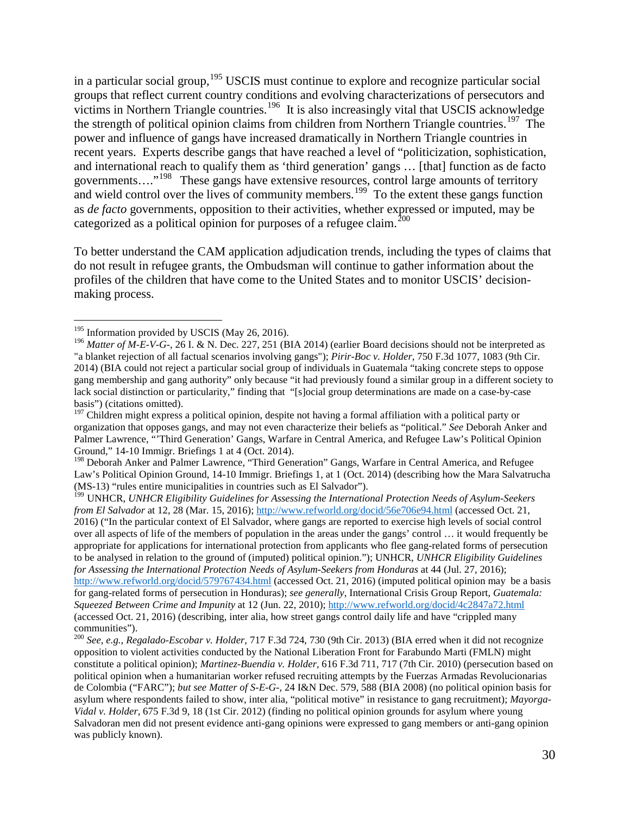victims in Northern Triangle countries.<sup>[196](#page-29-1)</sup> It is also increasingly vital that USCIS acknowledge the strength of political opinion claims from children from Northern Triangle countries.<sup>[197](#page-29-2)</sup> The recent years. Experts describe gangs that have reached a level of "politicization, sophistication, in a particular social group,<sup>[195](#page-29-0)</sup> USCIS must continue to explore and recognize particular social groups that reflect current country conditions and evolving characterizations of persecutors and power and influence of gangs have increased dramatically in Northern Triangle countries in and international reach to qualify them as 'third generation' gangs … [that] function as de facto governments...."<sup>[198](#page-29-3)</sup> These gangs have extensive resources, control large amounts of territory and wield control over the lives of community members.<sup>[199](#page-29-4)</sup> To the extent these gangs function as *de facto* governments, opposition to their activities, whether expressed or imputed, may be categorized as a political opinion for purposes of a refugee claim.<sup>200</sup>

To better understand the CAM application adjudication trends, including the types of claims that do not result in refugee grants, the Ombudsman will continue to gather information about the profiles of the children that have come to the United States and to monitor USCIS' decisionmaking process.

 $\overline{a}$  $195$  Information provided by USCIS (May 26, 2016).

<span id="page-29-1"></span><span id="page-29-0"></span><sup>&</sup>lt;sup>196</sup> Matter of M-E-V-G-[, 26 I. & N. Dec. 227, 251 \(BIA 2014\)](https://www.lexis.com/research/buttonTFLink?_m=2b679cf992df206824351b37edc9470c&_xfercite=%3ccite%20cc%3d%22USA%22%3e%3c%21%5bCDATA%5b3-33%20Immigration%20Law%20and%20Procedure%20%a7%2033.04%5d%5d%3e%3c%2fcite%3e&_butType=3&_butStat=2&_butNum=2234&_butInline=1&_butinfo=%3ccite%20cc%3d%22USA%22%3e%3c%21%5bCDATA%5b26%20I.%20%26%20N.%20Dec.%20227%2cat%20251%5d%5d%3e%3c%2fcite%3e&_fmtstr=FULL&docnum=1&_startdoc=1&wchp=dGLbVzB-zSkAA&_md5=4fa538d0ef8abd4f100ae909815edb54) (earlier Board decisions should not be interpreted as "a blanket rejection of all factual scenarios involving gangs"); *Pirir-Boc v. Holder*, 750 F.3d 1077, 1083 (9th Cir. 2014) (BIA could not reject a particular social group of individuals in Guatemala "taking concrete steps to oppose gang membership and gang authority" only because "it had previously found a similar group in a different society to lack social distinction or particularity," finding that "[s]ocial group determinations are made on a case-by-case basis") (citations omitted).

<span id="page-29-2"></span> organization that opposes gangs, and may not even characterize their beliefs as "political." *See* Deborah Anker and  $197$  Children might express a political opinion, despite not having a formal affiliation with a political party or Palmer Lawrence, "Third Generation' Gangs, Warfare in Central America, and Refugee Law's Political Opinion Ground," 14-10 Immigr. Briefings 1 at 4 (Oct. 2014).

<span id="page-29-3"></span>Ground," 14-10 Immigr. Briefings 1 at 4 (Oct. 2014).<br><sup>198</sup> Deborah Anker and Palmer Lawrence, "Third Generation" Gangs, Warfare in Central America, and Refugee Law's Political Opinion Ground, 14-10 Immigr. Briefings 1, at 1 (Oct. 2014) (describing how the Mara Salvatrucha (MS-13) "rules entire municipalities in countries such as El Salvador").

<span id="page-29-4"></span> appropriate for applications for international protection from applicants who flee gang-related forms of persecution 199 UNHCR, *UNHCR Eligibility Guidelines for Assessing the International Protection Needs of Asylum-Seekers from El Salvador* at 12, 28 (Mar. 15, 2016);<http://www.refworld.org/docid/56e706e94.html>(accessed Oct. 21, 2016) ("In the particular context of El Salvador, where gangs are reported to exercise high levels of social control over all aspects of life of the members of population in the areas under the gangs' control … it would frequently be to be analysed in relation to the ground of (imputed) political opinion."); UNHCR, *UNHCR Eligibility Guidelines for Assessing the International Protection Needs of Asylum-Seekers from Honduras* at 44 (Jul. 27, 2016); <http://www.refworld.org/docid/579767434.html>(accessed Oct. 21, 2016) (imputed political opinion may be a basis for gang-related forms of persecution in Honduras); *see generally*, International Crisis Group Report, *Guatemala: Squeezed Between Crime and Impunity* at 12 (Jun. 22, 2010);<http://www.refworld.org/docid/4c2847a72.html> (accessed Oct. 21, 2016) (describing, inter alia, how street gangs control daily life and have "crippled many communities").

<span id="page-29-5"></span> de Colombia ("FARC"); *but see Matter of S-E-G-,* 24 I&N Dec. 579, 588 (BIA 2008) (no political opinion basis for *Vidal v. Holder*, 675 F.3d 9, 18 (1st Cir. 2012) (finding no political opinion grounds for asylum where young <sup>200</sup>*See, e.g., Regalado-Escobar v. Holder*[, 717 F.3d 724, 730 \(9th Cir. 2013\)](http://www.lexis.com/research/xlink?app=00075&view=full&searchtype=le&search=717+F.3d+724%2520at%2520730) (BIA erred when it did not recognize opposition to violent activities conducted by the National Liberation Front for Farabundo Marti (FMLN) might constitute a political opinion); *Martinez-Buendia v. Holder,* 616 F.3d 711, 717 (7th Cir. 2010) (persecution based on political opinion when a humanitarian worker refused recruiting attempts by the Fuerzas Armadas Revolucionarias asylum where respondents failed to show, inter alia, "political motive" in resistance to gang recruitment); *Mayorga-*Salvadoran men did not present evidence anti-gang opinions were expressed to gang members or anti-gang opinion was publicly known).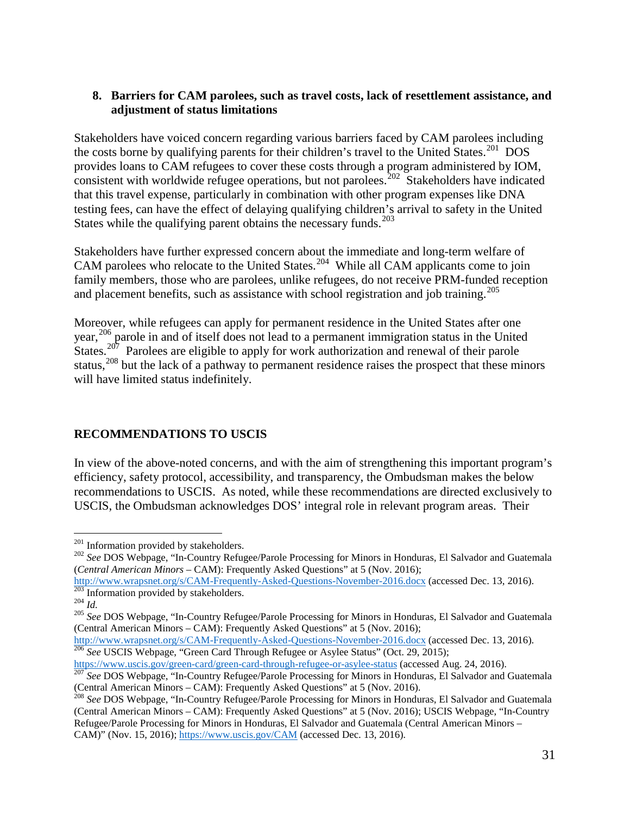#### **8. Barriers for CAM parolees, such as travel costs, lack of resettlement assistance, and adjustment of status limitations**

the costs borne by qualifying parents for their children's travel to the United States.<sup>[201](#page-30-1)</sup> DOS States while the qualifying parent obtains the necessary funds.<sup>203</sup> Stakeholders have voiced concern regarding various barriers faced by CAM parolees including provides loans to CAM refugees to cover these costs through a program administered by IOM, consistent with worldwide refugee operations, but not parolees.<sup>[202](#page-30-2)</sup> Stakeholders have indicated that this travel expense, particularly in combination with other program expenses like DNA testing fees, can have the effect of delaying qualifying children's arrival to safety in the United

CAM parolees who relocate to the United States.<sup>[204](#page-30-4)</sup> While all CAM applicants come to join and placement benefits, such as assistance with school registration and job training.<sup>205</sup> Stakeholders have further expressed concern about the immediate and long-term welfare of family members, those who are parolees, unlike refugees, do not receive PRM-funded reception

Moreover, while refugees can apply for permanent residence in the United States after one year,<sup>[206](#page-30-6)</sup> parole in and of itself does not lead to a permanent immigration status in the United States.<sup>[207](#page-30-7)</sup> Parolees are eligible to apply for work authorization and renewal of their parole status,<sup>[208](#page-30-8)</sup> but the lack of a pathway to permanent residence raises the prospect that these minors will have limited status indefinitely.

### <span id="page-30-0"></span>**RECOMMENDATIONS TO USCIS**

In view of the above-noted concerns, and with the aim of strengthening this important program's efficiency, safety protocol, accessibility, and transparency, the Ombudsman makes the below recommendations to USCIS. As noted, while these recommendations are directed exclusively to USCIS, the Ombudsman acknowledges DOS' integral role in relevant program areas. Their

<span id="page-30-6"></span>[https://www.uscis.gov/green-card/green-card-through-refugee-or-asylee-status \(](https://www.uscis.gov/green-card/green-card-through-refugee-or-asylee-status)accessed Aug. 24, 2016). [207](https://www.uscis.gov/green-card/green-card-through-refugee-or-asylee-status) *See DOS Webbage, "In-Country Refugee-or-asylee-status* (accessed Aug. 24, 2016).

 $\overline{a}$  $201$  Information provided by stakeholders.

<span id="page-30-2"></span><span id="page-30-1"></span><sup>&</sup>lt;sup>201</sup> Information provided by stakeholders.<br><sup>202</sup> See DOS Webpage, "In-Country Refugee/Parole Processing for Minors in Honduras, El Salvador and Guatemala (*Central American Minors* – CAM): Frequently Asked Questions" at 5 (Nov. 2016);

<span id="page-30-3"></span> $\frac{203}{203}$  Information provided by stakeholders. <http://www.wrapsnet.org/s/CAM-Frequently-Asked-Questions-November-2016.docx>(accessed Dec. 13, 2016).<br><sup>203</sup> Information provided by stakeholders.

<span id="page-30-5"></span><span id="page-30-4"></span><sup>&</sup>lt;sup>205</sup> See DOS Webpage, "In-Country Refugee/Parole Processing for Minors in Honduras, El Salvador and Guatemala (Central American Minors – CAM): Frequently Asked Questions" at 5 (Nov. 2016);<br>http://www.wrapsnet.org/s/CAM-Frequently-Asked-Questions-November-2016.docx (accessed Dec. 13, 2016).

<http://www.wrapsnet.org/s/CAM-Frequently-Asked-Questions-November-2016.docx>(accessed Dec. 13, 2016).<br><sup>206</sup> *See* USCIS Webpage, "Green Card Through Refugee or Asylee Status" (Oct. 29, 2015);

<span id="page-30-7"></span> $^{207}$  See DOS Webpage, "In-Country Refugee/Parole Processing for Minors in Honduras, El Salvador and Guatemala (Central American Minors – CAM): Frequently Asked Questions" at 5 (Nov. 2016). (Central American Minors – CAM): Frequently Asked Questions" at 5 (Nov. 2016). <sup>208</sup>*See* DOS Webpage, "In-Country Refugee/Parole Processing for Minors in Honduras, El Salvador and Guatemala

<span id="page-30-8"></span>CAM)" (Nov. 15, 2016);  $\frac{https://www.uscis.gov/CAM}{}$  (accessed Dec. 13, 2016).  $31$ (Central American Minors – CAM): Frequently Asked Questions" at 5 (Nov. 2016); USCIS Webpage, "In-Country Refugee/Parole Processing for Minors in Honduras, El Salvador and Guatemala (Central American Minors –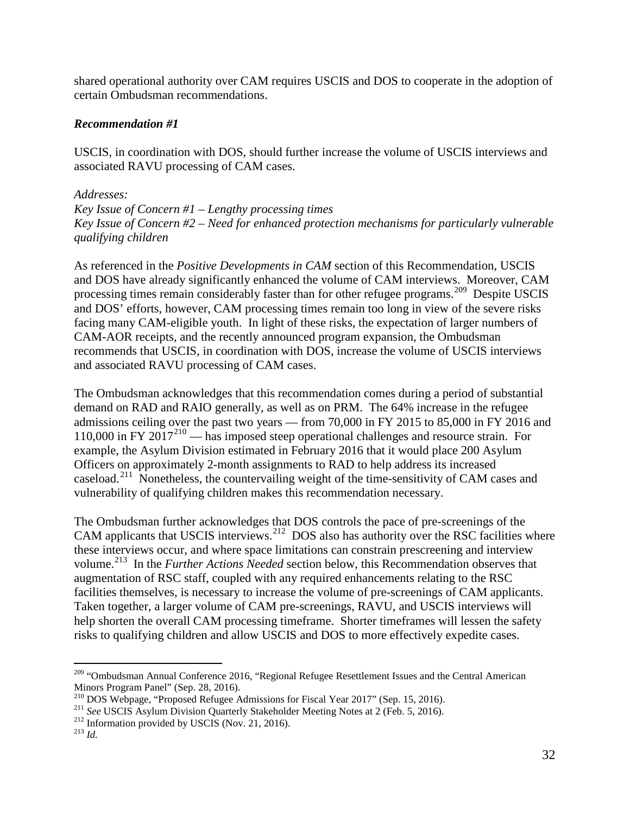shared operational authority over CAM requires USCIS and DOS to cooperate in the adoption of certain Ombudsman recommendations.

#### *Recommendation #1*

USCIS, in coordination with DOS, should further increase the volume of USCIS interviews and associated RAVU processing of CAM cases.

#### *Addresses:*

*Key Issue of Concern #1* – *Lengthy processing times Key Issue of Concern #2* – *Need for enhanced protection mechanisms for particularly vulnerable qualifying children* 

processing times remain considerably faster than for other refugee programs.<sup>209</sup> Despite USCIS As referenced in the *Positive Developments in CAM* section of this Recommendation, USCIS and DOS have already significantly enhanced the volume of CAM interviews. Moreover, CAM and DOS' efforts, however, CAM processing times remain too long in view of the severe risks facing many CAM-eligible youth. In light of these risks, the expectation of larger numbers of CAM-AOR receipts, and the recently announced program expansion, the Ombudsman recommends that USCIS, in coordination with DOS, increase the volume of USCIS interviews and associated RAVU processing of CAM cases.

110,000 in FY  $2017^{210}$  $2017^{210}$  $2017^{210}$  — has imposed steep operational challenges and resource strain. For The Ombudsman acknowledges that this recommendation comes during a period of substantial demand on RAD and RAIO generally, as well as on PRM. The 64% increase in the refugee admissions ceiling over the past two years — from 70,000 in FY 2015 to 85,000 in FY 2016 and example, the Asylum Division estimated in February 2016 that it would place 200 Asylum Officers on approximately 2-month assignments to RAD to help address its increased caseload.[211](#page-31-2) Nonetheless, the countervailing weight of the time-sensitivity of CAM cases and vulnerability of qualifying children makes this recommendation necessary.

volume.<sup>213</sup> In the *Further Actions Needed* section below, this Recommendation observes that risks to qualifying children and allow USCIS and DOS to more effectively expedite cases. The Ombudsman further acknowledges that DOS controls the pace of pre-screenings of the CAM applicants that USCIS interviews.<sup>212</sup> DOS also has authority over the RSC facilities where these interviews occur, and where space limitations can constrain prescreening and interview augmentation of RSC staff, coupled with any required enhancements relating to the RSC facilities themselves, is necessary to increase the volume of pre-screenings of CAM applicants. Taken together, a larger volume of CAM pre-screenings, RAVU, and USCIS interviews will help shorten the overall CAM processing timeframe. Shorter timeframes will lessen the safety

<span id="page-31-0"></span> $\overline{a}$ <sup>209</sup> "Ombudsman Annual Conference 2016, "Regional Refugee Resettlement Issues and the Central American

Minors Program Panel" (Sep. 28, 2016).<br><sup>210</sup> DOS Webpage, "Proposed Refugee Admissions for Fiscal Year 2017" (Sep. 15, 2016).

<span id="page-31-1"></span><sup>&</sup>lt;sup>210</sup> DOS Webpage, "Proposed Refugee Admissions for Fiscal Year 2017" (Sep. 15, 2016).<br><sup>211</sup> See USCIS Asylum Division Quarterly Stakeholder Meeting Notes at 2 (Feb. 5, 2016). <sup>211</sup> See USCIS Asylum Division Quarterly Stakeholder Meeting Notes at 2 (Feb. 5, 2016).<br><sup>212</sup> Information provided by USCIS (Nov. 21, 2016).

<span id="page-31-2"></span><sup>&</sup>lt;sup>212</sup> Information provided by USCIS (Nov. 21, 2016).

<span id="page-31-4"></span><span id="page-31-3"></span> $^{213}$  *Id.*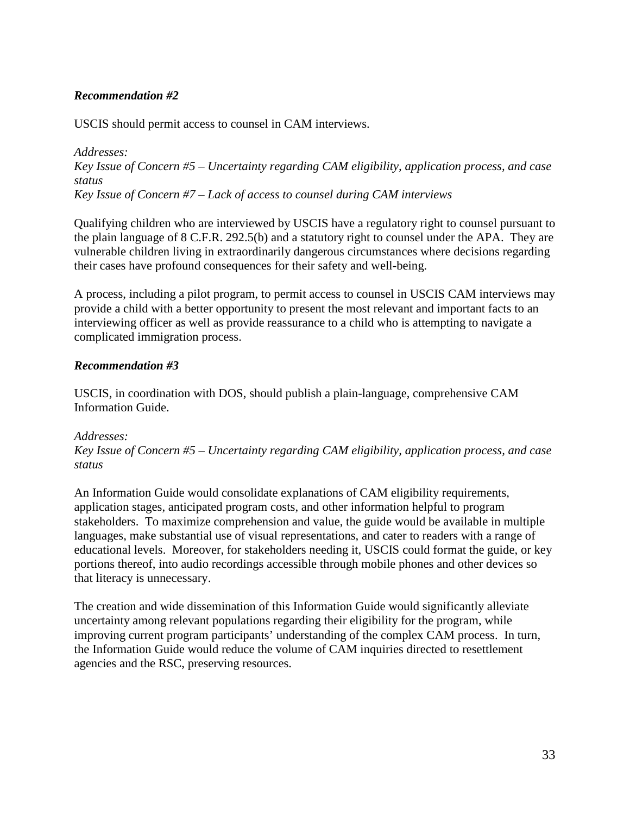### *Recommendation #2*

USCIS should permit access to counsel in CAM interviews.

*Addresses: Key Issue of Concern #5* – *Uncertainty regarding CAM eligibility, application process, and case status Key Issue of Concern #7* – *Lack of access to counsel during CAM interviews* 

Qualifying children who are interviewed by USCIS have a regulatory right to counsel pursuant to the plain language of 8 C.F.R. 292.5(b) and a statutory right to counsel under the APA. They are vulnerable children living in extraordinarily dangerous circumstances where decisions regarding their cases have profound consequences for their safety and well-being.

 interviewing officer as well as provide reassurance to a child who is attempting to navigate a A process, including a pilot program, to permit access to counsel in USCIS CAM interviews may provide a child with a better opportunity to present the most relevant and important facts to an complicated immigration process.

#### *Recommendation #3*

USCIS, in coordination with DOS, should publish a plain-language, comprehensive CAM Information Guide.

#### *Addresses:*

*Key Issue of Concern #5* – *Uncertainty regarding CAM eligibility, application process, and case status* 

An Information Guide would consolidate explanations of CAM eligibility requirements, application stages, anticipated program costs, and other information helpful to program stakeholders. To maximize comprehension and value, the guide would be available in multiple languages, make substantial use of visual representations, and cater to readers with a range of educational levels. Moreover, for stakeholders needing it, USCIS could format the guide, or key portions thereof, into audio recordings accessible through mobile phones and other devices so that literacy is unnecessary.

 The creation and wide dissemination of this Information Guide would significantly alleviate uncertainty among relevant populations regarding their eligibility for the program, while improving current program participants' understanding of the complex CAM process. In turn, the Information Guide would reduce the volume of CAM inquiries directed to resettlement agencies and the RSC, preserving resources.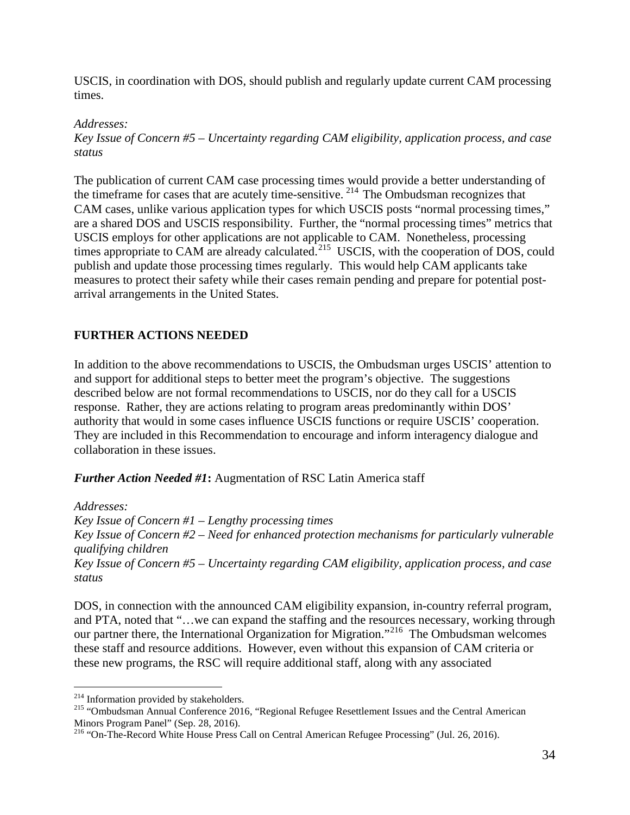times. USCIS, in coordination with DOS, should publish and regularly update current CAM processing

*Addresses:* 

*Key Issue of Concern #5 – Uncertainty regarding CAM eligibility, application process, and case status* 

the timeframe for cases that are acutely time-sensitive.  $2^{14}$  The Ombudsman recognizes that CAM cases, unlike various application types for which USCIS posts "normal processing times," measures to protect their safety while their cases remain pending and prepare for potential post-The publication of current CAM case processing times would provide a better understanding of are a shared DOS and USCIS responsibility. Further, the "normal processing times" metrics that USCIS employs for other applications are not applicable to CAM. Nonetheless, processing times appropriate to CAM are already calculated.<sup>215</sup> USCIS, with the cooperation of DOS, could publish and update those processing times regularly. This would help CAM applicants take arrival arrangements in the United States.

### <span id="page-33-0"></span>**FURTHER ACTIONS NEEDED**

In addition to the above recommendations to USCIS, the Ombudsman urges USCIS' attention to and support for additional steps to better meet the program's objective. The suggestions described below are not formal recommendations to USCIS, nor do they call for a USCIS response. Rather, they are actions relating to program areas predominantly within DOS' authority that would in some cases influence USCIS functions or require USCIS' cooperation. They are included in this Recommendation to encourage and inform interagency dialogue and collaboration in these issues.

*Further Action Needed #1***:** Augmentation of RSC Latin America staff

*Addresses: Key Issue of Concern #1* – *Lengthy processing times Key Issue of Concern #2* – *Need for enhanced protection mechanisms for particularly vulnerable qualifying children Key Issue of Concern #5* – *Uncertainty regarding CAM eligibility, application process, and case status* 

 these new programs, the RSC will require additional staff, along with any associated DOS, in connection with the announced CAM eligibility expansion, in-country referral program, and PTA, noted that "…we can expand the staffing and the resources necessary, working through our partner there, the International Organization for Migration."[216](#page-33-3) The Ombudsman welcomes these staff and resource additions. However, even without this expansion of CAM criteria or

 $\overline{a}$ <sup>214</sup> Information provided by stakeholders.

<span id="page-33-2"></span><span id="page-33-1"></span><sup>&</sup>lt;sup>214</sup> Information provided by stakeholders.<br><sup>215</sup> "Ombudsman Annual Conference 2016, "Regional Refugee Resettlement Issues and the Central American Minors Program Panel" (Sep. 28, 2016).

<span id="page-33-3"></span><sup>216 &</sup>quot;On-The-Record White House Press Call on Central American Refugee Processing" (Jul. 26, 2016).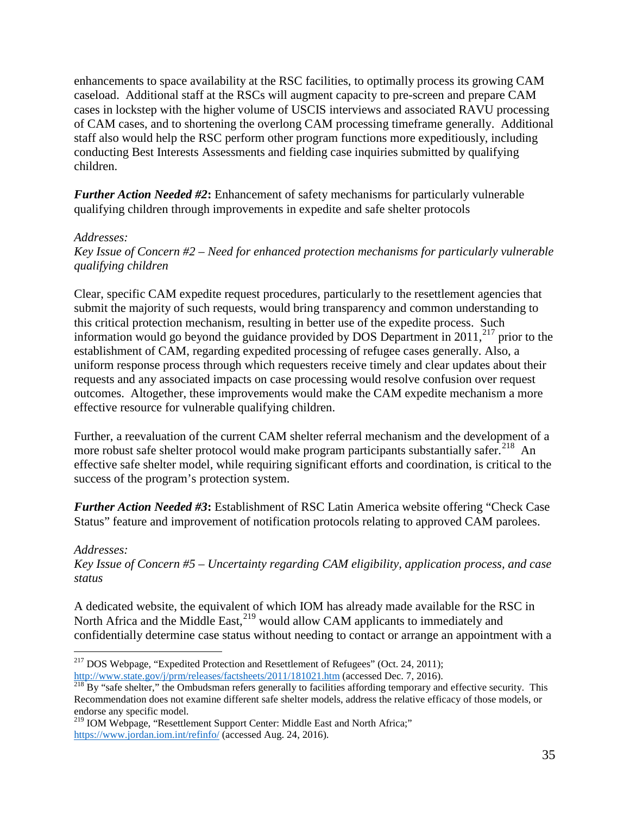caseload. Additional staff at the RSCs will augment capacity to pre-screen and prepare CAM of CAM cases, and to shortening the overlong CAM processing timeframe generally. Additional conducting Best Interests Assessments and fielding case inquiries submitted by qualifying enhancements to space availability at the RSC facilities, to optimally process its growing CAM cases in lockstep with the higher volume of USCIS interviews and associated RAVU processing staff also would help the RSC perform other program functions more expeditiously, including children.

 qualifying children through improvements in expedite and safe shelter protocols *Further Action Needed #2***:** Enhancement of safety mechanisms for particularly vulnerable

#### *Addresses:*

*Key Issue of Concern #2* – *Need for enhanced protection mechanisms for particularly vulnerable qualifying children* 

Clear, specific CAM expedite request procedures, particularly to the resettlement agencies that submit the majority of such requests, would bring transparency and common understanding to this critical protection mechanism, resulting in better use of the expedite process. Such information would go beyond the guidance provided by DOS Department in  $2011$ ,<sup>[217](#page-34-0)</sup> prior to the establishment of CAM, regarding expedited processing of refugee cases generally. Also, a uniform response process through which requesters receive timely and clear updates about their requests and any associated impacts on case processing would resolve confusion over request outcomes. Altogether, these improvements would make the CAM expedite mechanism a more effective resource for vulnerable qualifying children.

 Further, a reevaluation of the current CAM shelter referral mechanism and the development of a more robust safe shelter protocol would make program participants substantially safer.<sup>[218](#page-34-1)</sup> An effective safe shelter model, while requiring significant efforts and coordination, is critical to the success of the program's protection system.

*Further Action Needed #3***:** Establishment of RSC Latin America website offering "Check Case Status" feature and improvement of notification protocols relating to approved CAM parolees.

#### *Addresses:*

*Key Issue of Concern #5* – *Uncertainty regarding CAM eligibility, application process, and case status* 

North Africa and the Middle East, <sup>219</sup> would allow CAM applicants to immediately and A dedicated website, the equivalent of which IOM has already made available for the RSC in confidentially determine case status without needing to contact or arrange an appointment with a

 $\overline{a}$ <sup>217</sup> DOS Webpage, "Expedited Protection and Resettlement of Refugees" (Oct. 24, 2011);

<span id="page-34-1"></span><span id="page-34-0"></span> Recommendation does not examine different safe shelter models, address the relative efficacy of those models, or [http://www.state.gov/j/prm/releases/factsheets/2011/181021.htm \(](http://www.state.gov/j/prm/releases/factsheets/2011/181021.htm)accessed Dec. 7, 2016).<br><sup>218</sup> By "safe shelter," the Ombudsman refers generally to facilities affording temporary and effective security. This endorse any specific model.

<span id="page-34-2"></span><sup>&</sup>lt;sup>219</sup> IOM Webpage, "Resettlement Support Center: Middle East and North Africa;" [https://www.jordan.iom.int/refinfo/ \(](https://www.jordan.iom.int/refinfo/)accessed Aug. 24, 2016).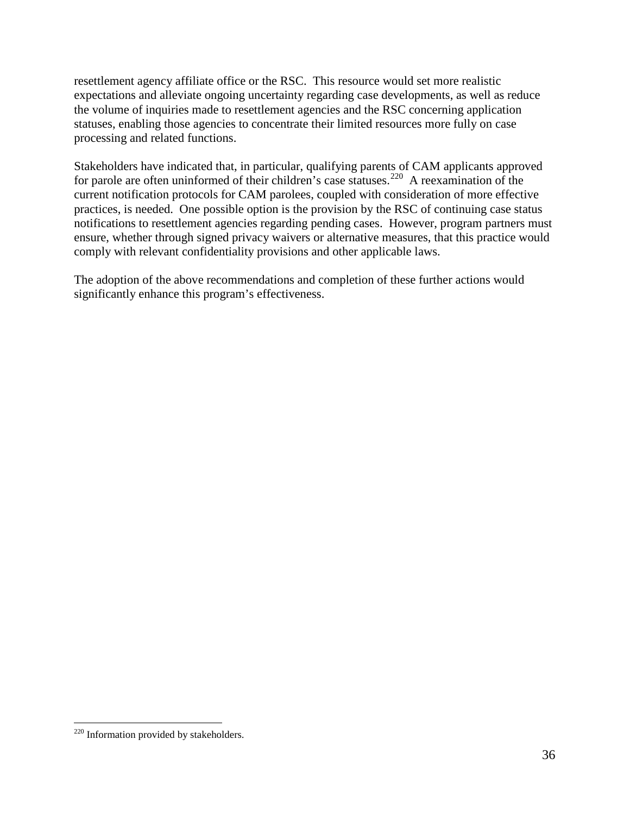resettlement agency affiliate office or the RSC. This resource would set more realistic expectations and alleviate ongoing uncertainty regarding case developments, as well as reduce the volume of inquiries made to resettlement agencies and the RSC concerning application statuses, enabling those agencies to concentrate their limited resources more fully on case processing and related functions.

Stakeholders have indicated that, in particular, qualifying parents of CAM applicants approved for parole are often uninformed of their children's case statuses.<sup>220</sup> A reexamination of the current notification protocols for CAM parolees, coupled with consideration of more effective practices, is needed. One possible option is the provision by the RSC of continuing case status notifications to resettlement agencies regarding pending cases. However, program partners must ensure, whether through signed privacy waivers or alternative measures, that this practice would comply with relevant confidentiality provisions and other applicable laws.

The adoption of the above recommendations and completion of these further actions would significantly enhance this program's effectiveness.

 $\overline{a}$ 

<span id="page-35-0"></span><sup>&</sup>lt;sup>220</sup> Information provided by stakeholders.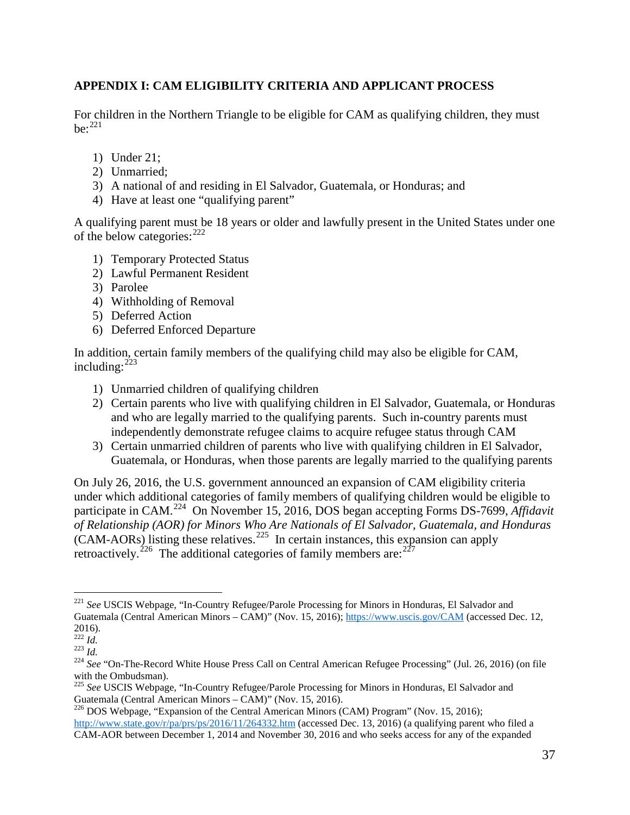#### <span id="page-36-0"></span>**APPENDIX I: CAM ELIGIBILITY CRITERIA AND APPLICANT PROCESS**

be: $221$ For children in the Northern Triangle to be eligible for CAM as qualifying children, they must

- 1) Under 21;
- 2) Unmarried;
- 3) A national of and residing in El Salvador, Guatemala, or Honduras; and
- 4) Have at least one "qualifying parent"

A qualifying parent must be 18 years or older and lawfully present in the United States under one of the below categories:  $222$ 

- 1) Temporary Protected Status
- 2) Lawful Permanent Resident
- 3) Parolee
- 4) Withholding of Removal
- 5) Deferred Action
- 6) Deferred Enforced Departure

In addition, certain family members of the qualifying child may also be eligible for CAM, including: $^{223}$  $^{223}$  $^{223}$ 

- 1) Unmarried children of qualifying children
- independently demonstrate refugee claims to acquire refugee status through CAM 2) Certain parents who live with qualifying children in El Salvador, Guatemala, or Honduras and who are legally married to the qualifying parents. Such in-country parents must
- Guatemala, or Honduras, when those parents are legally married to the qualifying parents independently demonstrate refugee claims to acquire refugee status through CAM<br>3) Certain unmarried children of parents who live with qualifying children in El Salvador,

 $(CAM-AORs)$  listing these relatives.<sup>[225](#page-36-5)</sup> In certain instances, this expansion can apply retroactively.<sup>[226](#page-36-6)</sup> The additional categories of family members are:  $227$ Guatemala, On July 26, 2016, the U.S. government announced an expansion of CAM eligibility criteria under which additional categories of family members of qualifying children would be eligible to participate in CAM.[224](#page-36-4) On November 15, 2016, DOS began accepting Forms DS-7699, *Affidavit of Relationship (AOR) for Minors Who Are Nationals of El Salvador, Guatemala, and Honduras* 

<span id="page-36-7"></span><span id="page-36-1"></span> $\overline{a}$  <sup>221</sup>*See* USCIS Webpage, "In-Country Refugee/Parole Processing for Minors in Honduras, El Salvador and Guatemala (Central American Minors – CAM)" (Nov. 15, 2016);<https://www.uscis.gov/CAM>(accessed Dec. 12,

 $\frac{2016}{222}$  *Id.* 

<span id="page-36-4"></span><span id="page-36-3"></span><span id="page-36-2"></span> $^{14}$ <br> $^{223}$   $^{16}$ .

<sup>2016).&</sup>lt;br><sup>222</sup> Id.<br><sup>223</sup> Id. **Call Con-The-Record White House Press Call on Central American Refugee Processing" (Jul. 26, 2016) (on file** with the Ombudsman).

 <sup>225</sup>*See* USCIS Webpage, "In-Country Refugee/Parole Processing for Minors in Honduras, El Salvador and

<span id="page-36-6"></span><span id="page-36-5"></span>Guatemala (Central American Minors – CAM)" (Nov. 15, 2016).<br><sup>226</sup> DOS Webpage, "Expansion of the Central American Minors (CAM) Program" (Nov. 15, 2016); [http://www.state.gov/r/pa/prs/ps/2016/11/264332.htm \(](http://www.state.gov/r/pa/prs/ps/2016/11/264332.htm)accessed Dec. 13, 2016) (a qualifying parent who filed a CAM-AOR between December 1, 2014 and November 30, 2016 and who seeks access for any of the expanded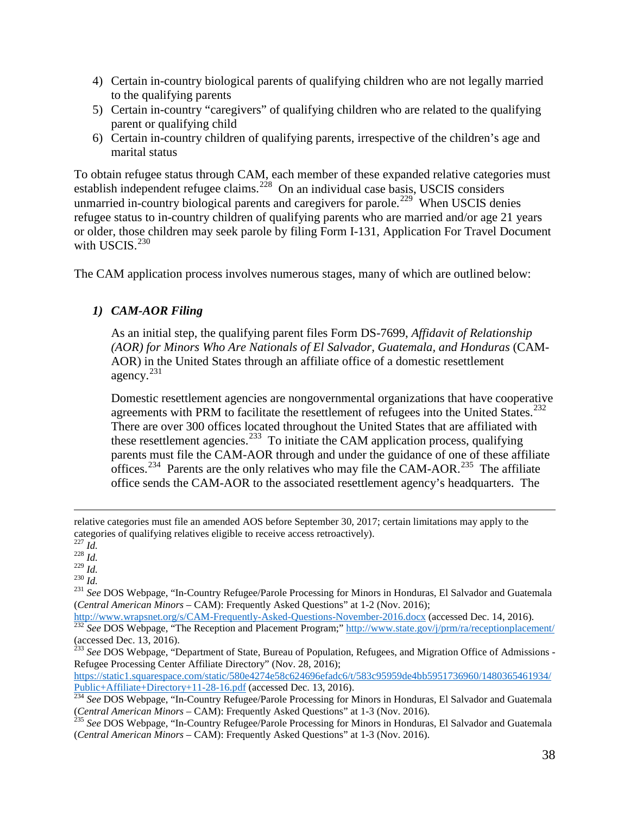- to the qualifying parents 4) Certain in-country biological parents of qualifying children who are not legally married
- to the qualifying parents<br>5) Certain in-country "caregivers" of qualifying children who are related to the qualifying parent or qualifying child
- 6) Certain in-country children of qualifying parents, irrespective of the children's age and marital status

To obtain refugee status through CAM, each member of these expanded relative categories must establish independent refugee claims.<sup>228</sup> On an individual case basis, USCIS considers unmarried in-country biological parents and caregivers for parole.<sup>[229](#page-37-1)</sup> When USCIS denies refugee status to in-country children of qualifying parents who are married and/or age 21 years or older, those children may seek parole by filing Form I-131, Application For Travel Document with USCIS.<sup>[230](#page-37-2)</sup>

The CAM application process involves numerous stages, many of which are outlined below:

### *1) CAM-AOR Filing*

agency.<sup>231</sup> As an initial step, the qualifying parent files Form DS-7699, *Affidavit of Relationship (AOR) for Minors Who Are Nationals of El Salvador, Guatemala, and Honduras* (CAM-AOR) in the United States through an affiliate office of a domestic resettlement

agreements with PRM to facilitate the resettlement of refugees into the United States.<sup>[232](#page-37-4)</sup> these resettlement agencies.<sup>[233](#page-37-5)</sup> To initiate the CAM application process, qualifying offices.<sup>[234](#page-37-6)</sup> Parents are the only relatives who may file the CAM-AOR.<sup>[235](#page-37-7)</sup> The affiliate Domestic resettlement agencies are nongovernmental organizations that have cooperative There are over 300 offices located throughout the United States that are affiliated with parents must file the CAM-AOR through and under the guidance of one of these affiliate office sends the CAM-AOR to the associated resettlement agency's headquarters. The

 $\overline{a}$ 

[https://static1.squarespace.com/static/580e4274e58c624696efadc6/t/583c95959de4bb5951736960/1480365461934/](https://static1.squarespace.com/static/580e4274e58c624696efadc6/t/583c95959de4bb5951736960/1480365461934/Public+Affiliate+Directory+11-28-16.pdf) [Public+Affiliate+Directory+11-28-16.pdf](https://static1.squarespace.com/static/580e4274e58c624696efadc6/t/583c95959de4bb5951736960/1480365461934/Public+Affiliate+Directory+11-28-16.pdf) (accessed Dec. 13, 2016).

 relative categories must file an amended AOS before September 30, 2017; certain limitations may apply to the categories of qualifying relatives eligible to receive access retroactively).

<sup>227</sup>*Id.* <sup>228</sup>*Id.* 

<span id="page-37-3"></span><span id="page-37-2"></span><span id="page-37-1"></span><span id="page-37-0"></span> $^{230}$  *Id.* 

<sup>&</sup>lt;sup>229</sup> Id.<br><sup>230</sup> Id.<br><sup>231</sup> See DOS Webpage, ''In-Country Refugee/Parole Processing for Minors in Honduras, El Salvador and Guatemala (*Central American Minors* – CAM): Frequently Asked Questions" at 1-2 (Nov. 2016);

<span id="page-37-4"></span><http://www.wrapsnet.org/s/CAM-Frequently-Asked-Questions-November-2016.docx>(accessed Dec. 14, 2016).<br><sup>232</sup> See DOS Webpage, "The Reception and Placement Program;"<http://www.state.gov/j/prm/ra/receptionplacement/> (accessed Dec. 13, 2016).

<span id="page-37-5"></span><sup>233</sup>*See* DOS Webpage, "Department of State, Bureau of Population, Refugees, and Migration Office of Admissions Refugee Processing Center Affiliate Directory" (Nov. 28, 2016);

<span id="page-37-6"></span> <sup>234</sup>*See* DOS Webpage, "In-Country Refugee/Parole Processing for Minors in Honduras, El Salvador and Guatemala (*Central American Minors* – CAM): Frequently Asked Questions" at 1-3 (Nov. 2016). <sup>235</sup>*See* DOS Webpage, "In-Country Refugee/Parole Processing for Minors in Honduras, El Salvador and Guatemala

<span id="page-37-7"></span> (*Central American Minors* – CAM): Frequently Asked Questions" at 1-3 (Nov. 2016).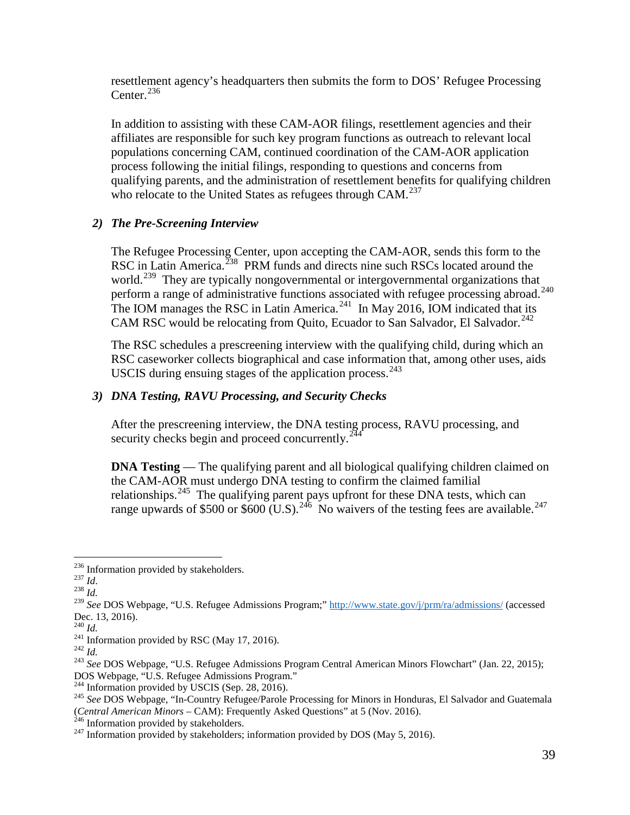Center. $^{236}$ resettlement agency's headquarters then submits the form to DOS' Refugee Processing

who relocate to the United States as refugees through CAM.<sup>[237](#page-38-1)</sup> In addition to assisting with these CAM-AOR filings, resettlement agencies and their affiliates are responsible for such key program functions as outreach to relevant local populations concerning CAM, continued coordination of the CAM-AOR application process following the initial filings, responding to questions and concerns from qualifying parents, and the administration of resettlement benefits for qualifying children

#### *2) The Pre-Screening Interview*

perform a range of administrative functions associated with refugee processing abroad.<sup>[240](#page-38-4)</sup> The IOM manages the RSC in Latin America.<sup>[241](#page-38-5)</sup> In May 2016, IOM indicated that its CAM RSC would be relocating from Quito, Ecuador to San Salvador, El Salvador.<sup>[242](#page-38-6)</sup> The Refugee Processing Center, upon accepting the CAM-AOR, sends this form to the RSC in Latin America.<sup>[238](#page-38-2)</sup> PRM funds and directs nine such RSCs located around the world.<sup>239</sup> They are typically nongovernmental or intergovernmental organizations that

The RSC schedules a prescreening interview with the qualifying child, during which an RSC caseworker collects biographical and case information that, among other uses, aids USCIS during ensuing stages of the application process. $243$ 

### *3) DNA Testing, RAVU Processing, and Security Checks*

After the prescreening interview, the DNA testing process, RAVU processing, and security checks begin and proceed concurrently.<sup>244</sup>

relationships.<sup>[245](#page-38-9)</sup> The qualifying parent pays upfront for these DNA tests, which can range upwards of \$500 or \$600 (U.S).<sup>[246](#page-38-10)</sup> No waivers of the testing fees are available.<sup>[247](#page-38-11)</sup> **DNA Testing** — The qualifying parent and all biological qualifying children claimed on the CAM-AOR must undergo DNA testing to confirm the claimed familial

 $\overline{a}$ 236 Information provided by stakeholders. 237 *Id*. 238 *Id.* 

<span id="page-38-1"></span><span id="page-38-0"></span> $^{237}$  *Id.* 

<span id="page-38-2"></span> $^{238}$  *Id.* 

<span id="page-38-3"></span> <sup>239</sup>*See* DOS Webpage, "U.S. Refugee Admissions Program;"<http://www.state.gov/j/prm/ra/admissions/>(accessed Dec. 13, 2016).

 $^{240}$  *Id.*<br><sup>241</sup> Information provided by RSC (May 17, 2016).

<span id="page-38-7"></span><span id="page-38-6"></span><span id="page-38-5"></span> $^{242}$  *Id.* 

<span id="page-38-4"></span><sup>&</sup>lt;sup>240</sup> Id.<br><sup>241</sup> Information provided by RSC (May 17, 2016).<br><sup>242</sup> Id. *243 See* DOS Webpage, "U.S. Refugee Admissions Program Central American Minors Flowchart" (Jan. 22, 2015); DOS Webpage, "U.S. Refugee Admissions Program." 244 Information provided by USCIS (Sep. 28, 2016).

<span id="page-38-9"></span><span id="page-38-8"></span><sup>&</sup>lt;sup>244</sup> Information provided by USCIS (Sep. 28, 2016).<br><sup>245</sup> See DOS Webpage, "In-Country Refugee/Parole Processing for Minors in Honduras, El Salvador and Guatemala (*Central American Minors* – CAM): Frequently Asked Questions" at 5 (Nov. 2016).<br><sup>246</sup> Information provided by stakeholders.

<span id="page-38-11"></span><span id="page-38-10"></span> $^{247}$  Information provided by stakeholders; information provided by DOS (May 5, 2016).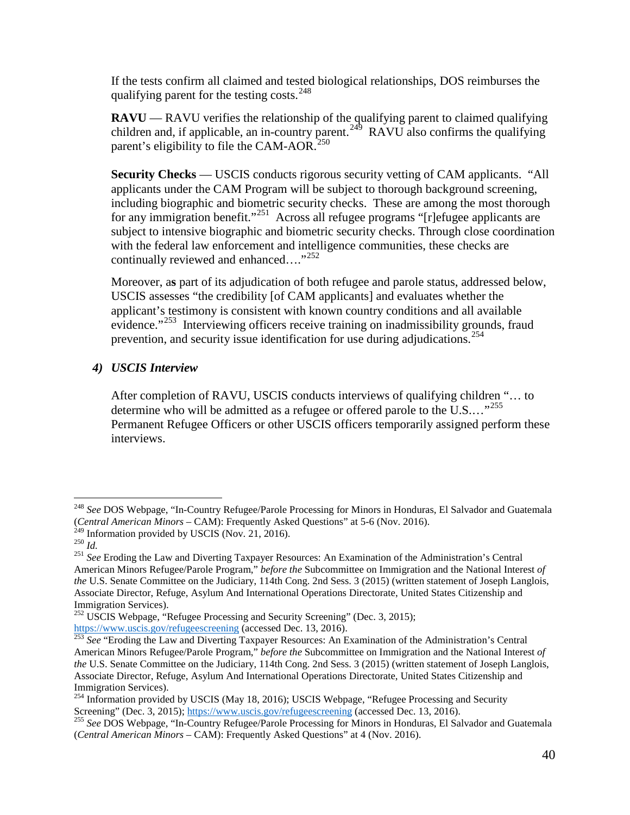If the tests confirm all claimed and tested biological relationships, DOS reimburses the qualifying parent for the testing costs.<sup>248</sup>

**RAVU** — RAVU verifies the relationship of the qualifying parent to claimed qualifying children and, if applicable, an in-country parent.<sup>[249](#page-39-1)</sup> RAVU also confirms the qualifying parent's eligibility to file the CAM-AOR.<sup>250</sup>

for any immigration benefit."<sup>[251](#page-39-3)</sup> Across all refugee programs "[r]efugee applicants are **Security Checks** — USCIS conducts rigorous security vetting of CAM applicants. "All applicants under the CAM Program will be subject to thorough background screening, including biographic and biometric security checks. These are among the most thorough subject to intensive biographic and biometric security checks. Through close coordination with the federal law enforcement and intelligence communities, these checks are continually reviewed and enhanced...."<sup>252</sup>

evidence."<sup>253</sup> Interviewing officers receive training on inadmissibility grounds, fraud Moreover, a**s** part of its adjudication of both refugee and parole status, addressed below, USCIS assesses "the credibility [of CAM applicants] and evaluates whether the applicant's testimony is consistent with known country conditions and all available prevention, and security issue identification for use during adjudications.<sup>254</sup>

#### *4) USCIS Interview*

determine who will be admitted as a refugee or offered parole to the U.S...."<sup>[255](#page-39-7)</sup> After completion of RAVU, USCIS conducts interviews of qualifying children "… to Permanent Refugee Officers or other USCIS officers temporarily assigned perform these interviews.

 $\overline{a}$ 

<span id="page-39-0"></span> <sup>248</sup>*See* DOS Webpage, "In-Country Refugee/Parole Processing for Minors in Honduras, El Salvador and Guatemala (*Central American Minors* – CAM): Frequently Asked Questions" at 5-6 (Nov. 2016). 249 Information provided by USCIS (Nov. 21, 2016).

<span id="page-39-3"></span><span id="page-39-2"></span><span id="page-39-1"></span> $250$   $\overline{Id}$ .

<sup>&</sup>lt;sup>249</sup> Information provided by USCIS (Nov. 21, 2016).<br><sup>250</sup> Id.<br><sup>251</sup> See Eroding the Law and Diverting Taxpayer Resources: An Examination of the Administration's Central Associate Director, Refuge, Asylum And International Operations Directorate, United States Citizenship and Immigration Services). American Minors Refugee/Parole Program," *before the* Subcommittee on Immigration and the National Interest *of the* U.S. Senate Committee on the Judiciary, 114th Cong. 2nd Sess. 3 (2015) (written statement of Joseph Langlois,

<span id="page-39-4"></span><sup>&</sup>lt;sup>252</sup> USCIS Webpage, "Refugee Processing and Security Screening" (Dec. 3, 2015);

<span id="page-39-5"></span> Associate Director, Refuge, Asylum And International Operations Directorate, United States Citizenship and Immigration Services). [https://www.uscis.gov/refugeescreening \(](https://www.uscis.gov/refugeescreening)accessed Dec. 13, 2016). <sup>253</sup>*See* "Eroding the Law and Diverting Taxpayer Resources: An Examination of the Administration's Central American Minors Refugee/Parole Program," *before the* Subcommittee on Immigration and the National Interest *of the* U.S. Senate Committee on the Judiciary, 114th Cong. 2nd Sess. 3 (2015) (written statement of Joseph Langlois,

<span id="page-39-6"></span><sup>&</sup>lt;sup>254</sup> Information provided by USCIS (May 18, 2016); USCIS Webpage, "Refugee Processing and Security

<span id="page-39-7"></span> (*Central American Minors* – CAM): Frequently Asked Questions" at 4 (Nov. 2016). Screening" (Dec. 3, 2015); [https://www.uscis.gov/refugeescreening \(](https://www.uscis.gov/refugeescreening)accessed Dec. 13, 2016).<br><sup>255</sup> See DOS Webpage, "In-Country Refugee/Parole Processing for Minors in Honduras, El Salvador and Guatemala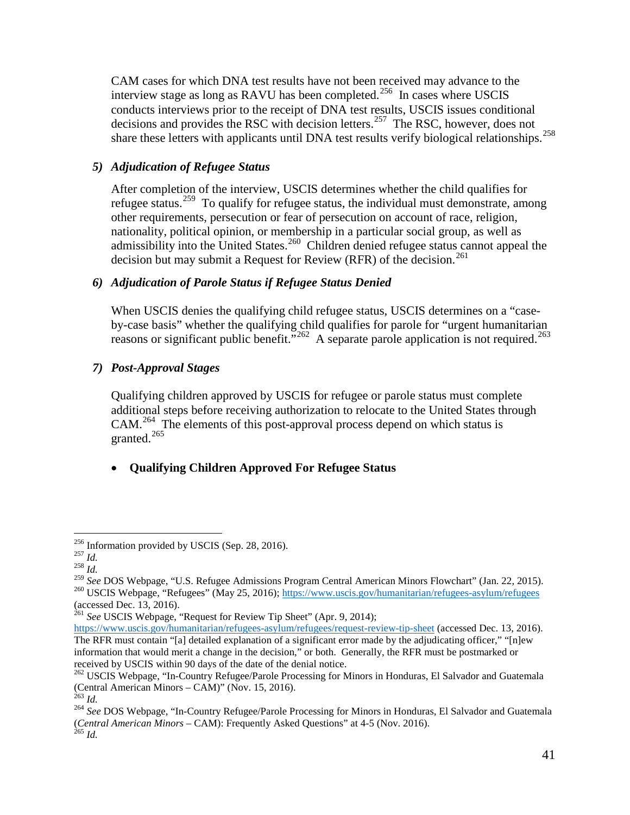interview stage as long as RAVU has been completed.<sup>256</sup> In cases where USCIS CAM cases for which DNA test results have not been received may advance to the conducts interviews prior to the receipt of DNA test results, USCIS issues conditional decisions and provides the RSC with decision letters.<sup>[257](#page-40-1)</sup> The RSC, however, does not share these letters with applicants until DNA test results verify biological relationships.<sup>[258](#page-40-2)</sup>

### *5) Adjudication of Refugee Status*

admissibility into the United States.<sup>[260](#page-40-4)</sup> Children denied refugee status cannot appeal the decision but may submit a Request for Review (RFR) of the decision.<sup>261</sup> After completion of the interview, USCIS determines whether the child qualifies for refugee status.<sup>[259](#page-40-3)</sup> To qualify for refugee status, the individual must demonstrate, among other requirements, persecution or fear of persecution on account of race, religion, nationality, political opinion, or membership in a particular social group, as well as

#### *6) Adjudication of Parole Status if Refugee Status Denied*

 by-case basis" whether the qualifying child qualifies for parole for "urgent humanitarian When USCIS denies the qualifying child refugee status, USCIS determines on a "case-reasons or significant public benefit."<sup>262</sup> A separate parole application is not required.<sup>[263](#page-40-7)</sup>

### *7) Post-Approval Stages*

 Qualifying children approved by USCIS for refugee or parole status must complete additional steps before receiving authorization to relocate to the United States through granted. $265$ CAM.[264](#page-40-8) The elements of this post-approval process depend on which status is

#### • **Qualifying Children Approved For Refugee Status**

 $\overline{a}$ <sup>256</sup> Information provided by USCIS (Sep. 28, 2016).<br><sup>257</sup> *Id. Z*<sup>58</sup> *Id.* 

<span id="page-40-1"></span><span id="page-40-0"></span> $^{257}$  *Id.* 

<span id="page-40-2"></span> $^{258}$  *Id.* 

<span id="page-40-4"></span><span id="page-40-3"></span> <sup>259</sup>*See* DOS Webpage, "U.S. Refugee Admissions Program Central American Minors Flowchart" (Jan. 22, 2015). <sup>260</sup> USCIS Webpage, "Refugees" (May 25, 2016);<https://www.uscis.gov/humanitarian/refugees-asylum/refugees>

<sup>(</sup>accessed Dec. 13, 2016).<br><sup>261</sup> See USCIS Webpage, "Request for Review Tip Sheet" (Apr. 9, 2014);

<span id="page-40-5"></span> information that would merit a change in the decision," or both. Generally, the RFR must be postmarked or received by USCIS within 90 days of the date of the denial notice. [https://www.uscis.gov/humanitarian/refugees-asylum/refugees/request-review-tip-sheet \(](https://www.uscis.gov/humanitarian/refugees-asylum/refugees/request-review-tip-sheet)accessed Dec. 13, 2016). The RFR must contain "[a] detailed explanation of a significant error made by the adjudicating officer," "[n]ew

<span id="page-40-6"></span><sup>&</sup>lt;sup>262</sup> USCIS Webpage, "In-Country Refugee/Parole Processing for Minors in Honduras, El Salvador and Guatemala (Central American Minors – CAM)" (Nov. 15, 2016). 263 *Id.* <sup>264</sup>*See* DOS Webpage, "In-Country Refugee/Parole Processing for Minors in Honduras, El Salvador and Guatemala

<span id="page-40-7"></span> $^{263}$  *Id.* 

<span id="page-40-9"></span><span id="page-40-8"></span> (*Central American Minors* – CAM): Frequently Asked Questions" at 4-5 (Nov. 2016). <sup>265</sup>*Id.*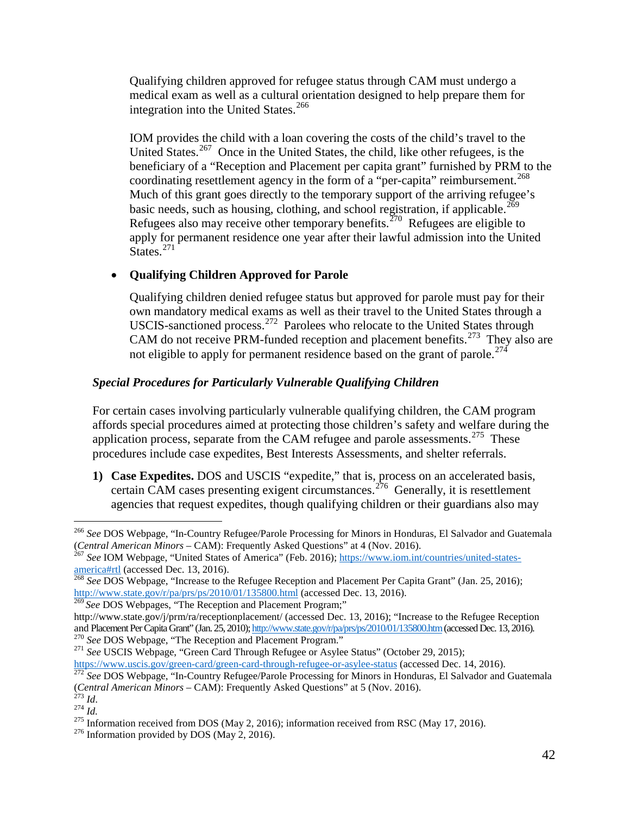integration into the United States.<sup>[266](#page-41-0)</sup> Qualifying children approved for refugee status through CAM must undergo a medical exam as well as a cultural orientation designed to help prepare them for

 beneficiary of a "Reception and Placement per capita grant" furnished by PRM to the coordinating resettlement agency in the form of a "per-capita" reimbursement.<sup>[268](#page-41-2)</sup> Much of this grant goes directly to the temporary support of the arriving refugee's basic needs, such as housing, clothing, and school registration, if applicable.<sup>269</sup> Refugees also may receive other temporary benefits.<sup> $270$ </sup> Refugees are eligible to States.<sup>[271](#page-41-5)</sup> IOM provides the child with a loan covering the costs of the child's travel to the United States.<sup>[267](#page-41-1)</sup> Once in the United States, the child, like other refugees, is the apply for permanent residence one year after their lawful admission into the United

#### • **Qualifying Children Approved for Parole**

 Qualifying children denied refugee status but approved for parole must pay for their own mandatory medical exams as well as their travel to the United States through a CAM do not receive PRM-funded reception and placement benefits.<sup>[273](#page-41-7)</sup> They also are not eligible to apply for permanent residence based on the grant of parole.<sup>274</sup> USCIS-sanctioned process.<sup>[272](#page-41-6)</sup> Parolees who relocate to the United States through

### *Special Procedures for Particularly Vulnerable Qualifying Children*

application process, separate from the CAM refugee and parole assessments.<sup>275</sup> These For certain cases involving particularly vulnerable qualifying children, the CAM program affords special procedures aimed at protecting those children's safety and welfare during the procedures include case expedites, Best Interests Assessments, and shelter referrals.

**1) Case Expedites.** DOS and USCIS "expedite," that is, process on an accelerated basis, certain CAM cases presenting exigent circumstances.<sup>[276](#page-41-10)</sup> Generally, it is resettlement agencies that request expedites, though qualifying children or their guardians also may

<span id="page-41-3"></span>

<span id="page-41-5"></span><span id="page-41-4"></span><sup>270</sup> See DOS Webpage, "The Reception and Placement Program."<br><sup>271</sup> See USCIS Webpage, "Green Card Through Refugee or Asylee Status" (October 29, 2015);

<span id="page-41-0"></span> $\overline{a}$  (*Central American Minors* – CAM): Frequently Asked Questions" at 4 (Nov. 2016). (Central American Minors – CAM): Frequently Asked Questions" at 4 (Nov. 2016).<br><sup>267</sup> See IOM Webpage, "United States of America" (Feb. 2016); <u>https://www.iom.int/countries/united-states-</u> <sup>266</sup>*See* DOS Webpage, "In-Country Refugee/Parole Processing for Minors in Honduras, El Salvador and Guatemala

<span id="page-41-1"></span>[america#rtl \(](https://www.iom.int/countries/united-states-america#rtl)accessed Dec. 13, 2016). <sup>268</sup>*See* DOS Webpage, "Increase to the Refugee Reception and Placement Per Capita Grant" (Jan. 25, 2016);

<span id="page-41-2"></span><http://www.state.gov/r/pa/prs/ps/2010/01/135800.html>(accessed Dec. 13, 2016). <sup>269</sup>*See* DOS Webpages, "The Reception and Placement Program;"

and Placement Per Capita Grant" (Jan. 25, 2010); <u>http://www.state.gov/r/pa/prs/ps/2010/01/135800.htm</u> (accessed Dec. 13, 2016).<br><sup>270</sup> See DOS Webpage, "The Reception and Placement Program." <http://www.state.gov/j/prm/ra/receptionplacement/>(accessed Dec. 13, 2016); "Increase to the Refugee Reception

[https://www.uscis.gov/green-card/green-card-through-refugee-or-asylee-status \(](https://www.uscis.gov/green-card/green-card-through-refugee-or-asylee-status)accessed Dec. 14, 2016). <sup>272</sup>*See* DOS Webpage, "In-Country Refugee/Parole Processing for Minors in Honduras, El Salvador and Guatemala

<span id="page-41-9"></span><span id="page-41-8"></span>

<span id="page-41-7"></span><span id="page-41-6"></span><sup>&</sup>lt;sup>274</sup> *Id.*<br><sup>274</sup> *Id.*<br><sup>275</sup> Information received from DOS (May 2, 2016); information received from RSC (May 17, 2016). (*Central American Minors* – CAM): Frequently Asked Questions" at 5 (Nov. 2016).<br><sup>273</sup> Id.<br><sup>274</sup> Id.<br><sup>275</sup> Information received from DOS (May 2, 2016); information received from RSC (May 17, 2016).<br><sup>276</sup> Information provi

<span id="page-41-10"></span>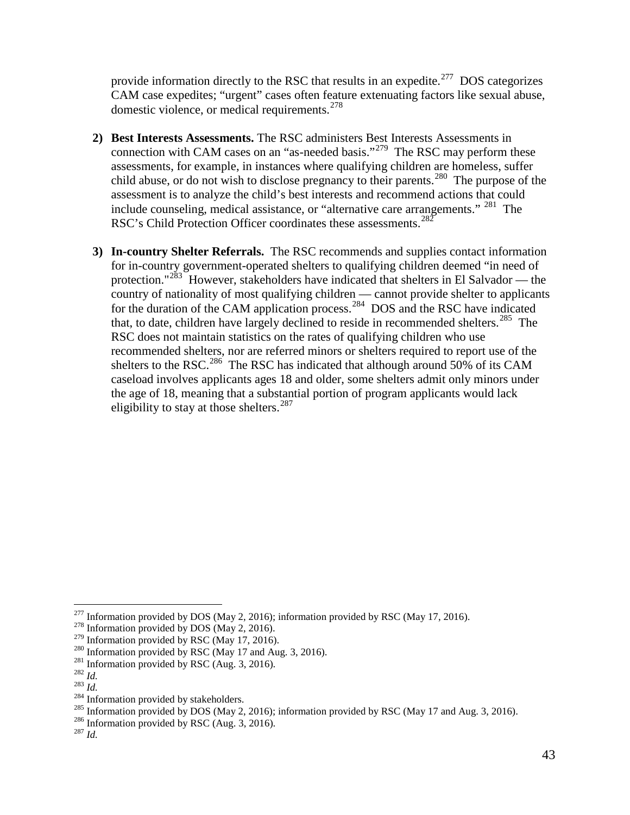provide information directly to the RSC that results in an expedite.<sup>[277](#page-42-0)</sup> DOS categorizes domestic violence, or medical requirements.<sup>[278](#page-42-1)</sup> CAM case expedites; "urgent" cases often feature extenuating factors like sexual abuse,

- connection with CAM cases on an "as-needed basis."<sup>[279](#page-42-2)</sup> The RSC may perform these include counseling, medical assistance, or "alternative care arrangements." <sup>[281](#page-42-4)</sup> The RSC's Child Protection Officer coordinates these assessments.<sup>282</sup> **2) Best Interests Assessments.** The RSC administers Best Interests Assessments in assessments, for example, in instances where qualifying children are homeless, suffer child abuse, or do not wish to disclose pregnancy to their parents.<sup>[280](#page-42-3)</sup> The purpose of the assessment is to analyze the child's best interests and recommend actions that could
- that, to date, children have largely declined to reside in recommended shelters.<sup>[285](#page-42-8)</sup> The shelters to the RSC.<sup>[286](#page-42-9)</sup> The RSC has indicated that although around 50% of its CAM eligibility to stay at those shelters.<sup>287</sup> **3) In-country Shelter Referrals.** The RSC recommends and supplies contact information for in-country government-operated shelters to qualifying children deemed "in need of protection."<sup>[283](#page-42-6)</sup> However, stakeholders have indicated that shelters in El Salvador — the country of nationality of most qualifying children — cannot provide shelter to applicants for the duration of the CAM application process.<sup>284</sup> DOS and the RSC have indicated RSC does not maintain statistics on the rates of qualifying children who use recommended shelters, nor are referred minors or shelters required to report use of the caseload involves applicants ages 18 and older, some shelters admit only minors under the age of 18, meaning that a substantial portion of program applicants would lack

 $\overline{a}$ <sup>277</sup> Information provided by DOS (May 2, 2016); information provided by RSC (May 17, 2016).<br><sup>278</sup> Information provided by DOS (May 2, 2016).

<span id="page-42-2"></span><span id="page-42-1"></span><span id="page-42-0"></span><sup>&</sup>lt;sup>278</sup> Information provided by DOS (May 2, 2016).<br><sup>279</sup> Information provided by RSC (May 17, 2016).

<sup>&</sup>lt;sup>2/9</sup> Information provided by RSC (May 17, 2016).<br><sup>280</sup> Information provided by RSC (May 17 and Aug. 3, 2016).

<span id="page-42-3"></span><sup>&</sup>lt;sup>281</sup> Information provided by RSC (Aug. 3, 2016).

<span id="page-42-5"></span><span id="page-42-4"></span> $^{282}\,Id.$ 

<span id="page-42-6"></span> $^{283}$  *Id* 

<span id="page-42-7"></span><sup>&</sup>lt;sup>284</sup> Information provided by stakeholders.

<sup>&</sup>lt;sup>284</sup> Information provided by stakeholders.<br><sup>285</sup> Information provided by DOS (May 2, 2016); information provided by RSC (May 17 and Aug. 3, 2016). <sup>285</sup> Information provided by DOS (May 2, 2016); information provided by RSC (May 17 and Aug. 3, 2016).<br><sup>286</sup> Information provided by RSC (Aug. 3, 2016).

<span id="page-42-9"></span><span id="page-42-8"></span><sup>&</sup>lt;sup>286</sup> Information provided by RSC (Aug. 3, 2016).

<span id="page-42-10"></span> $^{287}$  *Id.*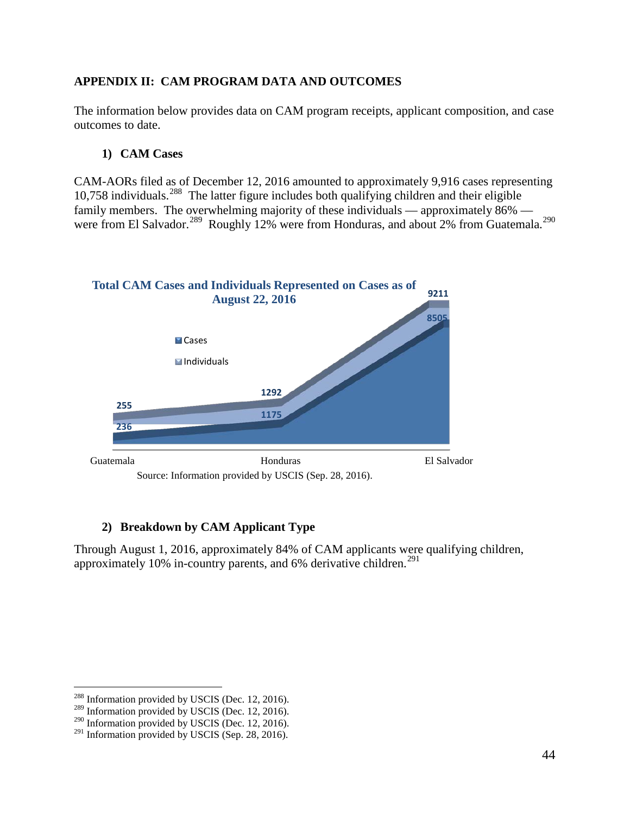### <span id="page-43-0"></span>**APPENDIX II: CAM PROGRAM DATA AND OUTCOMES**

The information below provides data on CAM program receipts, applicant composition, and case outcomes to date.

#### **1) CAM Cases**

were from El Salvador.<sup>289</sup> Roughly 12% were from Honduras, and about 2% from Guatemala.<sup>[290](#page-43-3)</sup> CAM-AORs filed as of December 12, 2016 amounted to approximately 9,916 cases representing 10,758 individuals.[288](#page-43-1) The latter figure includes both qualifying children and their eligible family members. The overwhelming majority of these individuals — approximately 86% —



#### **2) Breakdown by CAM Applicant Type**

approximately 10% in-country parents, and 6% derivative children.<sup>[291](#page-43-4)</sup> Through August 1, 2016, approximately 84% of CAM applicants were qualifying children,

 $\overline{a}$ 

<span id="page-43-1"></span> $288$  Information provided by USCIS (Dec. 12, 2016).

<span id="page-43-2"></span><sup>&</sup>lt;sup>289</sup> Information provided by USCIS (Dec. 12, 2016).

 $290$  Information provided by USCIS (Dec. 12, 2016).

<span id="page-43-4"></span><span id="page-43-3"></span><sup>&</sup>lt;sup>291</sup> Information provided by USCIS (Sep. 28, 2016).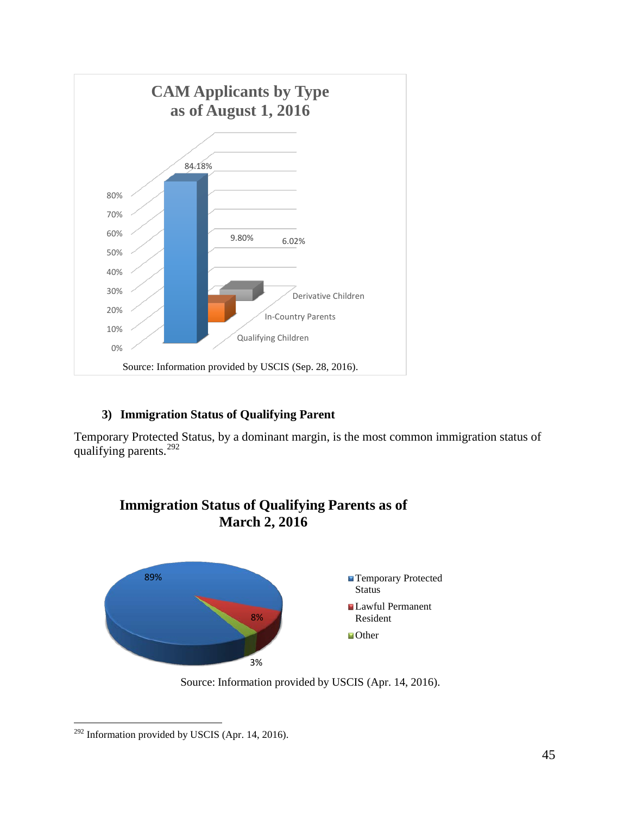

### **3) Immigration Status of Qualifying Parent**

qualifying parents.<sup>292</sup> Temporary Protected Status, by a dominant margin, is the most common immigration status of



**Immigration Status of Qualifying Parents as of March 2, 2016**

Source: Information provided by USCIS (Apr. 14, 2016).

<span id="page-44-0"></span> $\overline{a}$  $292$  Information provided by USCIS (Apr. 14, 2016).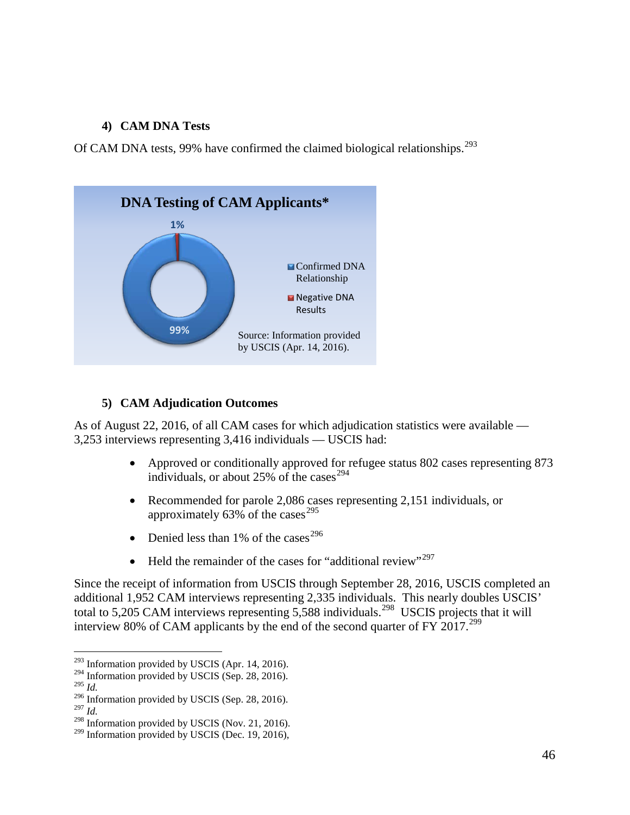#### **4) CAM DNA Tests**

Of CAM DNA tests, 99% have confirmed the claimed biological relationships.<sup>[293](#page-45-0)</sup>



### **5) CAM Adjudication Outcomes**

As of August 22, 2016, of all CAM cases for which adjudication statistics were available — 3,253 interviews representing 3,416 individuals — USCIS had:

- Approved or conditionally approved for refugee status 802 cases representing 873 individuals, or about 25% of the cases  $294$
- Recommended for parole 2,086 cases representing 2,151 individuals, or approximately 63% of the cases<sup>[295](#page-45-2)</sup>
- Denied less than 1% of the cases<sup>[296](#page-45-3)</sup>
- Held the remainder of the cases for "additional review"<sup>297</sup>

total to 5,205 CAM interviews representing  $5,588$  individuals.<sup>298</sup> USCIS projects that it will interview 80% of CAM applicants by the end of the second quarter of FY 2017.<sup>[299](#page-45-6)</sup> Since the receipt of information from USCIS through September 28, 2016, USCIS completed an additional 1,952 CAM interviews representing 2,335 individuals. This nearly doubles USCIS'

 $\overline{a}$  $293$  Information provided by USCIS (Apr. 14, 2016).

<span id="page-45-1"></span><span id="page-45-0"></span><sup>294</sup> Information provided by USCIS (Sep. 28, 2016).

<span id="page-45-2"></span><sup>295</sup>*Id.* 

<sup>296</sup> Information provided by USCIS (Sep. 28, 2016).

<span id="page-45-5"></span><span id="page-45-4"></span><span id="page-45-3"></span> $^{297}$  *Id.* 

<sup>&</sup>lt;sup>298</sup> Information provided by USCIS (Nov. 21, 2016).

<span id="page-45-6"></span><sup>&</sup>lt;sup>299</sup> Information provided by USCIS (Dec. 19, 2016),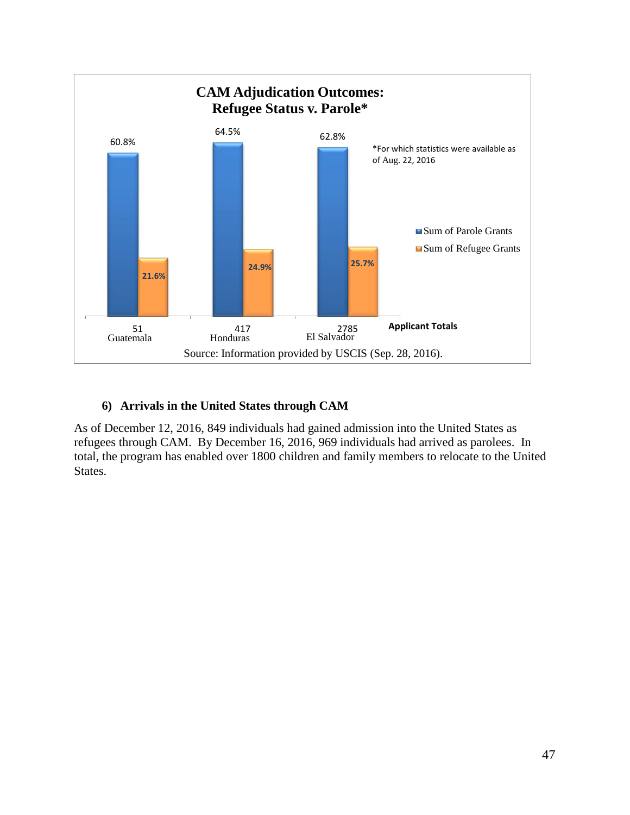

#### **6) Arrivals in the United States through CAM**

 refugees through CAM. By December 16, 2016, 969 individuals had arrived as parolees. In As of December 12, 2016, 849 individuals had gained admission into the United States as total, the program has enabled over 1800 children and family members to relocate to the United States.